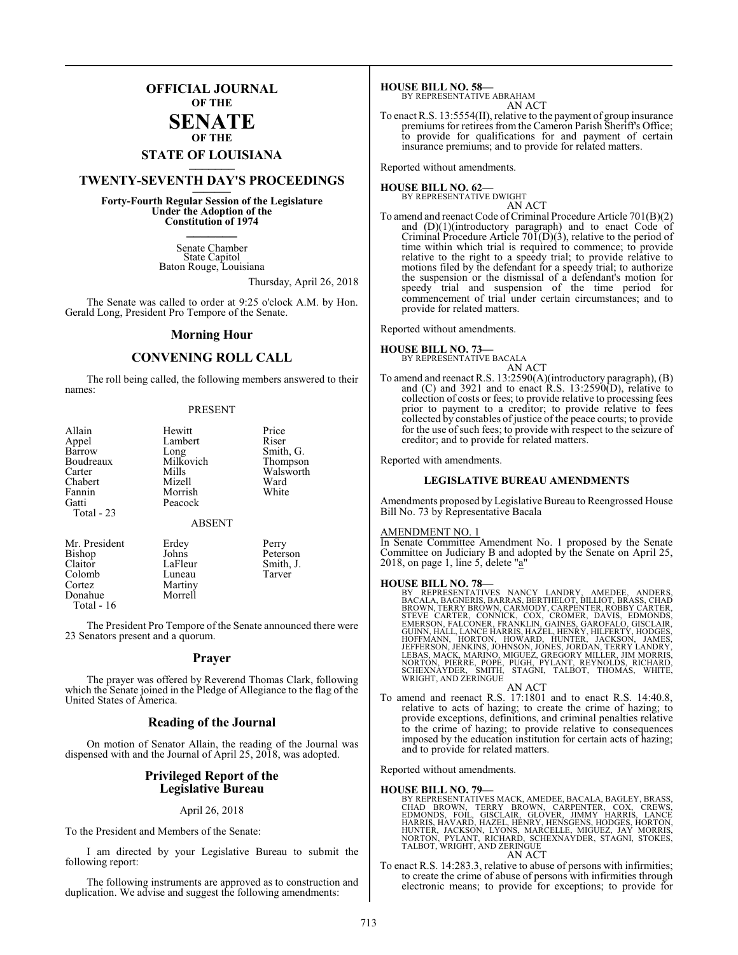### **OFFICIAL JOURNAL OF THE**

### **SENATE OF THE**

## **STATE OF LOUISIANA \_\_\_\_\_\_\_**

### **TWENTY-SEVENTH DAY'S PROCEEDINGS \_\_\_\_\_\_\_**

**Forty-Fourth Regular Session of the Legislature Under the Adoption of the Constitution of 1974 \_\_\_\_\_\_\_**

> Senate Chamber State Capitol Baton Rouge, Louisiana

> > Thursday, April 26, 2018

The Senate was called to order at 9:25 o'clock A.M. by Hon. Gerald Long, President Pro Tempore of the Senate.

### **Morning Hour**

### **CONVENING ROLL CALL**

The roll being called, the following members answered to their names:

### PRESENT

| Allain                        | Hewitt             | Price     |
|-------------------------------|--------------------|-----------|
| Appel                         | Lambert            | Riser     |
| Barrow                        | Long               | Smith, G. |
| Boudreaux                     | Milkovich          | Thompson  |
| Carter                        | Mills              | Walsworth |
| Chabert                       | Mizell             | Ward      |
| Fannin<br>Gatti<br>Total - 23 | Morrish<br>Peacock | White     |
|                               | <b>ABSENT</b>      |           |
| Mr. President                 | Erdey              | Perry     |
| <b>Bishop</b>                 | Johns              | Peterson  |

Colomb<br>Cortez Donahue Total - 16

Claitor LaFleur Smith, J.<br>Colomb Luneau Tarver Martiny<br>Morrell

The President Pro Tempore of the Senate announced there were 23 Senators present and a quorum.

### **Prayer**

The prayer was offered by Reverend Thomas Clark, following which the Senate joined in the Pledge of Allegiance to the flag of the United States of America.

### **Reading of the Journal**

On motion of Senator Allain, the reading of the Journal was dispensed with and the Journal of April 25, 2018, was adopted.

### **Privileged Report of the Legislative Bureau**

### April 26, 2018

To the President and Members of the Senate:

I am directed by your Legislative Bureau to submit the following report:

The following instruments are approved as to construction and duplication. We advise and suggest the following amendments:

**HOUSE BILL NO. 58—** BY REPRESENTATIVE ABRAHAM

AN ACT To enact R.S. 13:5554(II), relative to the payment of group insurance premiums for retirees from the Cameron Parish Sheriff's Office; to provide for qualifications for and payment of certain insurance premiums; and to provide for related matters.

Reported without amendments.

#### **HOUSE BILL NO. 62—** BY REPRESENTATIVE DWIGHT

AN ACT

To amend and reenact Code of Criminal Procedure Article 701(B)(2) and  $(D)(1)$ (introductory paragraph) and to enact Code of Criminal Procedure Article 70 $\tilde{I}(D)(3)$ , relative to the period of time within which trial is required to commence; to provide relative to the right to a speedy trial; to provide relative to motions filed by the defendant for a speedy trial; to authorize the suspension or the dismissal of a defendant's motion for speedy trial and suspension of the time period for commencement of trial under certain circumstances; and to provide for related matters.

Reported without amendments.

### **HOUSE BILL NO. 73—**



Reported with amendments.

### **LEGISLATIVE BUREAU AMENDMENTS**

Amendments proposed by Legislative Bureau to Reengrossed House Bill No. 73 by Representative Bacala

### AMENDMENT NO. 1

In Senate Committee Amendment No. 1 proposed by the Senate Committee on Judiciary B and adopted by the Senate on April 25, 2018, on page 1, line 5, delete "a"

**HOUSE BILL NO. 78**<br>BY REPRESENTATIVES NANCY LANDRY, AMEDEE, ANDERS, BACALA, BAGNERIS, BARRAS, BERTHELOT, BILLIOT, BRASS, CHAD<br>BROWN, TERRY BROWN, CARMODY, CARPENTER, RÓBBY CARTER, STEVE CARTER, CONNICK, COX, CROMER, DAVIS

- AN ACT
- To amend and reenact R.S. 17:1801 and to enact R.S. 14:40.8, relative to acts of hazing; to create the crime of hazing; to provide exceptions, definitions, and criminal penalties relative to the crime of hazing; to provide relative to consequences imposed by the education institution for certain acts of hazing; and to provide for related matters.

Reported without amendments.

### **HOUSE BILL NO. 79—**

BY REPRESENTATIVES MACK, AMEDEE, BACALA, BAGLEY, BRASS, CHAD BROWN, TERRY BROWN, CARPENTER, COX, CREWS,<br>EDMONDS, FOIL, GISCLAIR, GLOVER, JIMMY HARRIS, LANCE<br>HARRIS, HAVARD, HAZEL, HENRY, HENSGENS, HODGES, HORTON,<br>HUNTER, JACKSON, LYONS, MARCELLE, MIGUEZ, JAY MORRIS,<br>NORTON, PYL AN ACT

To enact R.S. 14:283.3, relative to abuse of persons with infirmities; to create the crime of abuse of persons with infirmities through electronic means; to provide for exceptions; to provide for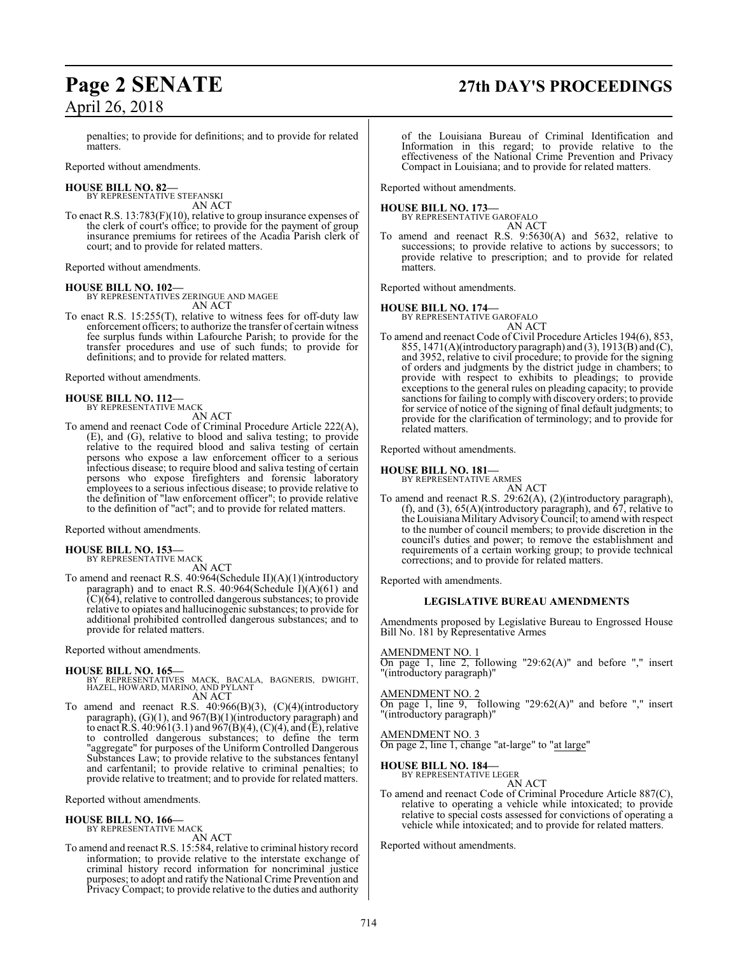## **Page 2 SENATE 27th DAY'S PROCEEDINGS**

penalties; to provide for definitions; and to provide for related matters.

Reported without amendments.

### **HOUSE BILL NO. 82—**

BY REPRESENTATIVE STEFANSKI AN ACT

To enact R.S. 13:783(F)(10), relative to group insurance expenses of the clerk of court's office; to provide for the payment of group insurance premiums for retirees of the Acadia Parish clerk of court; and to provide for related matters.

Reported without amendments.

**HOUSE BILL NO. 102—** BY REPRESENTATIVES ZERINGUE AND MAGEE AN ACT

To enact R.S. 15:255(T), relative to witness fees for off-duty law enforcement officers; to authorize the transfer of certain witness fee surplus funds within Lafourche Parish; to provide for the transfer procedures and use of such funds; to provide for definitions; and to provide for related matters.

Reported without amendments.

#### **HOUSE BILL NO. 112—** BY REPRESENTATIVE MACK

AN ACT

To amend and reenact Code of Criminal Procedure Article 222(A), (E), and (G), relative to blood and saliva testing; to provide relative to the required blood and saliva testing of certain persons who expose a law enforcement officer to a serious infectious disease; to require blood and saliva testing of certain persons who expose firefighters and forensic laboratory employees to a serious infectious disease; to provide relative to the definition of "law enforcement officer"; to provide relative to the definition of "act"; and to provide for related matters.

Reported without amendments.

#### **HOUSE BILL NO. 153—** BY REPRESENTATIVE MACK

AN ACT

To amend and reenact R.S. 40:964(Schedule II)(A)(1)(introductory paragraph) and to enact R.S. 40:964(Schedule I)(A)(61) and  $(C)(64)$ , relative to controlled dangerous substances; to provide relative to opiates and hallucinogenic substances; to provide for additional prohibited controlled dangerous substances; and to provide for related matters.

Reported without amendments.

### **HOUSE BILL NO. 165—**

- BY REPRESENTATIVES MACK, BACALA, BAGNERIS, DWIGHT, HAZEL, HOWARD, MARINO, AND PYLANT AN ACT
- To amend and reenact R.S. 40:966(B)(3), (C)(4)(introductory paragraph), (G)(1), and 967(B)(1)(introductory paragraph) and to enact R.S.  $40:961(3.1)$  and  $967(B)(4)$ , (C)(4), and (E), relative to controlled dangerous substances; to define the term "aggregate" for purposes of the Uniform Controlled Dangerous Substances Law; to provide relative to the substances fentanyl and carfentanil; to provide relative to criminal penalties; to provide relative to treatment; and to provide for related matters.

Reported without amendments.

### **HOUSE BILL NO. 166—**

BY REPRESENTATIVE MACK

AN ACT

To amend and reenact R.S. 15:584, relative to criminal history record information; to provide relative to the interstate exchange of criminal history record information for noncriminal justice purposes; to adopt and ratify the National Crime Prevention and Privacy Compact; to provide relative to the duties and authority

of the Louisiana Bureau of Criminal Identification and Information in this regard; to provide relative to the effectiveness of the National Crime Prevention and Privacy Compact in Louisiana; and to provide for related matters.

Reported without amendments.

### **HOUSE BILL NO. 173—**

BY REPRESENTATIVE GAROFALO

AN ACT To amend and reenact R.S. 9:5630(A) and 5632, relative to successions; to provide relative to actions by successors; to provide relative to prescription; and to provide for related matters.

Reported without amendments.

### **HOUSE BILL NO. 174—**

BY REPRESENTATIVE GAROFALO

AN ACT To amend and reenact Code of Civil Procedure Articles 194(6), 853, 855, 1471(A)(introductory paragraph) and (3), 1913(B) and (C), and 3952, relative to civil procedure; to provide for the signing of orders and judgments by the district judge in chambers; to provide with respect to exhibits to pleadings; to provide exceptions to the general rules on pleading capacity; to provide sanctions for failing to comply with discovery orders; to provide for service of notice of the signing of final default judgments; to provide for the clarification of terminology; and to provide for related matters.

Reported without amendments.

### **HOUSE BILL NO. 181—**

BY REPRESENTATIVE ARMES

AN ACT To amend and reenact R.S. 29:62(A), (2)(introductory paragraph), (f), and (3),  $65(A)$ (introductory paragraph), and  $67$ , relative to the Louisiana Military AdvisoryCouncil; to amend with respect to the number of council members; to provide discretion in the council's duties and power; to remove the establishment and requirements of a certain working group; to provide technical corrections; and to provide for related matters.

Reported with amendments.

### **LEGISLATIVE BUREAU AMENDMENTS**

Amendments proposed by Legislative Bureau to Engrossed House Bill No. 181 by Representative Armes

AMENDMENT NO. 1 On page 1, line 2, following "29:62(A)" and before "," insert "(introductory paragraph)"

AMENDMENT NO. 2 On page 1, line 9, following "29:62(A)" and before "," insert "(introductory paragraph)"

AMENDMENT NO. 3

On page 2, line 1, change "at-large" to "at large"

### **HOUSE BILL NO. 184—**

BY REPRESENTATIVE LEGER AN ACT

To amend and reenact Code of Criminal Procedure Article 887(C), relative to operating a vehicle while intoxicated; to provide relative to special costs assessed for convictions of operating a vehicle while intoxicated; and to provide for related matters.

Reported without amendments.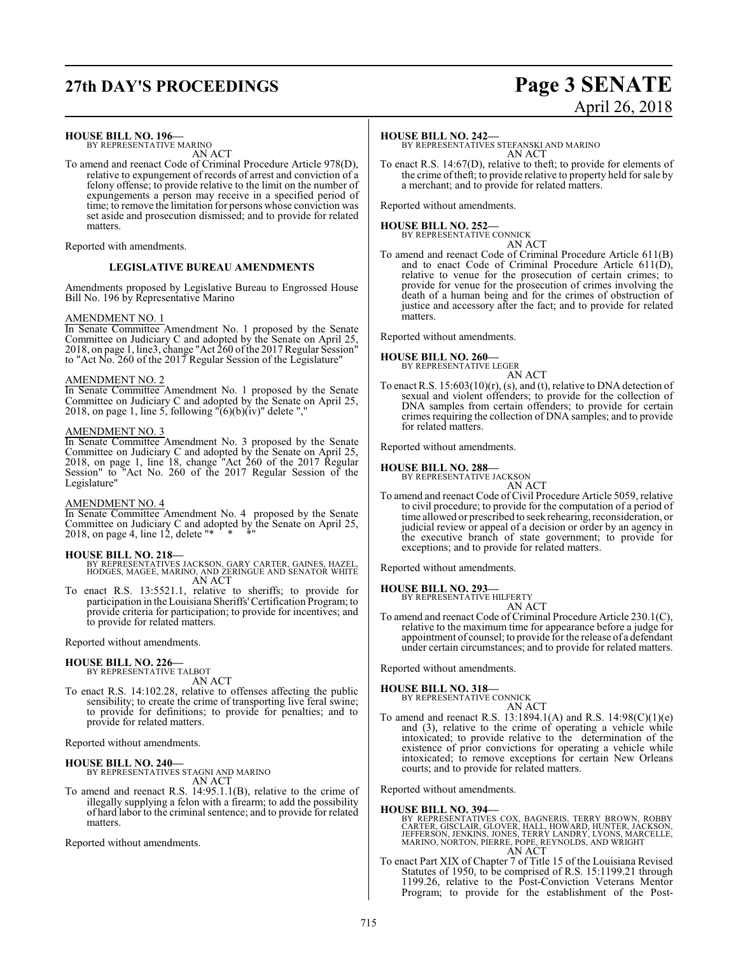## **27th DAY'S PROCEEDINGS Page 3 SENATE**

### **HOUSE BILL NO. 196—**

BY REPRESENTATIVE MARINO AN ACT

To amend and reenact Code of Criminal Procedure Article 978(D), relative to expungement of records of arrest and conviction of a felony offense; to provide relative to the limit on the number of expungements a person may receive in a specified period of time; to remove the limitation for persons whose conviction was set aside and prosecution dismissed; and to provide for related matters.

Reported with amendments.

### **LEGISLATIVE BUREAU AMENDMENTS**

Amendments proposed by Legislative Bureau to Engrossed House Bill No. 196 by Representative Marino

### AMENDMENT NO. 1

In Senate Committee Amendment No. 1 proposed by the Senate Committee on Judiciary C and adopted by the Senate on April 25, 2018, on page 1, line3, change "Act 260 of the 2017 Regular Session" to "Act No. 260 of the 2017 Regular Session of the Legislature"

### AMENDMENT NO. 2

In Senate Committee Amendment No. 1 proposed by the Senate Committee on Judiciary C and adopted by the Senate on April 25, 2018, on page 1, line 5, following  $\sqrt{6}$ (b)(iv)" delete ","

### AMENDMENT NO. 3

In Senate Committee Amendment No. 3 proposed by the Senate Committee on Judiciary C and adopted by the Senate on April 25, 2018, on page 1, line 18, change "Act 260 of the 2017 Regular Session" to "Act No. 260 of the 2017 Regular Session of the Legislature"

### AMENDMENT NO. 4

In Senate Committee Amendment No. 4 proposed by the Senate Committee on Judiciary C and adopted by the Senate on April 25, 2018, on page 4, line  $12$ , delete "\*

### **HOUSE BILL NO. 218—**

- BY REPRESENTATIVES JACKSON, GARY CARTER, GAINES, HAZEL, HODGES, MAGEE, MARINO, AND ZERINGUE AND SENATOR WHITE AN ACT
- To enact R.S. 13:5521.1, relative to sheriffs; to provide for participation in the Louisiana Sheriffs'Certification Program; to provide criteria for participation; to provide for incentives; and to provide for related matters.

Reported without amendments.

### **HOUSE BILL NO. 226—**

BY REPRESENTATIVE TALBOT AN ACT

To enact R.S. 14:102.28, relative to offenses affecting the public sensibility; to create the crime of transporting live feral swine; to provide for definitions; to provide for penalties; and to provide for related matters.

Reported without amendments.

### **HOUSE BILL NO. 240—**

BY REPRESENTATIVES STAGNI AND MARINO AN ACT

To amend and reenact R.S. 14:95.1.1(B), relative to the crime of illegally supplying a felon with a firearm; to add the possibility of hard labor to the criminal sentence; and to provide for related matters.

Reported without amendments.

### **HOUSE BILL NO. 242—**

BY REPRESENTATIVES STEFANSKI AND MARINO AN ACT

To enact R.S. 14:67(D), relative to theft; to provide for elements of the crime oftheft; to provide relative to property held for sale by a merchant; and to provide for related matters.

Reported without amendments.

### **HOUSE BILL NO. 252—**

BY REPRESENTATIVE CONNICK AN ACT

To amend and reenact Code of Criminal Procedure Article 611(B) and to enact Code of Criminal Procedure Article 611(D), relative to venue for the prosecution of certain crimes; to provide for venue for the prosecution of crimes involving the death of a human being and for the crimes of obstruction of justice and accessory after the fact; and to provide for related **matters** 

Reported without amendments.

### **HOUSE BILL NO. 260—**

BY REPRESENTATIVE LEGER AN ACT

To enact R.S. 15:603(10)(r), (s), and (t), relative to DNA detection of sexual and violent offenders; to provide for the collection of DNA samples from certain offenders; to provide for certain crimes requiring the collection of DNA samples; and to provide for related matters.

Reported without amendments.

### **HOUSE BILL NO. 288—**

BY REPRESENTATIVE JACKSON AN ACT

To amend and reenact Code of Civil Procedure Article 5059, relative to civil procedure; to provide for the computation of a period of time allowed or prescribed to seek rehearing, reconsideration, or judicial review or appeal of a decision or order by an agency in the executive branch of state government; to provide for exceptions; and to provide for related matters.

Reported without amendments.

#### **HOUSE BILL NO. 293—** BY RI

AN ACT

To amend and reenact Code of Criminal Procedure Article 230.1(C), relative to the maximum time for appearance before a judge for appointment of counsel; to provide for the release of a defendant under certain circumstances; and to provide for related matters.

Reported without amendments.

### **HOUSE BILL NO. 318—** BY REPRESENTATIVE CONNICK

AN ACT

To amend and reenact R.S. 13:1894.1(A) and R.S. 14:98(C)(1)(e) and (3), relative to the crime of operating a vehicle while intoxicated; to provide relative to the determination of the existence of prior convictions for operating a vehicle while intoxicated; to remove exceptions for certain New Orleans courts; and to provide for related matters.

Reported without amendments.

### **HOUSE BILL NO. 394—**

BY REPRESENTATIVES COX, BAGNERIS, TERRY BROWN, ROBBY<br>CARTER, GISCLAIR, GLOVER, HALL, HOWARD, HUNTER, JACKSON,<br>JEFFERSON, JENKINS, JONES, TERRY LANDRY, LYONS, MARCELLE,<br>MARINO, NORTON, PIERRE, POPE, REYNOLDS, AND WRIGHT<br>AN

To enact Part XIX of Chapter 7 of Title 15 of the Louisiana Revised Statutes of 1950, to be comprised of R.S. 15:1199.21 through 1199.26, relative to the Post-Conviction Veterans Mentor Program; to provide for the establishment of the Post-

# April 26, 2018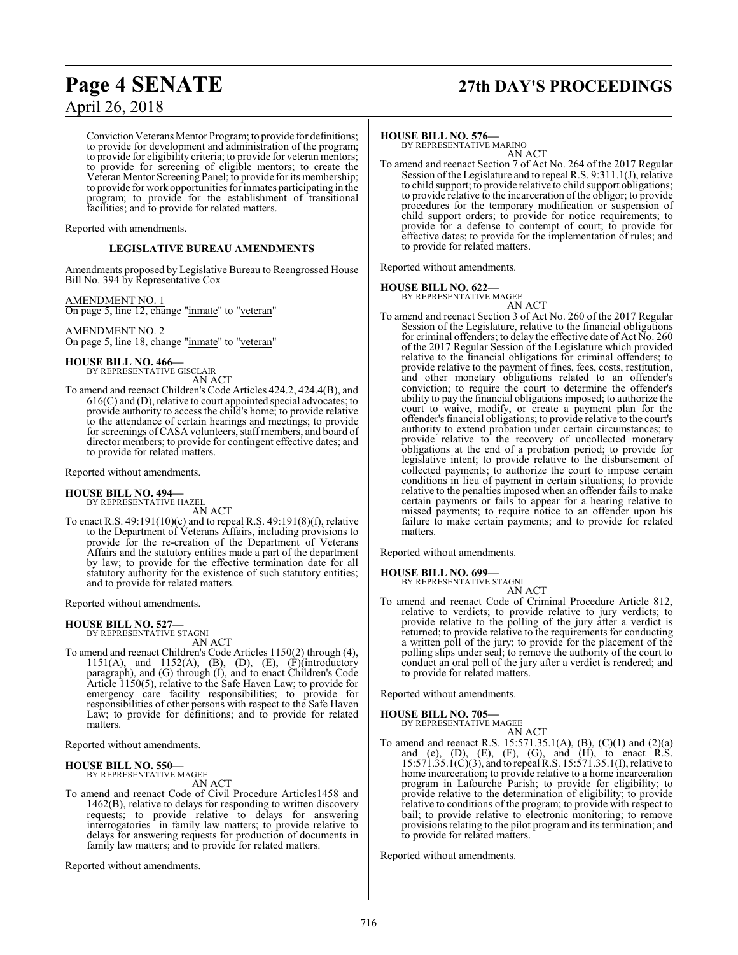## **Page 4 SENATE 27th DAY'S PROCEEDINGS**

Conviction Veterans Mentor Program; to provide for definitions; to provide for development and administration of the program; to provide for eligibility criteria; to provide for veteran mentors; to provide for screening of eligible mentors; to create the Veteran Mentor Screening Panel; to provide for its membership; to provide for work opportunities for inmates participating in the program; to provide for the establishment of transitional facilities; and to provide for related matters.

Reported with amendments.

### **LEGISLATIVE BUREAU AMENDMENTS**

Amendments proposed by Legislative Bureau to Reengrossed House Bill No. 394 by Representative Cox

### AMENDMENT NO. 1

On page 5, line 12, change "inmate" to "veteran"

AMENDMENT NO. 2 On page 5, line 18, change "inmate" to "veteran"

## **HOUSE BILL NO. 466—** BY REPRESENTATIVE GISCLAIR

AN ACT

To amend and reenact Children's Code Articles 424.2, 424.4(B), and 616(C) and (D), relative to court appointed special advocates; to provide authority to access the child's home; to provide relative to the attendance of certain hearings and meetings; to provide for screenings ofCASA volunteers, staff members, and board of director members; to provide for contingent effective dates; and to provide for related matters.

Reported without amendments.

### **HOUSE BILL NO. 494—**

BY REPRESENTATIVE HAZEL AN ACT

To enact R.S. 49:191(10)(c) and to repeal R.S. 49:191(8)(f), relative to the Department of Veterans Affairs, including provisions to provide for the re-creation of the Department of Veterans Affairs and the statutory entities made a part of the department by law; to provide for the effective termination date for all statutory authority for the existence of such statutory entities; and to provide for related matters.

Reported without amendments.

### **HOUSE BILL NO. 527—**

BY REPRESENTATIVE STAGNI AN ACT

To amend and reenact Children's Code Articles 1150(2) through (4), 1151(A), and 1152(A), (B), (D), (E), (F)(introductory paragraph), and (G) through (I), and to enact Children's Code Article 1150(5), relative to the Safe Haven Law; to provide for emergency care facility responsibilities; to provide for responsibilities of other persons with respect to the Safe Haven Law; to provide for definitions; and to provide for related matters.

Reported without amendments.

#### **HOUSE BILL NO. 550—** BY REPRESENTATIVE MAGEE

AN ACT

To amend and reenact Code of Civil Procedure Articles1458 and 1462(B), relative to delays for responding to written discovery requests; to provide relative to delays for answering interrogatories in family law matters; to provide relative to delays for answering requests for production of documents in family law matters; and to provide for related matters.

Reported without amendments.

### **HOUSE BILL NO. 576—**

BY REPRESENTATIVE MARINO AN ACT

To amend and reenact Section 7 of Act No. 264 of the 2017 Regular Session of the Legislature and to repeal R.S. 9:311.1(J), relative to child support; to provide relative to child support obligations; to provide relative to the incarceration of the obligor; to provide procedures for the temporary modification or suspension of child support orders; to provide for notice requirements; to provide for a defense to contempt of court; to provide for effective dates; to provide for the implementation of rules; and to provide for related matters.

Reported without amendments.

### **HOUSE BILL NO. 622—** BY REPRESENTATIVE MAGEE

AN ACT To amend and reenact Section 3 of Act No. 260 of the 2017 Regular Session of the Legislature, relative to the financial obligations for criminal offenders; to delay the effective date of Act No. 260 of the 2017 Regular Session of the Legislature which provided relative to the financial obligations for criminal offenders; to provide relative to the payment of fines, fees, costs, restitution, and other monetary obligations related to an offender's conviction; to require the court to determine the offender's ability to pay the financial obligations imposed; to authorize the court to waive, modify, or create a payment plan for the offender's financial obligations; to provide relative to the court's authority to extend probation under certain circumstances; to provide relative to the recovery of uncollected monetary obligations at the end of a probation period; to provide for legislative intent; to provide relative to the disbursement of collected payments; to authorize the court to impose certain conditions in lieu of payment in certain situations; to provide relative to the penalties imposed when an offender fails to make certain payments or fails to appear for a hearing relative to missed payments; to require notice to an offender upon his failure to make certain payments; and to provide for related matters.

Reported without amendments.

### **HOUSE BILL NO. 699—**

BY REPRESENTATIVE STAGNI AN ACT

To amend and reenact Code of Criminal Procedure Article 812, relative to verdicts; to provide relative to jury verdicts; to provide relative to the polling of the jury after a verdict is returned; to provide relative to the requirements for conducting a written poll of the jury; to provide for the placement of the polling slips under seal; to remove the authority of the court to conduct an oral poll of the jury after a verdict is rendered; and to provide for related matters.

Reported without amendments.

### **HOUSE BILL NO. 705—** BY REPRESENTATIVE MAGEE

AN ACT

To amend and reenact R.S. 15:571.35.1(A), (B), (C)(1) and (2)(a) and (e),  $(D)$ ,  $(E)$ ,  $(F)$ ,  $(G)$ , and  $(H)$ , to enact R.S. 15:571.35.1(C)(3), and to repeal R.S. 15:571.35.1(I), relative to home incarceration; to provide relative to a home incarceration program in Lafourche Parish; to provide for eligibility; to provide relative to the determination of eligibility; to provide relative to conditions of the program; to provide with respect to bail; to provide relative to electronic monitoring; to remove provisions relating to the pilot program and its termination; and to provide for related matters.

Reported without amendments.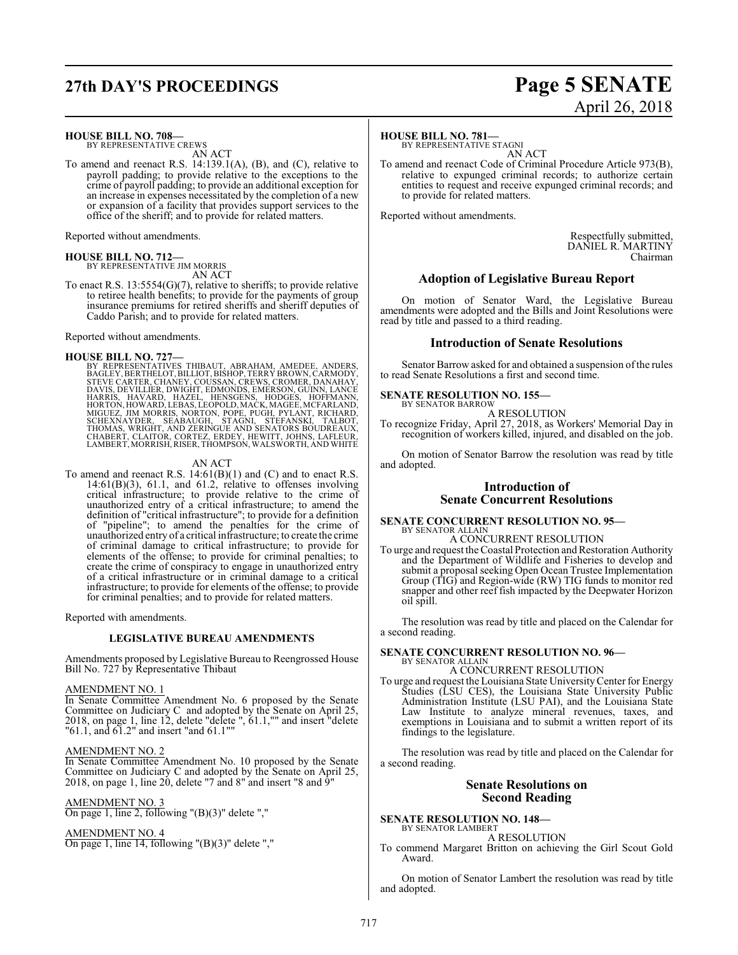## **27th DAY'S PROCEEDINGS Page 5 SENATE**

### **HOUSE BILL NO. 708—**

BY REPRESENTATIVE CREWS AN ACT

To amend and reenact R.S. 14:139.1(A), (B), and (C), relative to payroll padding; to provide relative to the exceptions to the crime of payroll padding; to provide an additional exception for an increase in expenses necessitated by the completion of a new or expansion of a facility that provides support services to the office of the sheriff; and to provide for related matters.

Reported without amendments.

**HOUSE BILL NO. 712—** BY REPRESENTATIVE JIM MORRIS AN ACT

To enact R.S. 13:5554(G)(7), relative to sheriffs; to provide relative to retiree health benefits; to provide for the payments of group insurance premiums for retired sheriffs and sheriff deputies of Caddo Parish; and to provide for related matters.

Reported without amendments.

HOUSE BILL NO. 727—<br>BY REPRESENTATIVES THIBAUT, ABRAHAM, AMEDEE, ANDERS, BAGLEY, BERTHELOT, BILLIOT, BISHOP, TERRY BROWN, CARMODY,<br>STEVE CARTER, CHANEY, COUSSAN, CREWS, CROMER, DANAHAY,<br>DAVIS, DEVILLIER, DWIGHT, EDMONDS, E

### AN ACT

To amend and reenact R.S. 14:61(B)(1) and (C) and to enact R.S.  $14:61(B)(3)$ ,  $61.1$ , and  $61.2$ , relative to offenses involving critical infrastructure; to provide relative to the crime of unauthorized entry of a critical infrastructure; to amend the definition of "critical infrastructure"; to provide for a definition of "pipeline"; to amend the penalties for the crime of unauthorized entry of a critical infrastructure; to create the crime of criminal damage to critical infrastructure; to provide for elements of the offense; to provide for criminal penalties; to create the crime of conspiracy to engage in unauthorized entry of a critical infrastructure or in criminal damage to a critical infrastructure; to provide for elements of the offense; to provide for criminal penalties; and to provide for related matters.

Reported with amendments.

### **LEGISLATIVE BUREAU AMENDMENTS**

Amendments proposed by Legislative Bureau to Reengrossed House Bill No. 727 by Representative Thibaut

### AMENDMENT NO. 1

In Senate Committee Amendment No. 6 proposed by the Senate Committee on Judiciary C and adopted by the Senate on April 25, 2018, on page 1, line 12, delete "delete ", 61.1,"" and insert "delete "61.1, and 61.2" and insert "and 61.1""

### AMENDMENT NO. 2

In Senate Committee Amendment No. 10 proposed by the Senate Committee on Judiciary C and adopted by the Senate on April 25, 2018, on page 1, line 20, delete "7 and 8" and insert "8 and 9"

### AMENDMENT NO. 3

On page 1, line 2, following "(B)(3)" delete ","

### AMENDMENT NO. 4

On page 1, line 14, following  $"({\rm B})(3)"$  delete ","

# April 26, 2018

### **HOUSE BILL NO. 781—**

BY REPRESENTATIVE STAGNI AN ACT

To amend and reenact Code of Criminal Procedure Article 973(B), relative to expunged criminal records; to authorize certain entities to request and receive expunged criminal records; and to provide for related matters.

Reported without amendments.

Respectfully submitted, DANIEL R. MARTINY Chairman

### **Adoption of Legislative Bureau Report**

On motion of Senator Ward, the Legislative Bureau amendments were adopted and the Bills and Joint Resolutions were read by title and passed to a third reading.

### **Introduction of Senate Resolutions**

Senator Barrow asked for and obtained a suspension of the rules to read Senate Resolutions a first and second time.

#### **SENATE RESOLUTION NO. 155—** BY SENATOR BARROW

A RESOLUTION

To recognize Friday, April 27, 2018, as Workers' Memorial Day in recognition of workers killed, injured, and disabled on the job.

On motion of Senator Barrow the resolution was read by title and adopted.

### **Introduction of Senate Concurrent Resolutions**

### **SENATE CONCURRENT RESOLUTION NO. 95—** BY SENATOR ALLAIN A CONCURRENT RESOLUTION

- 
- To urge and request the Coastal Protection and Restoration Authority and the Department of Wildlife and Fisheries to develop and submit a proposal seeking Open Ocean Trustee Implementation Group (TIG) and Region-wide (RW) TIG funds to monitor red snapper and other reef fish impacted by the Deepwater Horizon oil spill.

The resolution was read by title and placed on the Calendar for a second reading.

### **SENATE CONCURRENT RESOLUTION NO. 96—** BY SENATOR ALLAIN

### A CONCURRENT RESOLUTION To urge and request the Louisiana State UniversityCenter for Energy Studies (LSU CES), the Louisiana State University Public Administration Institute (LSU PAI), and the Louisiana State Law Institute to analyze mineral revenues, taxes, and exemptions in Louisiana and to submit a written report of its

findings to the legislature. The resolution was read by title and placed on the Calendar for a second reading.

### **Senate Resolutions on Second Reading**

### **SENATE RESOLUTION NO. 148—** BY SENATOR LAMBERT

A RESOLUTION

To commend Margaret Britton on achieving the Girl Scout Gold Award.

On motion of Senator Lambert the resolution was read by title and adopted.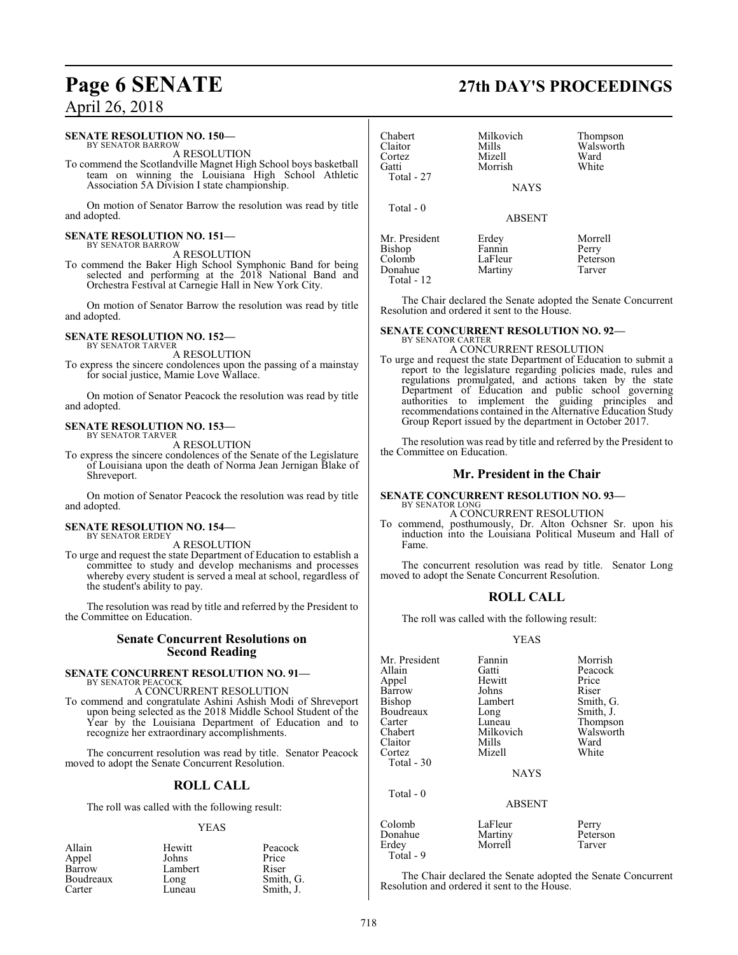### **SENATE RESOLUTION NO. 150—**

BY SENATOR BARROW A RESOLUTION

To commend the Scotlandville Magnet High School boys basketball team on winning the Louisiana High School Athletic Association 5A Division I state championship.

On motion of Senator Barrow the resolution was read by title and adopted.

#### **SENATE RESOLUTION NO. 151—** BY SENATOR BARROW

A RESOLUTION

To commend the Baker High School Symphonic Band for being selected and performing at the 2018 National Band and Orchestra Festival at Carnegie Hall in New York City.

On motion of Senator Barrow the resolution was read by title and adopted.

### **SENATE RESOLUTION NO. 152—**

BY SENATOR TARVER A RESOLUTION

To express the sincere condolences upon the passing of a mainstay for social justice, Mamie Love Wallace.

On motion of Senator Peacock the resolution was read by title and adopted.

### **SENATE RESOLUTION NO. 153—** BY SENATOR TARVER

A RESOLUTION

To express the sincere condolences of the Senate of the Legislature of Louisiana upon the death of Norma Jean Jernigan Blake of Shreveport.

On motion of Senator Peacock the resolution was read by title and adopted.

#### **SENATE RESOLUTION NO. 154—** BY SENATOR ERDEY

A RESOLUTION

To urge and request the state Department of Education to establish a committee to study and develop mechanisms and processes whereby every student is served a meal at school, regardless of the student's ability to pay.

The resolution was read by title and referred by the President to the Committee on Education.

### **Senate Concurrent Resolutions on Second Reading**

### **SENATE CONCURRENT RESOLUTION NO. 91—**

BY SENATOR PEACOCK A CONCURRENT RESOLUTION

To commend and congratulate Ashini Ashish Modi of Shreveport upon being selected as the 2018 Middle School Student of the Year by the Louisiana Department of Education and to recognize her extraordinary accomplishments.

The concurrent resolution was read by title. Senator Peacock moved to adopt the Senate Concurrent Resolution.

### **ROLL CALL**

The roll was called with the following result:

### YEAS

| Allain    | Hewitt  | Peacock   |
|-----------|---------|-----------|
| Appel     | Johns   | Price     |
| Barrow    | Lambert | Riser     |
| Boudreaux | Long    | Smith, G. |
| Carter    | Luneau  | Smith, J. |

### Claitor Mills Walsworth<br>
Cortez Mizell Ward Cortez Mizell Ward Morrish Total - 27 NAYS Total - 0 ABSENT Mr. President Erdey Morrell<br>Rishon Fannin Perry Bishop Fannin Perry<br>
Colomb LaFleur Peterson LaFleur Peterson<br>Martiny Tarver Donahue

 Total - 12 The Chair declared the Senate adopted the Senate Concurrent Resolution and ordered it sent to the House.

### **SENATE CONCURRENT RESOLUTION NO. 92—** BY SENATOR CARTER

Chabert Milkovich Thompson<br>Claitor Mills Walsworth

A CONCURRENT RESOLUTION

To urge and request the state Department of Education to submit a report to the legislature regarding policies made, rules and regulations promulgated, and actions taken by the state Department of Education and public school governing authorities to implement the guiding principles and recommendations contained in the Alternative Education Study Group Report issued by the department in October 2017.

The resolution was read by title and referred by the President to the Committee on Education.

### **Mr. President in the Chair**

**SENATE CONCURRENT RESOLUTION NO. 93—** BY SENATOR LONG

A CONCURRENT RESOLUTION

To commend, posthumously, Dr. Alton Ochsner Sr. upon his induction into the Louisiana Political Museum and Hall of Fame.

The concurrent resolution was read by title. Senator Long moved to adopt the Senate Concurrent Resolution.

### **ROLL CALL**

The roll was called with the following result:

### YEAS

| Mr. President<br>Allain<br>Appel | Fannin<br>Gatti<br>Hewitt | Morrish<br>Peacock<br>Price |
|----------------------------------|---------------------------|-----------------------------|
| Barrow                           | Johns                     | Riser                       |
| <b>Bishop</b>                    | Lambert                   | Smith, G.                   |
| Boudreaux                        | Long                      | Smith, J.                   |
| Carter                           | Luneau                    | Thompson                    |
| Chabert                          | Milkovich                 | Walsworth                   |
| Claitor                          | Mills                     | Ward                        |
| Cortez                           | Mizell                    | White                       |
| Total - 30                       |                           |                             |
|                                  | <b>NAYS</b>               |                             |
| Total $-0$                       |                           |                             |
|                                  | <b>ABSENT</b>             |                             |
| Colomb                           | LaFleur                   | Perry                       |
| Donahue                          | Martiny                   | Peterson                    |

Erdey Morrell Tarver

The Chair declared the Senate adopted the Senate Concurrent Resolution and ordered it sent to the House.

## **Page 6 SENATE 27th DAY'S PROCEEDINGS**

Total - 9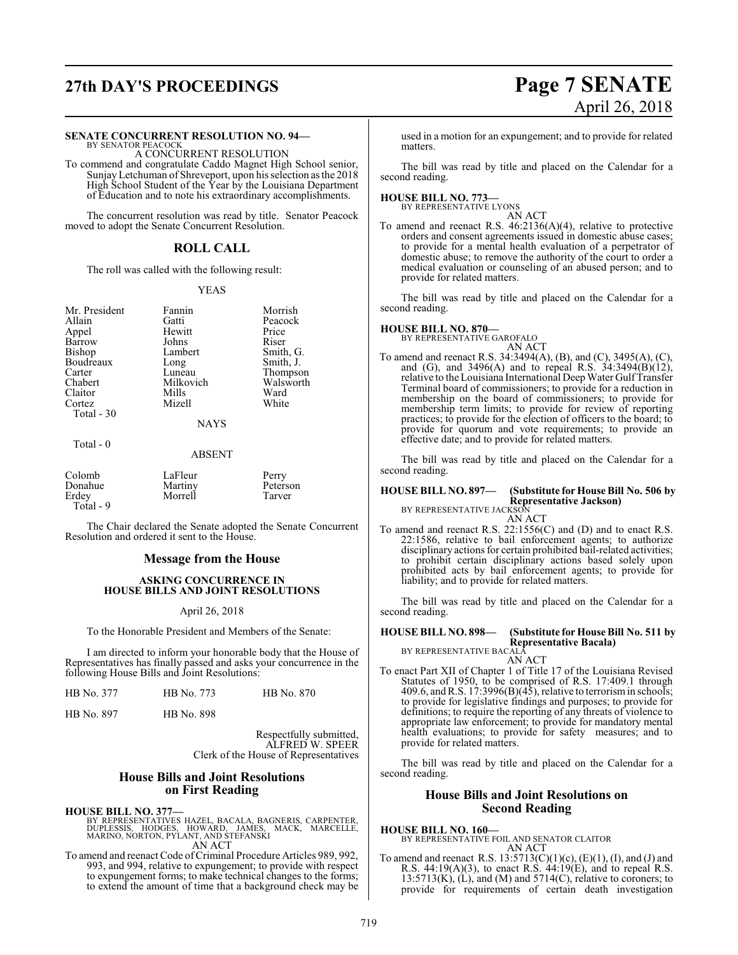## **27th DAY'S PROCEEDINGS Page 7 SENATE**

### **SENATE CONCURRENT RESOLUTION NO. 94—**

BY SENATOR PEACOCK A CONCURRENT RESOLUTION

To commend and congratulate Caddo Magnet High School senior, SunjayLetchuman of Shreveport, upon his selection as the 2018 High School Student of the Year by the Louisiana Department of Education and to note his extraordinary accomplishments.

The concurrent resolution was read by title. Senator Peacock moved to adopt the Senate Concurrent Resolution.

### **ROLL CALL**

The roll was called with the following result:

### YEAS

| Mr. President | Fannin      | Morrish   |
|---------------|-------------|-----------|
| Allain        | Gatti       | Peacock   |
|               |             |           |
| Appel         | Hewitt      | Price     |
| Barrow        | Johns       | Riser     |
| Bishop        | Lambert     | Smith, G. |
| Boudreaux     | Long        | Smith, J. |
| Carter        | Luneau      | Thompson  |
| Chabert       | Milkovich   | Walsworth |
| Claitor       | Mills       | Ward      |
| Cortez        | Mizell      | White     |
| Total $-30$   |             |           |
|               | <b>NAYS</b> |           |
| Total - 0     |             |           |

### ABSENT

| Colomb<br>Donahue<br>Erdev<br>Total - 9 | LaFleur<br>Martiny<br>Morrell | Perry<br>Peterson<br>Tarver |  |
|-----------------------------------------|-------------------------------|-----------------------------|--|
|                                         |                               |                             |  |

The Chair declared the Senate adopted the Senate Concurrent Resolution and ordered it sent to the House.

### **Message from the House**

### **ASKING CONCURRENCE IN HOUSE BILLS AND JOINT RESOLUTIONS**

### April 26, 2018

To the Honorable President and Members of the Senate:

I am directed to inform your honorable body that the House of Representatives has finally passed and asks your concurrence in the following House Bills and Joint Resolutions:

| HB No. 377 | HB No. 773 | HB No. 870 |
|------------|------------|------------|
|            |            |            |

HB No. 897 HB No. 898

Respectfully submitted, ALFRED W. SPEER Clerk of the House of Representatives

### **House Bills and Joint Resolutions on First Reading**

**HOUSE BILL NO. 377—**

BY REPRESENTATIVES HAZEL, BACALA, BAGNERIS, CARPENTER,<br>DUPLESSIS, HODGES, HOWARD, JAMES, MACK, MARCELLE,<br>MARINO, NORTON, PYLANT, AND STEFANSKI AN ACT

To amend and reenact Code of Criminal Procedure Articles 989, 992, 993, and 994, relative to expungement; to provide with respect to expungement forms; to make technical changes to the forms; to extend the amount of time that a background check may be

# April 26, 2018

used in a motion for an expungement; and to provide for related matters.

The bill was read by title and placed on the Calendar for a second reading.

### **HOUSE BILL NO. 773—** BY REPRESENTATIVE LYONS

AN ACT

To amend and reenact R.S. 46:2136(A)(4), relative to protective orders and consent agreements issued in domestic abuse cases; to provide for a mental health evaluation of a perpetrator of domestic abuse; to remove the authority of the court to order a medical evaluation or counseling of an abused person; and to provide for related matters.

The bill was read by title and placed on the Calendar for a second reading.

### **HOUSE BILL NO. 870—** BY REPRESENTATIVE GAROFALO

AN ACT

To amend and reenact R.S. 34:3494(A), (B), and (C), 3495(A), (C), and (G), and 3496(A) and to repeal R.S. 34:3494(B)(12), relative to theLouisiana International Deep Water GulfTransfer Terminal board of commissioners; to provide for a reduction in membership on the board of commissioners; to provide for membership term limits; to provide for review of reporting practices; to provide for the election of officers to the board; to provide for quorum and vote requirements; to provide an effective date; and to provide for related matters.

The bill was read by title and placed on the Calendar for a second reading.

#### **HOUSE BILL NO. 897— (Substitute for House Bill No. 506 by Representative Jackson)** BY REPRESENTATIVE JACKSON

AN ACT

To amend and reenact R.S. 22:1556(C) and (D) and to enact R.S. 22:1586, relative to bail enforcement agents; to authorize disciplinary actions for certain prohibited bail-related activities; to prohibit certain disciplinary actions based solely upon prohibited acts by bail enforcement agents; to provide for liability; and to provide for related matters.

The bill was read by title and placed on the Calendar for a second reading.

**HOUSE BILL NO. 898— (Substitute for House Bill No. 511 by Representative Bacala)** BY REPRESENTATIVE BACALA

AN ACT

To enact Part XII of Chapter 1 of Title 17 of the Louisiana Revised Statutes of 1950, to be comprised of R.S. 17:409.1 through 409.6, and R.S. 17:3996(B)(45), relative to terrorism in schools; to provide for legislative findings and purposes; to provide for definitions; to require the reporting of any threats of violence to appropriate law enforcement; to provide for mandatory mental health evaluations; to provide for safety measures; and to provide for related matters.

The bill was read by title and placed on the Calendar for a second reading.

### **House Bills and Joint Resolutions on Second Reading**

**HOUSE BILL NO. 160—** BY REPRESENTATIVE FOIL AND SENATOR CLAITOR AN ACT

To amend and reenact R.S.  $13:5713(C)(1)(c)$ ,  $(E)(1)$ ,  $(I)$ , and  $(J)$  and R.S. 44:19(A)(3), to enact R.S. 44:19(E), and to repeal R.S.  $13:5713(K)$ , (L), and (M) and  $5714(C)$ , relative to coroners; to provide for requirements of certain death investigation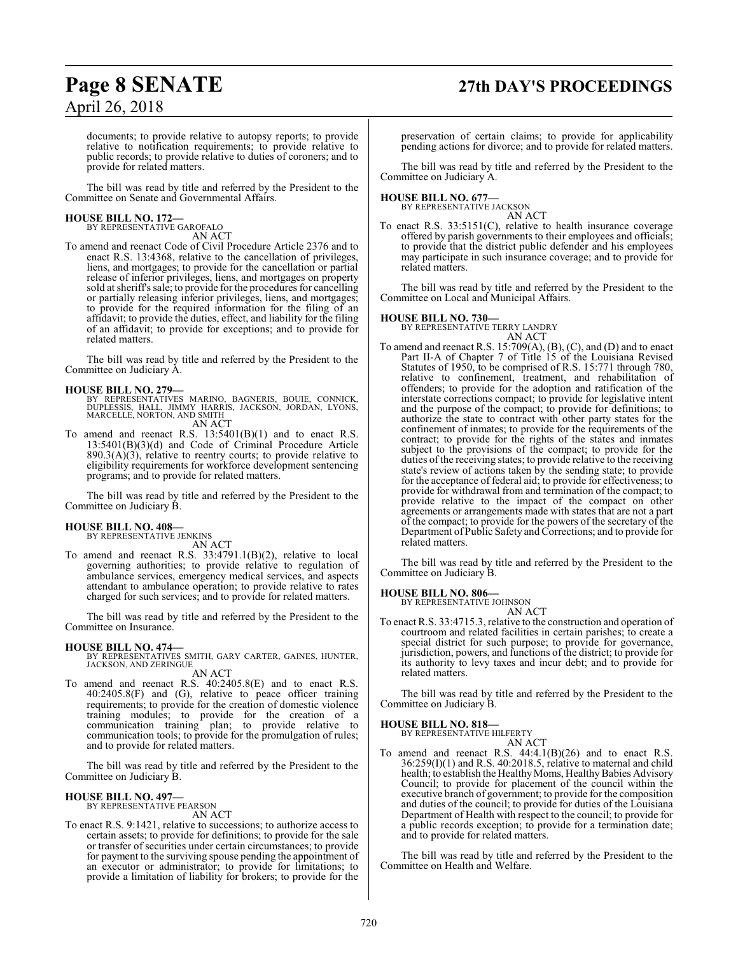## **Page 8 SENATE 27th DAY'S PROCEEDINGS**

documents; to provide relative to autopsy reports; to provide relative to notification requirements; to provide relative to public records; to provide relative to duties of coroners; and to provide for related matters.

The bill was read by title and referred by the President to the Committee on Senate and Governmental Affairs.

**HOUSE BILL NO. 172—** BY REPRESENTATIVE GAROFALO AN ACT

To amend and reenact Code of Civil Procedure Article 2376 and to enact R.S. 13:4368, relative to the cancellation of privileges, liens, and mortgages; to provide for the cancellation or partial release of inferior privileges, liens, and mortgages on property sold at sheriff's sale; to provide for the procedures for cancelling or partially releasing inferior privileges, liens, and mortgages; to provide for the required information for the filing of an affidavit; to provide the duties, effect, and liability for the filing of an affidavit; to provide for exceptions; and to provide for related matters.

The bill was read by title and referred by the President to the Committee on Judiciary A.

### **HOUSE BILL NO. 279—**

- BY REPRESENTATIVES MARINO, BAGNERIS, BOUIE, CONNICK,<br>DUPLESSIS, HALL, JIMMY HARRIS, JACKSON, JORDAN, LYONS,<br>MARCELLE,NORTON,AND SMITH AN ACT
- To amend and reenact R.S. 13:5401(B)(1) and to enact R.S. 13:5401(B)(3)(d) and Code of Criminal Procedure Article  $890.3(A)(3)$ , relative to reentry courts; to provide relative to eligibility requirements for workforce development sentencing programs; and to provide for related matters.

The bill was read by title and referred by the President to the Committee on Judiciary B.

### **HOUSE BILL NO. 408—** BY REPRESENTATIVE JENKINS

AN ACT

To amend and reenact R.S. 33:4791.1(B)(2), relative to local governing authorities; to provide relative to regulation of ambulance services, emergency medical services, and aspects attendant to ambulance operation; to provide relative to rates charged for such services; and to provide for related matters.

The bill was read by title and referred by the President to the Committee on Insurance.

**HOUSE BILL NO. 474—** BY REPRESENTATIVES SMITH, GARY CARTER, GAINES, HUNTER, JACKSON, AND ZERINGUE AN ACT

To amend and reenact R.S. 40:2405.8(E) and to enact R.S. 40:2405.8(F) and (G), relative to peace officer training requirements; to provide for the creation of domestic violence training modules; to provide for the creation of a communication training plan; to provide relative to communication tools; to provide for the promulgation of rules; and to provide for related matters.

The bill was read by title and referred by the President to the Committee on Judiciary B.

## **HOUSE BILL NO. 497—** BY REPRESENTATIVE PEARSON

AN ACT

To enact R.S. 9:1421, relative to successions; to authorize access to certain assets; to provide for definitions; to provide for the sale or transfer of securities under certain circumstances; to provide for payment to the surviving spouse pending the appointment of an executor or administrator; to provide for limitations; to provide a limitation of liability for brokers; to provide for the

preservation of certain claims; to provide for applicability pending actions for divorce; and to provide for related matters.

The bill was read by title and referred by the President to the Committee on Judiciary A.

## **HOUSE BILL NO. 677—** BY REPRESENTATIVE JACKSON

- AN ACT
- To enact R.S. 33:5151(C), relative to health insurance coverage offered by parish governments to their employees and officials; to provide that the district public defender and his employees may participate in such insurance coverage; and to provide for related matters.

The bill was read by title and referred by the President to the Committee on Local and Municipal Affairs.

### **HOUSE BILL NO. 730—**

BY REPRESENTATIVE TERRY LANDRY AN ACT

To amend and reenact R.S. 15:709(A), (B), (C), and (D) and to enact Part II-A of Chapter 7 of Title 15 of the Louisiana Revised Statutes of 1950, to be comprised of R.S. 15:771 through 780, relative to confinement, treatment, and rehabilitation of offenders; to provide for the adoption and ratification of the interstate corrections compact; to provide for legislative intent and the purpose of the compact; to provide for definitions; to authorize the state to contract with other party states for the confinement of inmates; to provide for the requirements of the contract; to provide for the rights of the states and inmates subject to the provisions of the compact; to provide for the duties of the receiving states; to provide relative to the receiving state's review of actions taken by the sending state; to provide for the acceptance of federal aid; to provide for effectiveness; to provide for withdrawal from and termination of the compact; to provide relative to the impact of the compact on other agreements or arrangements made with states that are not a part of the compact; to provide for the powers of the secretary of the Department of Public Safety and Corrections; and to provide for related matters.

The bill was read by title and referred by the President to the Committee on Judiciary B.

## **HOUSE BILL NO. 806—** BY REPRESENTATIVE JOHNSON

AN ACT

To enact R.S. 33:4715.3, relative to the construction and operation of courtroom and related facilities in certain parishes; to create a special district for such purpose; to provide for governance, jurisdiction, powers, and functions of the district; to provide for its authority to levy taxes and incur debt; and to provide for related matters.

The bill was read by title and referred by the President to the Committee on Judiciary B.

### **HOUSE BILL NO. 818—**

BY REPRESENTATIVE HILFERTY AN ACT

To amend and reenact R.S. 44:4.1(B)(26) and to enact R.S. 36:259(I)(1) and R.S. 40:2018.5, relative to maternal and child health; to establish the Healthy Moms, Healthy Babies Advisory Council; to provide for placement of the council within the executive branch of government; to provide for the composition and duties of the council; to provide for duties of the Louisiana Department of Health with respect to the council; to provide for a public records exception; to provide for a termination date; and to provide for related matters.

The bill was read by title and referred by the President to the Committee on Health and Welfare.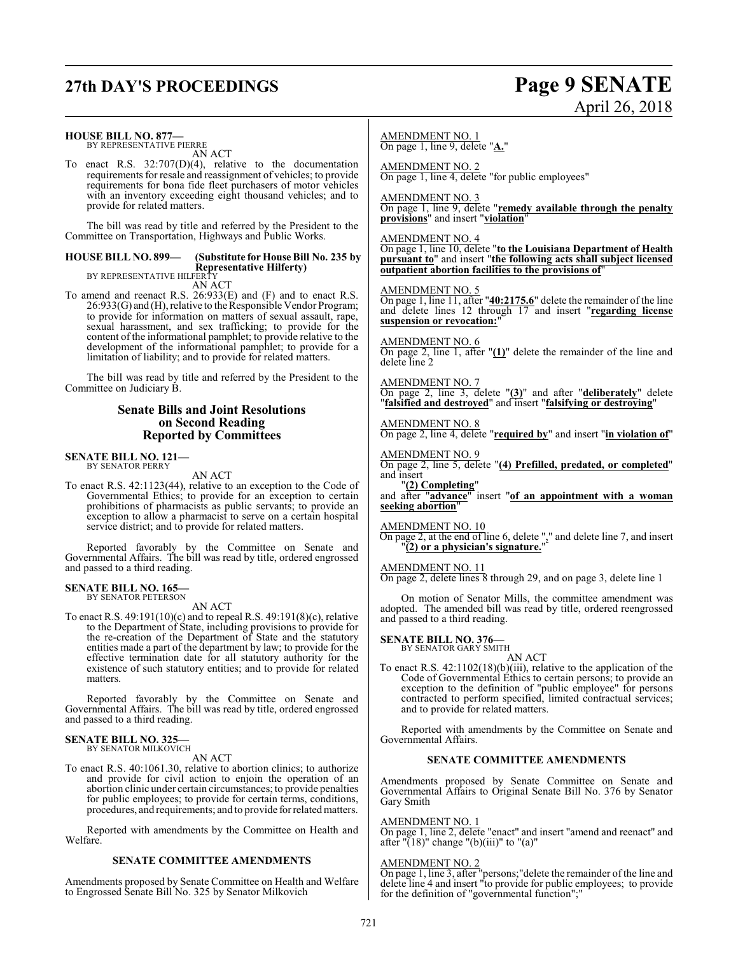## **27th DAY'S PROCEEDINGS Page 9 SENATE** April 26, 2018

| <b>HOUSE BILL NO. 877—</b><br>BY REPRESENTATIVE PIERRE<br>AN ACT<br>To enact R.S. $32:707(D)(4)$ , relative to the documentation<br>requirements for resale and reassignment of vehicles; to provide<br>requirements for bona fide fleet purchasers of motor vehicles<br>with an inventory exceeding eight thousand vehicles; and to<br>provide for related matters.<br>The bill was read by title and referred by the President to the<br>Committee on Transportation, Highways and Public Works.<br><b>HOUSE BILL NO. 899—</b><br>(Substitute for House Bill No. 235 by<br><b>Representative Hilferty)</b><br>BY REPRESENTATIVE HILFERTY                  | <b>AMENDMENT NO. 1</b><br>On page 1, line 9, delete "A."<br><b>AMENDMENT NO. 2</b><br>On page 1, line 4, delete "for public employees"<br><b>AMENDMENT NO. 3</b><br>On page 1, line 9, delete "remedy available through the penalty<br>provisions" and insert "violation"<br><b>AMENDMENT NO. 4</b><br>On page 1, line 10, delete "to the Louisiana Department of Health<br>pursuant to" and insert "the following acts shall subject licensed<br>outpatient abortion facilities to the provisions of"                                                |
|-------------------------------------------------------------------------------------------------------------------------------------------------------------------------------------------------------------------------------------------------------------------------------------------------------------------------------------------------------------------------------------------------------------------------------------------------------------------------------------------------------------------------------------------------------------------------------------------------------------------------------------------------------------|-------------------------------------------------------------------------------------------------------------------------------------------------------------------------------------------------------------------------------------------------------------------------------------------------------------------------------------------------------------------------------------------------------------------------------------------------------------------------------------------------------------------------------------------------------|
| AN ACT<br>To amend and reenact R.S. 26:933(E) and (F) and to enact R.S.<br>26:933(G) and (H), relative to the Responsible Vendor Program;<br>to provide for information on matters of sexual assault, rape,<br>sexual harassment, and sex trafficking; to provide for the<br>content of the informational pamphlet; to provide relative to the<br>development of the informational pamphlet; to provide for a<br>limitation of liability; and to provide for related matters.<br>The bill was read by title and referred by the President to the<br>Committee on Judiciary B.                                                                               | <b>AMENDMENT NO. 5</b><br>On page 1, line 11, after "40:2175.6" delete the remainder of the line<br>and delete lines $12$ through $17$ and insert "regarding license<br>suspension or revocation:"<br><b>AMENDMENT NO. 6</b><br>On page 2, line 1, after " $(1)$ " delete the remainder of the line and<br>delete line 2<br><b>AMENDMENT NO. 7</b><br>On page 2, line 3, delete " $(3)$ " and after "deliberately" delete                                                                                                                             |
| <b>Senate Bills and Joint Resolutions</b><br>on Second Reading<br><b>Reported by Committees</b>                                                                                                                                                                                                                                                                                                                                                                                                                                                                                                                                                             | "falsified and destroyed" and insert "falsifying or destroying"<br><b>AMENDMENT NO. 8</b><br>On page 2, line 4, delete "required by" and insert "in violation of"                                                                                                                                                                                                                                                                                                                                                                                     |
| <b>SENATE BILL NO. 121—</b><br><b>BY SENATOR PERRY</b><br>AN ACT<br>To enact R.S. 42:1123(44), relative to an exception to the Code of<br>Governmental Ethics; to provide for an exception to certain<br>prohibitions of pharmacists as public servants; to provide an<br>exception to allow a pharmacist to serve on a certain hospital<br>service district; and to provide for related matters.<br>Reported favorably by the Committee on Senate and<br>Governmental Affairs. The bill was read by title, ordered engrossed<br>and passed to a third reading.                                                                                             | <b>AMENDMENT NO. 9</b><br>On page 2, line 5, delete "(4) Prefilled, predated, or completed"<br>and insert<br>"(2) Completing"<br>and after "advance" insert "of an appointment with a woman<br>seeking abortion"<br><u>AMENDMENT NO. 10</u><br>On page 2, at the end of line 6, delete $\frac{1}{2}$ and delete line 7, and insert<br>"(2) or a physician's signature."<br><b>AMENDMENT NO. 11</b><br>On page 2, delete lines 8 through 29, and on page 3, delete line 1                                                                              |
| SENATE BILL NO. 165—<br>BY SENATOR PETERSON<br>AN ACT<br>To enact R.S. $49:191(10)(c)$ and to repeal R.S. $49:191(8)(c)$ , relative<br>to the Department of State, including provisions to provide for<br>the re-creation of the Department of State and the statutory<br>entities made a part of the department by law; to provide for the<br>effective termination date for all statutory authority for the<br>existence of such statutory entities; and to provide for related<br>matters.<br>Reported favorably by the Committee on Senate and<br>Governmental Affairs. The bill was read by title, ordered engrossed<br>and passed to a third reading. | On motion of Senator Mills, the committee amendment was<br>adopted. The amended bill was read by title, ordered reengrossed<br>and passed to a third reading.<br><b>SENATE BILL NO. 376-</b><br>BY SENATOR GARY SMITH<br>AN ACT<br>To enact R.S. $42:1102(18)(b)(iii)$ , relative to the application of the<br>Code of Governmental Ethics to certain persons; to provide an<br>exception to the definition of "public employee" for persons<br>contracted to perform specified, limited contractual services;<br>and to provide for related matters. |
| <b>SENATE BILL NO. 325—</b><br>BY SENATOR MILKOVICH<br>AN ACT<br>To enact R.S. 40:1061.30, relative to abortion clinics; to authorize                                                                                                                                                                                                                                                                                                                                                                                                                                                                                                                       | Reported with amendments by the Committee on Senate and<br>Governmental Affairs.<br>SENATE COMMITTEE AMENDMENTS                                                                                                                                                                                                                                                                                                                                                                                                                                       |
| and provide for civil action to enjoin the operation of an<br>abortion clinic under certain circumstances; to provide penalties<br>for public employees; to provide for certain terms, conditions,<br>procedures, and requirements; and to provide for related matters.                                                                                                                                                                                                                                                                                                                                                                                     | Amendments proposed by Senate Committee on Senate and<br>Governmental Affairs to Original Senate Bill No. 376 by Senator<br>Gary Smith<br><b>AMENDMENT NO. 1</b>                                                                                                                                                                                                                                                                                                                                                                                      |
| Reported with amendments by the Committee on Health and<br>Welfare.                                                                                                                                                                                                                                                                                                                                                                                                                                                                                                                                                                                         | On page 1, line 2, delete "enact" and insert "amend and reenact" and<br>after "(18)" change "(b)(iii)" to "(a)"                                                                                                                                                                                                                                                                                                                                                                                                                                       |

### **SENATE COMMITTEE AMENDMENTS**

Amendments proposed by Senate Committee on Health and Welfare to Engrossed Senate Bill No. 325 by Senator Milkovich

AMENDMENT NO. 2

On page 1, line 3, after "persons;"delete the remainder of the line and delete line 4 and insert "to provide for public employees; to provide

for the definition of "governmental function";"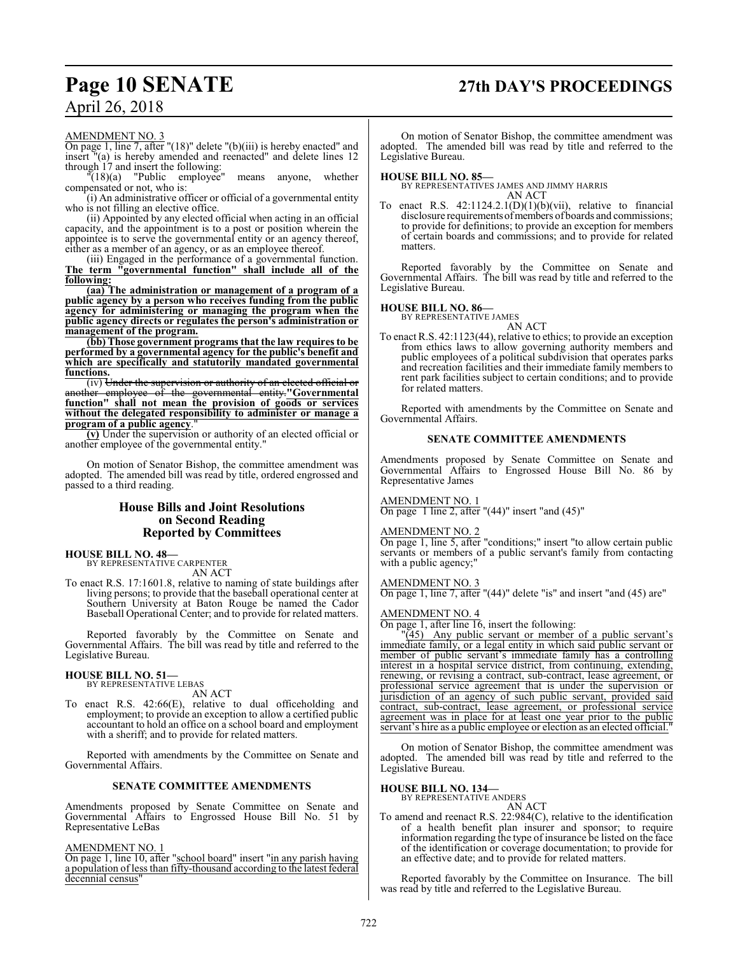### **Page 10 SENATE 27th DAY'S PROCEEDINGS**

### April 26, 2018

### AMENDMENT NO. 3

On page 1, line 7, after "(18)" delete "(b)(iii) is hereby enacted" and insert "(a) is hereby amended and reenacted" and delete lines 12 through  $17$  and insert the following:<br>"(18)(a) "Public employee"

means anyone, whether compensated or not, who is:

(i) An administrative officer or official of a governmental entity who is not filling an elective office.

(ii) Appointed by any elected official when acting in an official capacity, and the appointment is to a post or position wherein the appointee is to serve the governmental entity or an agency thereof, either as a member of an agency, or as an employee thereof.

(iii) Engaged in the performance of a governmental function. **The term "governmental function" shall include all of the following:**

**(aa) The administration or management of a program of a public agency by a person who receives funding from the public agency for administering or managing the program when the public agency directs or regulates the person's administration or management of the program.**

**(bb) Those government programs that the law requires to be performed by a governmental agency for the public's benefit and which are specifically and statutorily mandated governmental functions.**

(iv) Under the supervision or authority of an elected official or another employee of the governmental entity.**"Governmental function" shall not mean the provision of goods or services without the delegated responsibility to administer or manage a program of a public agency**."

**(v)** Under the supervision or authority of an elected official or another employee of the governmental entity."

On motion of Senator Bishop, the committee amendment was adopted. The amended bill was read by title, ordered engrossed and passed to a third reading.

### **House Bills and Joint Resolutions on Second Reading Reported by Committees**

#### **HOUSE BILL NO. 48—** BY REPRESENTATIVE CARPENTER

AN ACT

To enact R.S. 17:1601.8, relative to naming of state buildings after living persons; to provide that the baseball operational center at Southern University at Baton Rouge be named the Cador Baseball Operational Center; and to provide for related matters.

Reported favorably by the Committee on Senate and Governmental Affairs. The bill was read by title and referred to the Legislative Bureau.

#### **HOUSE BILL NO. 51—** BY REPRESENTATIVE LEBAS

AN ACT

To enact R.S. 42:66(E), relative to dual officeholding and employment; to provide an exception to allow a certified public accountant to hold an office on a school board and employment with a sheriff; and to provide for related matters.

Reported with amendments by the Committee on Senate and Governmental Affairs.

### **SENATE COMMITTEE AMENDMENTS**

Amendments proposed by Senate Committee on Senate and Governmental Affairs to Engrossed House Bill No. 51 by Representative LeBas

AMENDMENT NO. 1

On page 1, line 10, after "school board" insert "in any parish having a population of less than fifty-thousand according to the latest federal decennial census'

On motion of Senator Bishop, the committee amendment was adopted. The amended bill was read by title and referred to the Legislative Bureau.

### **HOUSE BILL NO. 85—**

BY REPRESENTATIVES JAMES AND JIMMY HARRIS AN ACT

To enact R.S. 42:1124.2.1(D)(1)(b)(vii), relative to financial disclosure requirements of members of boards and commissions; to provide for definitions; to provide an exception for members of certain boards and commissions; and to provide for related matters.

Reported favorably by the Committee on Senate and Governmental Affairs. The bill was read by title and referred to the Legislative Bureau.

### **HOUSE BILL NO. 86—**

BY REPRESENTATIVE JAMES

AN ACT To enact R.S. 42:1123(44), relative to ethics; to provide an exception from ethics laws to allow governing authority members and public employees of a political subdivision that operates parks and recreation facilities and their immediate family members to rent park facilities subject to certain conditions; and to provide for related matters.

Reported with amendments by the Committee on Senate and Governmental Affairs.

### **SENATE COMMITTEE AMENDMENTS**

Amendments proposed by Senate Committee on Senate and Governmental Affairs to Engrossed House Bill No. 86 by Representative James

### AMENDMENT NO. 1

On page 1 line 2, after " $(44)$ " insert "and  $(45)$ "

### AMENDMENT NO. 2

On page 1, line 5, after "conditions;" insert "to allow certain public servants or members of a public servant's family from contacting with a public agency;"

### AMENDMENT NO. 3

On page 1, line 7, after "(44)" delete "is" and insert "and (45) are"

### AMENDMENT NO. 4

On page 1, after line 16, insert the following:

"(45) Any public servant or member of a public servant's immediate family, or a legal entity in which said public servant or member of public servant's immediate family has a controlling interest in a hospital service district, from continuing, extending, renewing, or revising a contract, sub-contract, lease agreement, or professional service agreement that is under the supervision or jurisdiction of an agency of such public servant, provided said contract, sub-contract, lease agreement, or professional service agreement was in place for at least one year prior to the public servant's hire as a public employee or election as an elected official."

On motion of Senator Bishop, the committee amendment was adopted. The amended bill was read by title and referred to the Legislative Bureau.

### **HOUSE BILL NO. 134—**

BY REPRESENTATIVE ANDERS

AN ACT To amend and reenact R.S. 22:984(C), relative to the identification of a health benefit plan insurer and sponsor; to require information regarding the type of insurance be listed on the face of the identification or coverage documentation; to provide for an effective date; and to provide for related matters.

Reported favorably by the Committee on Insurance. The bill was read by title and referred to the Legislative Bureau.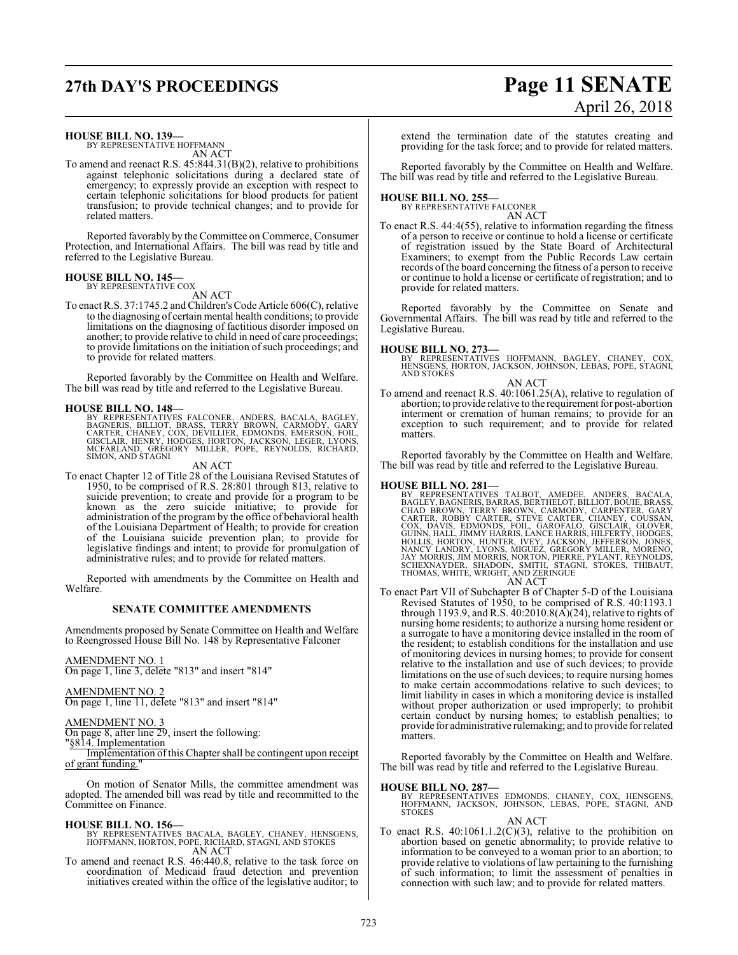## **27th DAY'S PROCEEDINGS Page 11 SENATE**

# April 26, 2018

### **HOUSE BILL NO. 139—**

BY REPRESENTATIVE HOFFMANN AN ACT

To amend and reenact R.S. 45:844.31(B)(2), relative to prohibitions against telephonic solicitations during a declared state of emergency; to expressly provide an exception with respect to certain telephonic solicitations for blood products for patient transfusion; to provide technical changes; and to provide for related matters.

Reported favorably by the Committee on Commerce, Consumer Protection, and International Affairs. The bill was read by title and referred to the Legislative Bureau.

#### **HOUSE BILL NO. 145—** BY REPRESENTATIVE COX

AN ACT

To enact R.S. 37:1745.2 and Children'sCode Article 606(C), relative to the diagnosing of certain mental health conditions; to provide limitations on the diagnosing of factitious disorder imposed on another; to provide relative to child in need of care proceedings; to provide limitations on the initiation of such proceedings; and to provide for related matters.

Reported favorably by the Committee on Health and Welfare. The bill was read by title and referred to the Legislative Bureau.

**HOUSE BILL NO. 148—**<br>BY REPRESENTATIVES FALCONER, ANDERS, BACALA, BAGLEY,<br>BAGNERIS, BILLIOT, BRASS, TERRY BROWN, CARMODY, GARY<br>CARTER, CHANEY, COX, DEVILLIER, EDMONDS, EMERSON, FOIL,<br>GISCLAIR, HENRY, HODGES, HORTON, JACKS

### AN ACT

To enact Chapter 12 of Title 28 of the Louisiana Revised Statutes of 1950, to be comprised of R.S. 28:801 through 813, relative to suicide prevention; to create and provide for a program to be known as the zero suicide initiative; to provide for administration of the program by the office of behavioral health of the Louisiana Department of Health; to provide for creation of the Louisiana suicide prevention plan; to provide for legislative findings and intent; to provide for promulgation of administrative rules; and to provide for related matters.

Reported with amendments by the Committee on Health and Welfare.

### **SENATE COMMITTEE AMENDMENTS**

Amendments proposed by Senate Committee on Health and Welfare to Reengrossed House Bill No. 148 by Representative Falconer

AMENDMENT NO. 1 On page 1, line 3, delete "813" and insert "814"

AMENDMENT NO. 2 On page 1, line 11, delete "813" and insert "814"

AMENDMENT NO. 3

On page 8, after line 29, insert the following:

"§814. Implementation Implementation of this Chapter shall be contingent upon receipt of grant funding."

On motion of Senator Mills, the committee amendment was adopted. The amended bill was read by title and recommitted to the Committee on Finance.

### **HOUSE BILL NO. 156—**

BY REPRESENTATIVES BACALA, BAGLEY, CHANEY, HENSGENS, HOFFMANN, HORTON, POPE, RICHARD, STAGNI, AND STOKES AN ACT

To amend and reenact R.S. 46:440.8, relative to the task force on coordination of Medicaid fraud detection and prevention initiatives created within the office of the legislative auditor; to

extend the termination date of the statutes creating and providing for the task force; and to provide for related matters.

Reported favorably by the Committee on Health and Welfare. The bill was read by title and referred to the Legislative Bureau.

**HOUSE BILL NO. 255—** BY REPRESENTATIVE FALCONER

- AN ACT
- To enact R.S. 44:4(55), relative to information regarding the fitness of a person to receive or continue to hold a license or certificate of registration issued by the State Board of Architectural Examiners; to exempt from the Public Records Law certain records of the board concerning the fitness of a person to receive or continue to hold a license or certificate of registration; and to provide for related matters.

Reported favorably by the Committee on Senate and Governmental Affairs. The bill was read by title and referred to the Legislative Bureau.

**HOUSE BILL NO. 273—** BY REPRESENTATIVES HOFFMANN, BAGLEY, CHANEY, COX, HENSGENS, HORTON, JACKSON, JOHNSON, LEBAS, POPE, STAGNI, AND STOKES

AN ACT To amend and reenact R.S. 40:1061.25(A), relative to regulation of abortion; to provide relative to the requirement for post-abortion interment or cremation of human remains; to provide for an exception to such requirement; and to provide for related

Reported favorably by the Committee on Health and Welfare. The bill was read by title and referred to the Legislative Bureau.

matters

**HOUSE BILL NO. 281—**<br>BY REPRESENTATIVES TALBOT, AMEDEE, ANDERS, BACALA,<br>BAGLEY, BAGNERIS, BARRAS, BERTHELOT, BILLIOT, BOUIE, BRASS,<br>CHAD BROWN, TERRY BROWN, CARMODY, CARPENTER, GARY<br>CARTER, ROBBY CARTER, STEVE CARTER, CHA

AN ACT

To enact Part VII of Subchapter B of Chapter 5-D of the Louisiana Revised Statutes of 1950, to be comprised of R.S. 40:1193.1 through 1193.9, and R.S. 40:2010.8(A)(24), relative to rights of nursing home residents; to authorize a nursing home resident or a surrogate to have a monitoring device installed in the room of the resident; to establish conditions for the installation and use of monitoring devices in nursing homes; to provide for consent relative to the installation and use of such devices; to provide limitations on the use of such devices; to require nursing homes to make certain accommodations relative to such devices; to limit liability in cases in which a monitoring device is installed without proper authorization or used improperly; to prohibit certain conduct by nursing homes; to establish penalties; to provide for administrative rulemaking; and to provide for related matters.

Reported favorably by the Committee on Health and Welfare. The bill was read by title and referred to the Legislative Bureau.

### **HOUSE BILL NO. 287—**

BY REPRESENTATIVES EDMONDS, CHANEY, COX, HENSGENS,<br>HOFFMANN, JACKSON, JOHNSON, LEBAS, POPE, STAGNI, AND<br>STOKES

AN ACT

To enact R.S.  $40:1061.1.2(C)(3)$ , relative to the prohibition on abortion based on genetic abnormality; to provide relative to information to be conveyed to a woman prior to an abortion; to provide relative to violations of law pertaining to the furnishing of such information; to limit the assessment of penalties in connection with such law; and to provide for related matters.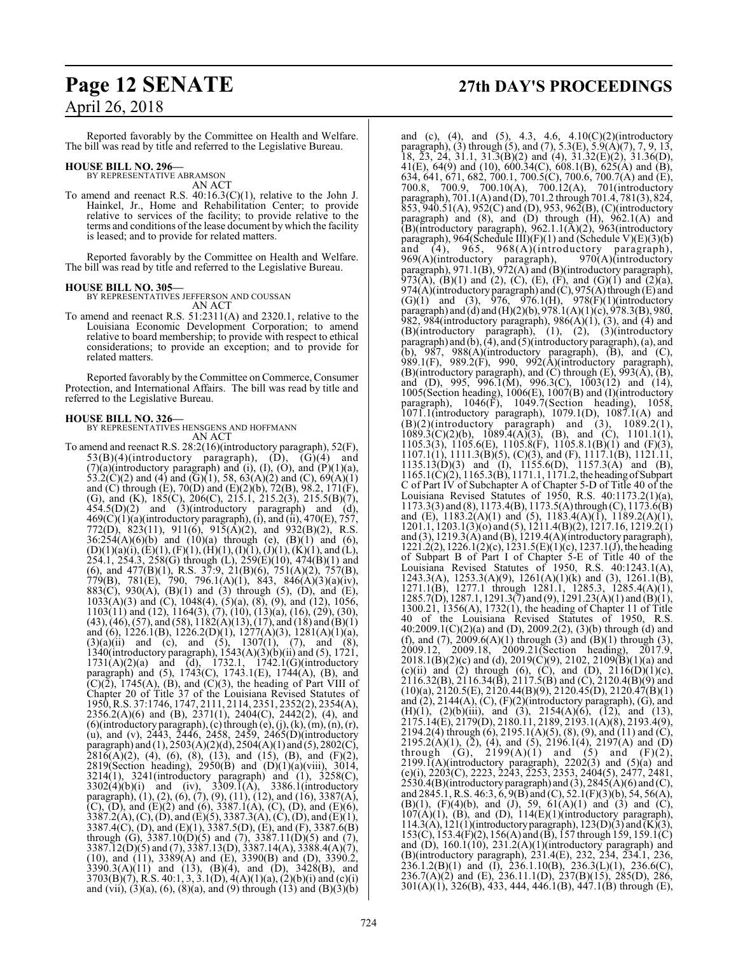Reported favorably by the Committee on Health and Welfare. The bill was read by title and referred to the Legislative Bureau.

### **HOUSE BILL NO. 296—**

BY REPRESENTATIVE ABRAMSON AN ACT

To amend and reenact R.S. 40:16.3(C)(1), relative to the John J. Hainkel, Jr., Home and Rehabilitation Center; to provide relative to services of the facility; to provide relative to the terms and conditions of the lease document by which the facility is leased; and to provide for related matters.

Reported favorably by the Committee on Health and Welfare. The bill was read by title and referred to the Legislative Bureau.

**HOUSE BILL NO. 305—** BY REPRESENTATIVES JEFFERSON AND COUSSAN AN ACT

To amend and reenact R.S. 51:2311(A) and 2320.1, relative to the Louisiana Economic Development Corporation; to amend relative to board membership; to provide with respect to ethical considerations; to provide an exception; and to provide for related matters.

Reported favorably by the Committee on Commerce, Consumer Protection, and International Affairs. The bill was read by title and referred to the Legislative Bureau.

**HOUSE BILL NO. 326—** BY REPRESENTATIVES HENSGENS AND HOFFMANN AN ACT

To amend and reenact R.S. 28:2(16)(introductory paragraph), 52(F),  $53(B)(4)$ (introductory paragraph),  $(D)$ ,  $(G)(4)$  and  $(7)(a)$ (introductory paragraph) and (i), (I), (O), and  $(P)(1)(a)$ , 53.2(C)(2) and (4) and (G)(1), 58, 63(A)(2) and (C), 69(A)(1) and (C) through (E), 70(D) and (E)(2)(b), 72(B), 98.2, 171(F), (G), and (K), 185(C), 206(C), 215.1, 215.2(3), 215.5(B)(7),  $454.5(D)(2)$  and  $(3)(introducing$  paragraph) and  $(d),$  $469(C)(1)(a)$ (introductory paragraph), (i), and (ii),  $470(E)$ ,  $757$ , 772(D), 823(11), 911(6), 915(A)(2), and 932(B)(2), R.S.  $36:254(A)(6)(b)$  and  $(10)(a)$  through (e),  $(B)(1)$  and  $(6)$ ,  $(D)(1)(a)(i), (E)(1), (F)(1), (H)(1), (I)(1), (J)(1), (K)(1),$  and  $(L)$ , 254.1, 254.3, 258(G) through (L), 259(E)(10), 474(B)(1) and (6), and  $477(B)(1)$ , R.S.  $37:9$ ,  $21(B)(6)$ ,  $751(A)(2)$ ,  $757(B)$ , 779(B), 781(E), 790, 796.1(A)(1), 843, 846(A)(3)(a)(iv), 883(C), 930(A), (B)(1) and (3) through (5), (D), and (E),  $1033(A)(3)$  and (C),  $1048(4)$ ,  $(5)(a)$ ,  $(8)$ ,  $(9)$ , and  $(12)$ ,  $1056$ , 1103(11) and (12), 1164(3), (7), (10), (13)(a), (16), (29), (30),  $(43)$ ,  $(46)$ ,  $(57)$ , and  $(58)$ ,  $1182(A)(13)$ ,  $(17)$ , and  $(18)$  and  $(B)(1)$ and (6), 1226.1(B), 1226.2(D)(1), 1277(A)(3), 1281(A)(1)(a),  $(3)(a)(ii)$  and (c), and (5), 1307(1), (7), and (8), 1340(introductory paragraph), 1543(A)(3)(b)(ii) and (5), 1721, 1731(A)(2)(a) and (d), 1732.1, 1742.1(G)(introductory paragraph) and (5), 1743(C), 1743.1(E), 1744(A), (B), and  $(C)(\overline{2})$ , 1745(A), (B), and (C)(3), the heading of Part VIII of Chapter 20 of Title 37 of the Louisiana Revised Statutes of 1950, R.S. 37:1746, 1747, 2111, 2114, 2351, 2352(2), 2354(A), 2356.2(A)(6) and (B), 2371(1), 2404(C), 2442(2), (4), and (6)(introductory paragraph), (c) through  $(e)$ , (j),  $(k)$ ,  $(m)$ ,  $(n)$ ,  $(r)$ , (u), and (v), 2443, 2446, 2458, 2459, 2465(D)(introductory paragraph) and (1), 2503(A)(2)(d), 2504(A)(1) and (5), 2802(C),  $2816(A)(2)$ , (4), (6), (8), (13), and (15), (B), and (F)(2), 2819(Section heading), 2950(B) and (D)(1)(a)(viii), 3014, 3214(1), 3241(introductory paragraph) and (1), 3258(C),  $3302(4)(b)(i)$  and (iv),  $3309.\overline{1}(A)$ ,  $3386.1(introductor)$ paragraph), (1), (2), (6), (7), (9), (11), (12), and (16), 3387(A),  $(C)$ ,  $(D)$ , and  $(E)(2)$  and  $(6)$ , 3387.1(A),  $(C)$ ,  $(D)$ , and  $(E)(6)$ ,  $3387.2(A), (C), (D),$  and  $(E)(5), 3387.3(A), (C), (D),$  and  $(E)(1),$ 3387.4(C), (D), and (E)(1), 3387.5(D), (E), and (F), 3387.6(B) through (G),  $3387.10(D)(5)$  and (7),  $3387.11(D)(5)$  and (7), 3387.12(D)(5) and (7), 3387.13(D), 3387.14(A), 3388.4(A)(7), (10), and (11), 3389(A) and (E), 3390(B) and (D), 3390.2, 3390.3(A)(11) and (13), (B)(4), and (D), 3428(B), and 3703(B)(7), R.S. 40:1, 3, 3.1(D), 4(A)(1)(a), (2)(b)(i) and (c)(i) and (vii), (3)(a), (6), (8)(a), and (9) through (13) and (B)(3)(b)

## **Page 12 SENATE 27th DAY'S PROCEEDINGS**

and (c), (4), and (5), 4.3, 4.6, 4.10(C)(2)(introductory paragraph), (3) through (5), and (7), 5.3(E), 5.9(A)(7), 7, 9, 13, 18, 23, 24, 31.1, 31.3(B)(2) and (4), 31.32(E)(2), 31.36(D), 41(E), 64(9) and (10), 600.34(C), 608.1(B), 625(A) and (B), 634, 641, 671, 682, 700.1, 700.5(C), 700.6, 700.7(A) and (E), 700.8, 700.9, 700.10(A), 700.12(A), 701(introductory paragraph), 701.1(A) and (D), 701.2 through 701.4, 781(3), 824,  $853,940.51(A),952(C)$  and (D), 953, 962(B), (C)(introductory paragraph) and (8), and (D) through (H), 962.1(A) and (B)(introductory paragraph), 962.1.1(A)(2), 963(introductory paragraph), 964(Schedule III)(F)(1) and (Schedule V)(E)(3)(b) and (4), 965, 968(A)(introductory paragraph), 969(A)(introductory paragraph), 969(A)(introductory paragraph), 970(A)(introductory paragraph), 971.1(B), 972(A) and (B)(introductory paragraph), 973(A), (B)(1) and (2), (C), (E), (F), and (G)(1) and (2)(a), 974(A)(introductory paragraph) and  $(C)$ , 975(A) through  $(E)$  and  $(G)(1)$  and  $(3)$ , 976, 976.1(H), 978(F)(1)(introductory paragraph) and (d) and (H)(2)(b), 978.1(A)(1)(c), 978.3(B), 980, 982, 984(introductory paragraph),  $986(A)(1)$ ,  $(3)$ , and  $(4)$  and (B)(introductory paragraph), (1), (2), (3)(introductory paragraph) and (b), (4), and (5)(introductory paragraph), (a), and (b),  $987$ ,  $988(A)$ (introductory paragraph),  $(B)$ , and  $(C)$ , 989.1(F), 989.2(F), 990, 992(A)(introductory paragraph),  $(B)$ (introductory paragraph), and  $(C)$  through  $(E)$ ,  $993(A)$ ,  $(B)$ , and (D), 995, 996.1(M), 996.3(C), 1003(12) and (14), 1005(Section heading), 1006(E), 1007(B) and (I)(introductory paragraph), 1046(F), 1049.7(Section heading), 1058, 1071.1(introductory paragraph), 1079.1(D), 1087.1(A) and  $(B)(2)$ (introductory paragraph) and  $(3)$ ,  $1089.2(1)$ ,  $1089.3(C)(2)(b)$ ,  $1089.4(A)(3)$ ,  $(B)$ , and  $(C)$ ,  $1101.1(1)$ , 1105.3(3), 1105.6(E), 1105.8(F), 1105.8.1(B)(1) and (F)(3), 1107.1(1), 1111.3(B)(5), (C)(3), and (F), 1117.1(B), 1121.11, 1135.13(D)(3) and (I), 1155.6(D), 1157.3(A) and (B),  $1165.1(C)(2)$ ,  $1165.3(B)$ ,  $1171.1$ ,  $1171.2$ , the heading of Subpart C of Part IV of Subchapter A of Chapter 5-D of Title 40 of the Louisiana Revised Statutes of 1950, R.S. 40:1173.2(1)(a),  $1173.3(3)$  and (8),  $1173.4(B)$ ,  $1173.5(A)$  through (C),  $1173.6(B)$ and (E), 1183.2(A)(1) and (5), 1183.4(A)(1), 1189.2(A)(1), 1201.1, 1203.1(3)(o) and (5), 1211.4(B)(2), 1217.16, 1219.2(1) and (3), 1219.3(A) and (B), 1219.4(A)(introductory paragraph),  $1221.2(2)$ ,  $1226.1(2)(c)$ ,  $1231.5(E)(1)(c)$ ,  $1237.1(J)$ , the heading of Subpart B of Part I of Chapter 5-E of Title 40 of the Louisiana Revised Statutes of 1950, R.S. 40:1243.1(A), 1243.3(A), 1253.3(A)(9), 1261(A)(1)(k) and (3), 1261.1(B), 1271.1(B), 1277.1 through 1281.1, 1285.3, 1285.4(A)(1), 1285.7(D), 1287.1, 1291.3(7) and (9), 1291.23(A)(1) and (B)(1), 1300.21, 1356(A), 1732(1), the heading of Chapter 11 of Title 40 of the Louisiana Revised Statutes of 1950, R.S. 40:2009.1(C)(2)(a) and (D), 2009.2(2), (3)(b) through (d) and (f), and (7),  $2009.6(A)(1)$  through (3) and (B)(1) through (3), 2009.12, 2009.18, 2009.21(Section heading), 2017.9,  $2018.1(B)(2)(c)$  and (d),  $2019(C)(9)$ ,  $2102$ ,  $2109(B)(1)(a)$  and (c)(ii) and (2) through (6), (C), and (D),  $2116(D)(1)(c)$ ,  $2116.32(B), 2116.34(B), 2117.5(B)$  and  $(C), 2120.4(B)(9)$  and  $(10)(a)$ ,  $\frac{2120.5(E)}{2120.44(B)(9)}$ ,  $\frac{2120.45(D)}{2120.47(B)(1)}$ and  $(2)$ , 2144(A),  $(C)$ ,  $(F)(2)$ (introductory paragraph),  $(G)$ , and (H)(1), (2)(b)(iii), and (3), 2154(A)(6), (12), and (13), 2175.14(E), 2179(D), 2180.11, 2189, 2193.1(A)(8), 2193.4(9), 2194.2(4) through (6), 2195.1(A)(5), (8), (9), and (11) and (C), 2195.2(A)(1), (2), (4), and (5), 2196.1(4), 2197(A) and (D) through (G),  $2199(A)(1)$  and (5) and (F)(2),  $2199.1(A)$ (introductory paragraph),  $2202(3)$  and  $(5)(a)$  and (e)(i), 2203(C), 2223, 2243, 2253, 2353, 2404(5), 2477, 2481,  $2530.4(B)$ (introductory paragraph) and (3),  $2845(A)(6)$  and (C), and 2845.1, R.S. 46:3, 6, 9(B) and (C), 52.1(F)(3)(b), 54, 56(A), (B)(1), (F)(4)(b), and (J), 59,  $61(A)(1)$  and (3) and (C),  $107(A)(1)$ , (B), and (D),  $114(E)(1)$ (introductory paragraph), 114.3(A), 121(1)(introductory paragraph), 123(D)(3) and  $(K)(3)$ , 153(C), 153.4(F)(2),156(A) and (B), 157 through 159, 159.1(C) and  $(D)$ , 160.1(10), 231.2(A)(1)(introductory paragraph) and (B)(introductory paragraph), 231.4(E), 232, 234, 234.1, 236, 236.1.2(B)(1) and (I), 236.1.10(B), 236.3(L)(1), 236.6(C), 236.7(A)(2) and (E), 236.11.1(D), 237(B)(15), 285(D), 286, 301(A)(1), 326(B), 433, 444, 446.1(B), 447.1(B) through (E),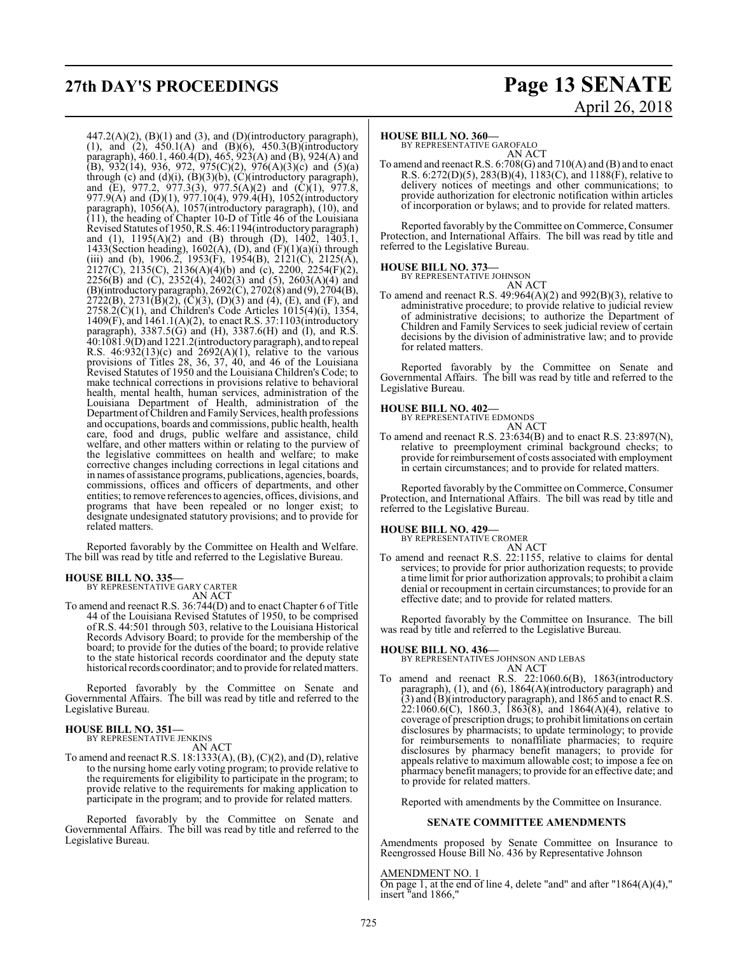## **27th DAY'S PROCEEDINGS Page 13 SENATE**

 $447.2(A)(2)$ ,  $(B)(1)$  and  $(3)$ , and  $(D)(introductory paragraph)$ , (1), and (2), 450.1(A) and (B)(6), 450.3(B)(introductory paragraph), 460.1, 460.4(D), 465, 923(A) and (B), 924(A) and (B), 932(14), 936, 972, 975(C)(2), 976(A)(3)(c) and (5)(a) through (c) and  $(d)(i)$ ,  $(B)(3)(b)$ ,  $(C)(introducing paragnh)$ , and (E), 977.2, 977.3(3), 977.5(A)(2) and (C)(1), 977.8, 977.9(A) and (D)(1), 977.10(4), 979.4(H), 1052(introductory paragraph), 1056(A), 1057(introductory paragraph), (10), and (11), the heading of Chapter 10-D of Title 46 of the Louisiana Revised Statutes of 1950, R.S. 46:1194(introductory paragraph) and (1), 1195(A)(2) and (B) through (D), 1402, 1403.1, 1433(Section heading), 1602(A), (D), and  $(F)(1)(a)(i)$  through (iii) and (b), 1906.2, 1953(F), 1954(B), 2121(C), 2125(A),  $2127(C)$ ,  $2135(C)$ ,  $2136(A)(4)(b)$  and (c),  $2200$ ,  $2254(F)(2)$ , 2256(B) and (C), 2352(4), 2402(3) and (5), 2603(A)(4) and (B)(introductory paragraph), 2692(C), 2702(8) and (9), 2704(B),  $2722(B)$ ,  $2731(B)(2)$ ,  $(C)(3)$ ,  $(D)(3)$  and  $(4)$ ,  $(E)$ , and  $(F)$ , and  $2758.2(\dot{C})(1)$ , and Children's Code Articles  $1015(4)(i)$ ,  $1354$ , 1409(F), and 1461.1(A)(2), to enact R.S. 37:1103(introductory paragraph), 3387.5(G) and (H), 3387.6(H) and (I), and R.S. 40:1081.9(D) and 1221.2(introductory paragraph), and to repeal R.S.  $46:932(13)(c)$  and  $2692(A)(1)$ , relative to the various provisions of Titles 28, 36, 37, 40, and 46 of the Louisiana Revised Statutes of 1950 and the Louisiana Children's Code; to make technical corrections in provisions relative to behavioral health, mental health, human services, administration of the Louisiana Department of Health, administration of the Department of Children and Family Services, health professions and occupations, boards and commissions, public health, health care, food and drugs, public welfare and assistance, child welfare, and other matters within or relating to the purview of the legislative committees on health and welfare; to make corrective changes including corrections in legal citations and in names of assistance programs, publications, agencies, boards, commissions, offices and officers of departments, and other entities; to remove references to agencies, offices, divisions, and programs that have been repealed or no longer exist; to designate undesignated statutory provisions; and to provide for related matters.

Reported favorably by the Committee on Health and Welfare. The bill was read by title and referred to the Legislative Bureau.

**HOUSE BILL NO. 335—** BY REPRESENTATIVE GARY CARTER AN ACT

To amend and reenact R.S. 36:744(D) and to enact Chapter 6 of Title 44 of the Louisiana Revised Statutes of 1950, to be comprised of R.S. 44:501 through 503, relative to the Louisiana Historical Records Advisory Board; to provide for the membership of the board; to provide for the duties of the board; to provide relative to the state historical records coordinator and the deputy state historical records coordinator; and to provide for related matters.

Reported favorably by the Committee on Senate and Governmental Affairs. The bill was read by title and referred to the Legislative Bureau.

### **HOUSE BILL NO. 351—** BY REPRESENTATIVE JENKINS

AN ACT

To amend and reenact R.S. 18:1333(A), (B), (C)(2), and (D), relative to the nursing home early voting program; to provide relative to the requirements for eligibility to participate in the program; to provide relative to the requirements for making application to participate in the program; and to provide for related matters.

Reported favorably by the Committee on Senate and Governmental Affairs. The bill was read by title and referred to the Legislative Bureau.

# April 26, 2018

### **HOUSE BILL NO. 360—**

BY REPRESENTATIVE GAROFALO AN ACT

To amend and reenact R.S. 6:708(G) and 710(A) and (B) and to enact R.S. 6:272(D)(5), 283(B)(4), 1183(C), and 1188(F), relative to delivery notices of meetings and other communications; to provide authorization for electronic notification within articles of incorporation or bylaws; and to provide for related matters.

Reported favorably by the Committee on Commerce, Consumer Protection, and International Affairs. The bill was read by title and referred to the Legislative Bureau.

## **HOUSE BILL NO. 373—** BY REPRESENTATIVE JOHNSON

AN ACT

To amend and reenact R.S.  $49:964(A)(2)$  and  $992(B)(3)$ , relative to administrative procedure; to provide relative to judicial review of administrative decisions; to authorize the Department of Children and Family Services to seek judicial review of certain decisions by the division of administrative law; and to provide for related matters.

Reported favorably by the Committee on Senate and Governmental Affairs. The bill was read by title and referred to the Legislative Bureau.

### **HOUSE BILL NO. 402—** BY REPRESENTATIVE EDMONDS

AN ACT To amend and reenact R.S. 23:634(B) and to enact R.S. 23:897(N), relative to preemployment criminal background checks; to provide forreimbursement of costs associated with employment in certain circumstances; and to provide for related matters.

Reported favorably by the Committee on Commerce, Consumer Protection, and International Affairs. The bill was read by title and referred to the Legislative Bureau.

### **HOUSE BILL NO. 429—** BY REPRESENTATIVE CROMER

AN ACT

To amend and reenact R.S. 22:1155, relative to claims for dental services; to provide for prior authorization requests; to provide a time limit for prior authorization approvals; to prohibit a claim denial or recoupment in certain circumstances; to provide for an effective date; and to provide for related matters.

Reported favorably by the Committee on Insurance. The bill was read by title and referred to the Legislative Bureau.

**HOUSE BILL NO. 436—** BY REPRESENTATIVES JOHNSON AND LEBAS AN ACT

To amend and reenact R.S. 22:1060.6(B), 1863(introductory paragraph), (1), and (6), 1864(A)(introductory paragraph) and (3) and (B)(introductory paragraph), and 1865 and to enact R.S.  $22:1060.6(C)$ , 1860.3, 1863(8), and 1864(A)(4), relative to coverage of prescription drugs; to prohibit limitations on certain disclosures by pharmacists; to update terminology; to provide for reimbursements to nonaffiliate pharmacies; to require disclosures by pharmacy benefit managers; to provide for appeals relative to maximum allowable cost; to impose a fee on pharmacy benefit managers; to provide for an effective date; and to provide for related matters.

Reported with amendments by the Committee on Insurance.

### **SENATE COMMITTEE AMENDMENTS**

Amendments proposed by Senate Committee on Insurance to Reengrossed House Bill No. 436 by Representative Johnson

AMENDMENT NO. 1

On page 1, at the end of line 4, delete "and" and after " $1864(A)(4)$ ," insert "and 1866,"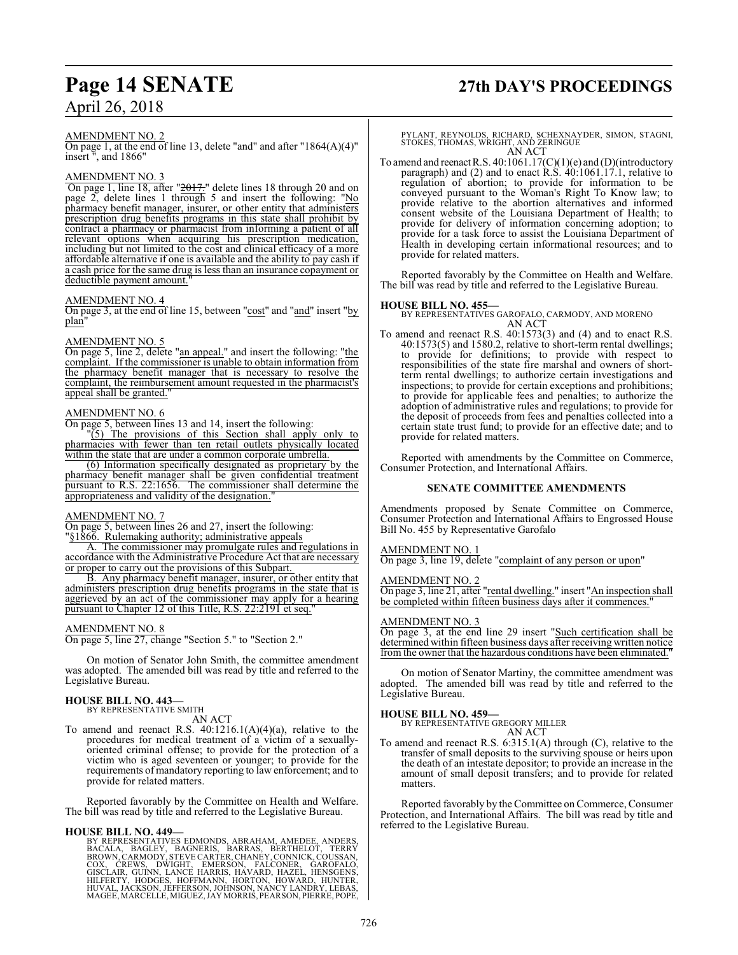### AMENDMENT NO. 2

On page 1, at the end of line 13, delete "and" and after "1864(A)(4)" insert ", and 1866"

### AMENDMENT NO. 3

 On page 1, line 18, after "2017." delete lines 18 through 20 and on page 2, delete lines 1 through 5 and insert the following: "No pharmacy benefit manager, insurer, or other entity that administers prescription drug benefits programs in this state shall prohibit by contract a pharmacy or pharmacist from informing a patient of all relevant options when acquiring his prescription medication, including but not limited to the cost and clinical efficacy of a more affordable alternative if one is available and the ability to pay cash if a cash price for the same drug is less than an insurance copayment or deductible payment amount.

### AMENDMENT NO. 4

On page 3, at the end of line 15, between "cost" and "and" insert "by plan"

### AMENDMENT NO. 5

On page 5, line 2, delete "an appeal." and insert the following: "the complaint. If the commissioner is unable to obtain information from the pharmacy benefit manager that is necessary to resolve the complaint, the reimbursement amount requested in the pharmacist's appeal shall be granted."

### AMENDMENT NO. 6

On page 5, between lines 13 and 14, insert the following:

"(5) The provisions of this Section shall apply only to pharmacies with fewer than ten retail outlets physically located within the state that are under a common corporate umbrella.

(6) Information specifically designated as proprietary by the pharmacy benefit manager shall be given confidential treatment pursuant to R.S. 22:1656. The commissioner shall determine the appropriateness and validity of the designation."

### AMENDMENT NO. 7

On page 5, between lines 26 and 27, insert the following: §1866. Rulemaking authority; administrative appeals

The commissioner may promulgate rules and regulations in accordance with the Administrative Procedure Act that are necessary or proper to carry out the provisions of this Subpart.

B. Any pharmacy benefit manager, insurer, or other entity that administers prescription drug benefits programs in the state that is aggrieved by an act of the commissioner may apply for a hearing pursuant to Chapter 12 of this Title, R.S. 22:2191 et seq."

### AMENDMENT NO. 8

On page 5, line 27, change "Section 5." to "Section 2."

On motion of Senator John Smith, the committee amendment was adopted. The amended bill was read by title and referred to the Legislative Bureau.

### **HOUSE BILL NO. 443—**

BY REPRESENTATIVE SMITH

### AN ACT

To amend and reenact R.S.  $40:1216.1(A)(4)(a)$ , relative to the procedures for medical treatment of a victim of a sexuallyoriented criminal offense; to provide for the protection of a victim who is aged seventeen or younger; to provide for the requirements of mandatory reporting to law enforcement; and to provide for related matters.

Reported favorably by the Committee on Health and Welfare. The bill was read by title and referred to the Legislative Bureau.

**HOUSE BILL NO. 449—** BY REPRESENTATIVES EDMONDS, ABRAHAM, AMEDEE, ANDERS, BACALA, BAGLEY, BAGNERIS, BARRAS, BERTHELOT, TERRY<br>BROWN,CARMODY,STEVECARTER,CHANEY,CONNICK,COUSSAN,<br>COX, CREWS, DWIGHT, EMERSON, FALCONER, GAROFALO,<br>GISCLAIR,GUINN,LANCE HARRIS,HAVARD,HAZEL,HENSGENS,<br>HIUFBRTY,HODGES,HOFFM MAGEE, MARCELLE, MIGUEZ,JAY MORRIS, PEARSON, PIERRE, POPE,

## **Page 14 SENATE 27th DAY'S PROCEEDINGS**

PYLANT, REYNOLDS, RICHARD, SCHEXNAYDER, SIMON, STAGNI, STOKES, THOMAS, WRIGHT, AND ZERINGUE AN ACT

To amend and reenact R.S.  $40:1061.17(C)(1)(e)$  and (D)(introductory paragraph) and (2) and to enact R.S. 40:1061.17.1, relative to regulation of abortion; to provide for information to be conveyed pursuant to the Woman's Right To Know law; to provide relative to the abortion alternatives and informed consent website of the Louisiana Department of Health; to provide for delivery of information concerning adoption; to provide for a task force to assist the Louisiana Department of Health in developing certain informational resources; and to provide for related matters.

Reported favorably by the Committee on Health and Welfare. The bill was read by title and referred to the Legislative Bureau.

### **HOUSE BILL NO. 455—**

BY REPRESENTATIVES GAROFALO, CARMODY, AND MORENO AN ACT

To amend and reenact R.S. 40:1573(3) and (4) and to enact R.S. 40:1573(5) and 1580.2, relative to short-term rental dwellings; to provide for definitions; to provide with respect to responsibilities of the state fire marshal and owners of shortterm rental dwellings; to authorize certain investigations and inspections; to provide for certain exceptions and prohibitions; to provide for applicable fees and penalties; to authorize the adoption of administrative rules and regulations; to provide for the deposit of proceeds from fees and penalties collected into a certain state trust fund; to provide for an effective date; and to provide for related matters.

Reported with amendments by the Committee on Commerce, Consumer Protection, and International Affairs.

### **SENATE COMMITTEE AMENDMENTS**

Amendments proposed by Senate Committee on Commerce, Consumer Protection and International Affairs to Engrossed House Bill No. 455 by Representative Garofalo

### AMENDMENT NO. 1

On page 3, line 19, delete "complaint of any person or upon"

### AMENDMENT NO. 2

On page 3, line 21, after "rental dwelling." insert "An inspection shall be completed within fifteen business days after it commences."

### AMENDMENT NO. 3

On page 3, at the end line 29 insert "Such certification shall be determined within fifteen business days after receiving written notice from the owner that the hazardous conditions have been eliminated."

On motion of Senator Martiny, the committee amendment was adopted. The amended bill was read by title and referred to the Legislative Bureau.

**HOUSE BILL NO. 459—** BY REPRESENTATIVE GREGORY MILLER AN ACT

To amend and reenact R.S. 6:315.1(A) through (C), relative to the transfer of small deposits to the surviving spouse or heirs upon the death of an intestate depositor; to provide an increase in the amount of small deposit transfers; and to provide for related matters.

Reported favorably by the Committee on Commerce, Consumer Protection, and International Affairs. The bill was read by title and referred to the Legislative Bureau.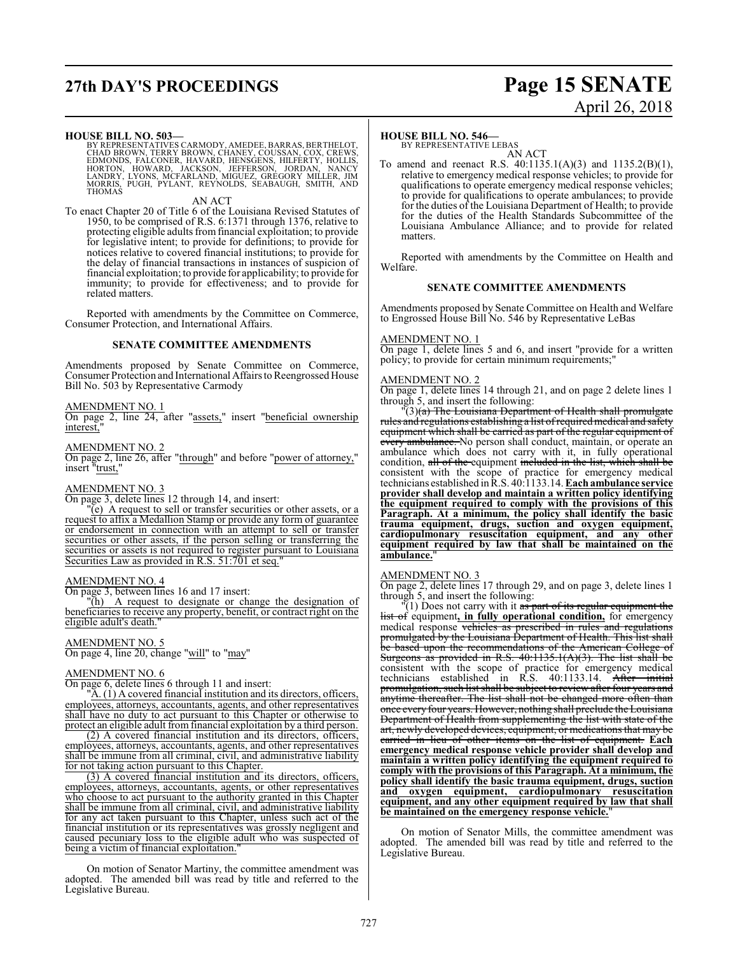## **27th DAY'S PROCEEDINGS Page 15 SENATE**

### **HOUSE BILL NO. 503—**

BY REPRESENTATIVES CARMODY, AMEDEE, BARRAS, BERTHELOT,<br>CHAD BROWN, TERRY BROWN, CHANEY, COUSSAN, COX, CREWS,<br>EDMONDS, FALCONER, HAVARD, HENSGENS, HILFERTY, HOLLIS,<br>HORTON, HOWARD, JACKSON, JEFFERSON, JORDAN, NANCY<br>LANDRY,

AN ACT

To enact Chapter 20 of Title 6 of the Louisiana Revised Statutes of 1950, to be comprised of R.S. 6:1371 through 1376, relative to protecting eligible adults fromfinancial exploitation; to provide for legislative intent; to provide for definitions; to provide for notices relative to covered financial institutions; to provide for the delay of financial transactions in instances of suspicion of financial exploitation; to provide for applicability; to provide for immunity; to provide for effectiveness; and to provide for related matters.

Reported with amendments by the Committee on Commerce, Consumer Protection, and International Affairs.

### **SENATE COMMITTEE AMENDMENTS**

Amendments proposed by Senate Committee on Commerce, Consumer Protection and International Affairs to Reengrossed House Bill No. 503 by Representative Carmody

### AMENDMENT NO. 1

On page 2, line 24, after "assets," insert "beneficial ownership interest.

### AMENDMENT NO. 2

On page 2, line 26, after "through" and before "power of attorney," insert "trust,"

### AMENDMENT NO. 3

On page 3, delete lines 12 through 14, and insert:

 $\overline{e}$ (e) A request to sell or transfer securities or other assets, or a request to affix a Medallion Stamp or provide any form of guarantee or endorsement in connection with an attempt to sell or transfer securities or other assets, if the person selling or transferring the securities or assets is not required to register pursuant to Louisiana Securities Law as provided in R.S. 51:701 et seq."

### AMENDMENT NO. 4

On page 3, between lines 16 and 17 insert:

"(h) A request to designate or change the designation of beneficiaries to receive any property, benefit, or contract right on the eligible adult's death."

### AMENDMENT NO. 5

On page 4, line 20, change "will" to "may"

### AMENDMENT NO. 6

On page 6, delete lines 6 through 11 and insert:

 $\mathbb{A}$ . (1) A covered financial institution and its directors, officers, employees, attorneys, accountants, agents, and other representatives shall have no duty to act pursuant to this Chapter or otherwise to protect an eligible adult from financial exploitation by a third person.

(2) A covered financial institution and its directors, officers, employees, attorneys, accountants, agents, and other representatives shall be immune from all criminal, civil, and administrative liability for not taking action pursuant to this Chapter.

(3) A covered financial institution and its directors, officers, employees, attorneys, accountants, agents, or other representatives who choose to act pursuant to the authority granted in this Chapter shall be immune from all criminal, civil, and administrative liability for any act taken pursuant to this Chapter, unless such act of the financial institution or its representatives was grossly negligent and caused pecuniary loss to the eligible adult who was suspected of being a victim of financial exploitation.

On motion of Senator Martiny, the committee amendment was adopted. The amended bill was read by title and referred to the Legislative Bureau.

### **HOUSE BILL NO. 546—**

BY REPRESENTATIVE LEBAS AN ACT

To amend and reenact R.S. 40:1135.1(A)(3) and 1135.2(B)(1), relative to emergency medical response vehicles; to provide for qualifications to operate emergency medical response vehicles; to provide for qualifications to operate ambulances; to provide for the duties of the Louisiana Department of Health; to provide for the duties of the Health Standards Subcommittee of the Louisiana Ambulance Alliance; and to provide for related matters.

Reported with amendments by the Committee on Health and Welfare.

### **SENATE COMMITTEE AMENDMENTS**

Amendments proposed by Senate Committee on Health and Welfare to Engrossed House Bill No. 546 by Representative LeBas

### AMENDMENT NO. 1

On page 1, delete lines 5 and 6, and insert "provide for a written policy; to provide for certain minimum requirements;"

### AMENDMENT NO. 2

On page 1, delete lines 14 through 21, and on page 2 delete lines 1 through 5, and insert the following:

 $\mathbb{P}(3)(a)$  The Louisiana Department of Health shall promulgate rules and regulations establishing a list ofrequiredmedical and safety equipment which shall be carried as part of the regular equipment of every ambulance. No person shall conduct, maintain, or operate an ambulance which does not carry with it, in fully operational condition, all of the equipment included in the list, which shall be consistent with the scope of practice for emergency medical technicians established inR.S. 40:1133.14. **Eachambulance service provider shall develop and maintain a written policy identifying the equipment required to comply with the provisions of this Paragraph. At a minimum, the policy shall identify the basic trauma equipment, drugs, suction and oxygen equipment, cardiopulmonary resuscitation equipment, and any other equipment required by law that shall be maintained on the** ambulance.

### AMENDMENT NO. 3

On page 2, delete lines 17 through 29, and on page 3, delete lines 1 through 5, and insert the following:

"(1) Does not carry with it <del>as part of its regular equipment the</del> list of equipment**, in fully operational condition,** for emergency medical response vehicles as prescribed in rules and regulations promulgated by the Louisiana Department of Health. This list shall be based upon the recommendations of the American College of Surgeons as provided in R.S. 40:1135.1(A)(3). The list shall be consistent with the scope of practice for emergency medical technicians established in R.S. 40:1133.14. After initial promulgation, such list shall be subject to review after four years and anytime thereafter. The list shall not be changed more often than once every four years. However, nothing shall preclude the Louisiana Department of Health from supplementing the list with state of the art, newly developed devices, equipment, or medications that may be carried in lieu of other items on the list of equipment. **Each emergency medical response vehicle provider shall develop and maintain a written policy identifying the equipment required to comply with the provisions of this Paragraph. At a minimum, the policy shall identify the basic trauma equipment, drugs, suction and oxygen equipment, cardiopulmonary resuscitation equipment, and any other equipment required by law that shall be maintained on the emergency response vehicle.**"

On motion of Senator Mills, the committee amendment was adopted. The amended bill was read by title and referred to the Legislative Bureau.

# April 26, 2018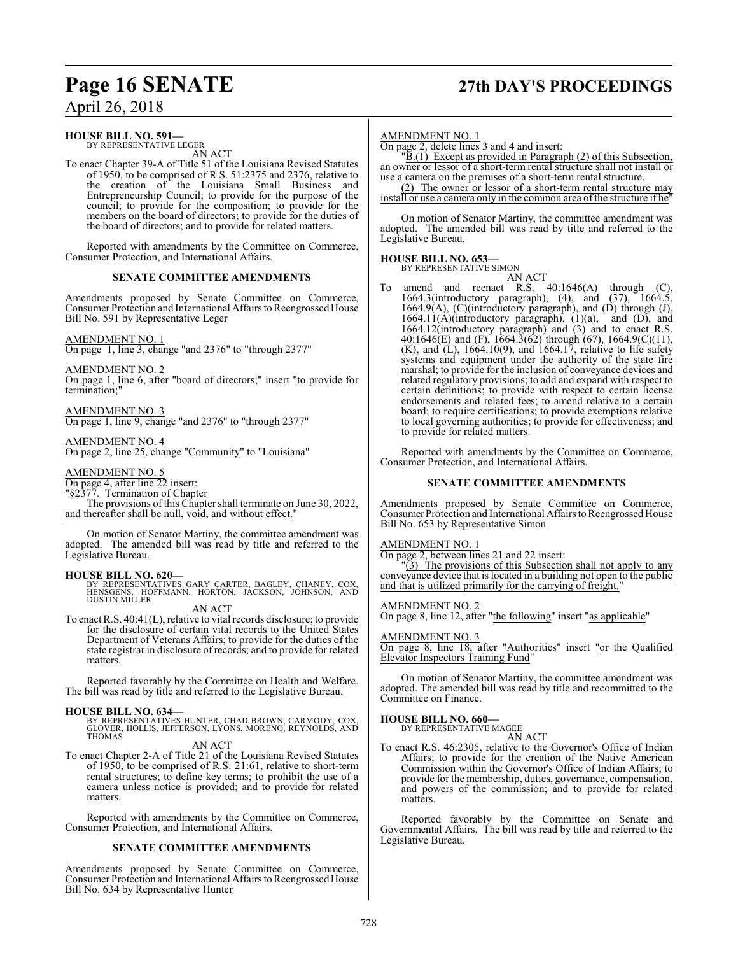## **Page 16 SENATE 27th DAY'S PROCEEDINGS**

### April 26, 2018

### **HOUSE BILL NO. 591—**

BY REPRESENTATIVE LEGER AN ACT

To enact Chapter 39-A of Title 51 of the Louisiana Revised Statutes of 1950, to be comprised of R.S. 51:2375 and 2376, relative to the creation of the Louisiana Small Business and Entrepreneurship Council; to provide for the purpose of the council; to provide for the composition; to provide for the members on the board of directors; to provide for the duties of the board of directors; and to provide for related matters.

Reported with amendments by the Committee on Commerce, Consumer Protection, and International Affairs.

### **SENATE COMMITTEE AMENDMENTS**

Amendments proposed by Senate Committee on Commerce, Consumer Protection and International Affairs to Reengrossed House Bill No. 591 by Representative Leger

### AMENDMENT NO. 1

On page 1, line 3, change "and 2376" to "through 2377"

AMENDMENT NO. 2

On page 1, line 6, after "board of directors;" insert "to provide for termination;"

AMENDMENT NO. 3 On page 1, line 9, change "and 2376" to "through 2377"

AMENDMENT NO. 4 On page 2, line 25, change "Community" to "Louisiana"

AMENDMENT NO. 5

On page 4, after line 22 insert:

"§2377. Termination of Chapter

The provisions of this Chapter shall terminate on June 30, 2022, and thereafter shall be null, void, and without effect."

On motion of Senator Martiny, the committee amendment was adopted. The amended bill was read by title and referred to the Legislative Bureau.

**HOUSE BILL NO. 620—** BY REPRESENTATIVES GARY CARTER, BAGLEY, CHANEY, COX, HENSGENS, HOFFMANN, HORTON, JACKSON, JOHNSON, AND DUSTIN MILLER

AN ACT

To enact R.S. 40:41(L), relative to vital records disclosure; to provide for the disclosure of certain vital records to the United States Department of Veterans Affairs; to provide for the duties of the state registrar in disclosure of records; and to provide for related matters.

Reported favorably by the Committee on Health and Welfare. The bill was read by title and referred to the Legislative Bureau.

**HOUSE BILL NO. 634—** BY REPRESENTATIVES HUNTER, CHAD BROWN, CARMODY, COX, GLOVER, HOLLIS, JEFFERSON, LYONS, MORENO, REYNOLDS, AND THOMAS

AN ACT To enact Chapter 2-A of Title 21 of the Louisiana Revised Statutes of 1950, to be comprised of R.S. 21:61, relative to short-term rental structures; to define key terms; to prohibit the use of a camera unless notice is provided; and to provide for related matters.

Reported with amendments by the Committee on Commerce, Consumer Protection, and International Affairs.

### **SENATE COMMITTEE AMENDMENTS**

Amendments proposed by Senate Committee on Commerce, Consumer Protection and International Affairs to Reengrossed House Bill No. 634 by Representative Hunter

### AMENDMENT NO. 1

On page 2, delete lines 3 and 4 and insert:

"B.(1) Except as provided in Paragraph (2) of this Subsection, an owner or lessor of a short-term rental structure shall not install or use a camera on the premises of a short-term rental structure.

(2) The owner or lessor of a short-term rental structure may install or use a camera only in the common area of the structure if he"

On motion of Senator Martiny, the committee amendment was adopted. The amended bill was read by title and referred to the Legislative Bureau.

### **HOUSE BILL NO. 653—** BY REPRESENTATIVE SIMON

AN ACT To amend and reenact R.S. 40:1646(A) through (C), 1664.3(introductory paragraph), (4), and (37), 1664.5, 1664.9(A), (C)(introductory paragraph), and (D) through (J), 1664.11(A)(introductory paragraph),  $(1)(a)$ , and (D), and  $1664.11(A)$ (introductory paragraph),  $(1)(a)$ , 1664.12(introductory paragraph) and (3) and to enact R.S. 40:1646(E) and (F), 1664.3(62) through (67), 1664.9(C)(11),  $(K)$ , and  $(L)$ , 1664.10(9), and 1664.17, relative to life safety systems and equipment under the authority of the state fire marshal; to provide for the inclusion of conveyance devices and related regulatory provisions; to add and expand with respect to certain definitions; to provide with respect to certain license endorsements and related fees; to amend relative to a certain board; to require certifications; to provide exemptions relative to local governing authorities; to provide for effectiveness; and to provide for related matters.

Reported with amendments by the Committee on Commerce, Consumer Protection, and International Affairs.

### **SENATE COMMITTEE AMENDMENTS**

Amendments proposed by Senate Committee on Commerce, Consumer Protection and International Affairs to Reengrossed House Bill No. 653 by Representative Simon

### AMENDMENT NO. 1

On page 2, between lines 21 and 22 insert:

"(3) The provisions of this Subsection shall not apply to any conveyance device that is located in a building not open to the public and that is utilized primarily for the carrying of freight.'

### AMENDMENT NO. 2

On page 8, line 12, after "the following" insert "as applicable"

### AMENDMENT NO. 3

On page 8, line 18, after "Authorities" insert "or the Qualified Elevator Inspectors Training Fund"

On motion of Senator Martiny, the committee amendment was adopted. The amended bill was read by title and recommitted to the Committee on Finance.

## **HOUSE BILL NO. 660—** BY REPRESENTATIVE MAGEE

AN ACT

To enact R.S. 46:2305, relative to the Governor's Office of Indian Affairs; to provide for the creation of the Native American Commission within the Governor's Office of Indian Affairs; to provide for the membership, duties, governance, compensation, and powers of the commission; and to provide for related matters.

Reported favorably by the Committee on Senate and Governmental Affairs. The bill was read by title and referred to the Legislative Bureau.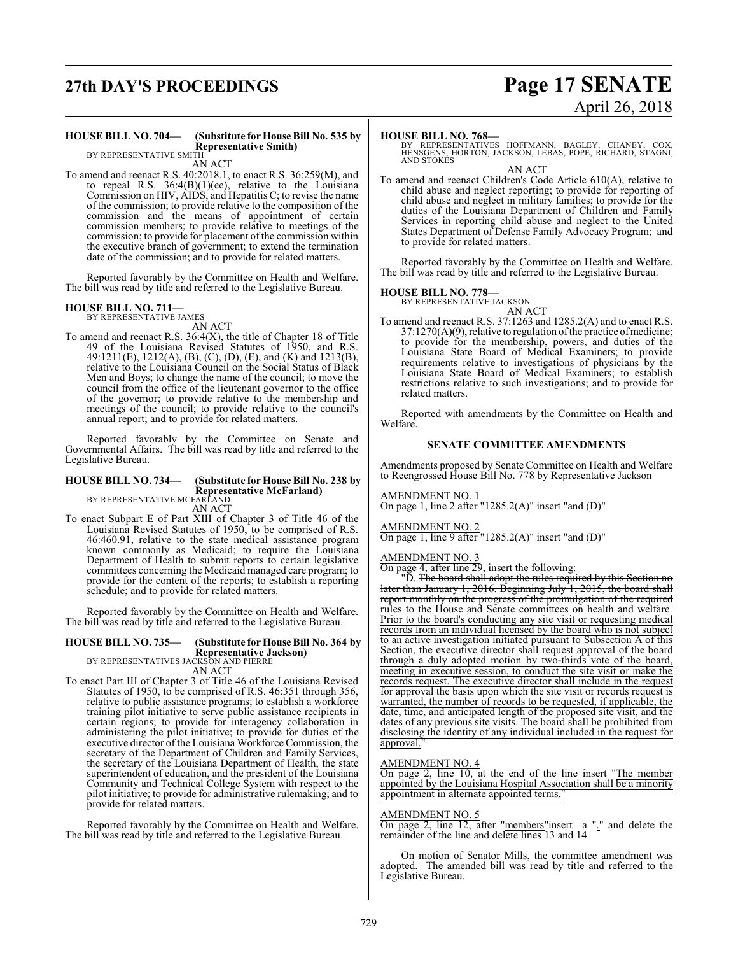## **27th DAY'S PROCEEDINGS Page 17 SENATE**

# April 26, 2018

#### **HOUSE BILL NO. 704— (Substitute for House Bill No. 535 by Representative Smith)** BY REPRESENTATIVE SMITH

AN ACT

To amend and reenact R.S. 40:2018.1, to enact R.S. 36:259(M), and to repeal R.S. 36:4(B)(1)(ee), relative to the Louisiana Commission on HIV, AIDS, and Hepatitis C; to revise the name of the commission; to provide relative to the composition of the commission and the means of appointment of certain commission members; to provide relative to meetings of the commission; to provide for placement of the commission within the executive branch of government; to extend the termination date of the commission; and to provide for related matters.

Reported favorably by the Committee on Health and Welfare. The bill was read by title and referred to the Legislative Bureau.

#### **HOUSE BILL NO. 711—** BY REPRESENTATIVE JAMES

AN ACT

To amend and reenact R.S. 36:4(X), the title of Chapter 18 of Title 49 of the Louisiana Revised Statutes of 1950, and R.S. 49:1211(E), 1212(A), (B), (C), (D), (E), and (K) and 1213(B), relative to the Louisiana Council on the Social Status of Black Men and Boys; to change the name of the council; to move the council from the office of the lieutenant governor to the office of the governor; to provide relative to the membership and meetings of the council; to provide relative to the council's annual report; and to provide for related matters.

Reported favorably by the Committee on Senate and Governmental Affairs. The bill was read by title and referred to the Legislative Bureau.

### **HOUSE BILL NO. 734— (Substitute for House Bill No. 238 by Representative McFarland)** BY REPRESENTATIVE MCFARLAND

AN ACT

To enact Subpart E of Part XIII of Chapter 3 of Title 46 of the Louisiana Revised Statutes of 1950, to be comprised of R.S. 46:460.91, relative to the state medical assistance program known commonly as Medicaid; to require the Louisiana Department of Health to submit reports to certain legislative committees concerning the Medicaid managed care program; to provide for the content of the reports; to establish a reporting schedule; and to provide for related matters.

Reported favorably by the Committee on Health and Welfare. The bill was read by title and referred to the Legislative Bureau.

### **HOUSE BILL NO. 735— (Substitute for House Bill No. 364 by Representative Jackson)** BY REPRESENTATIVES JACKSON AND PIERRE

AN ACT

To enact Part III of Chapter 3 of Title 46 of the Louisiana Revised Statutes of 1950, to be comprised of R.S. 46:351 through 356, relative to public assistance programs; to establish a workforce training pilot initiative to serve public assistance recipients in certain regions; to provide for interagency collaboration in administering the pilot initiative; to provide for duties of the executive director of the Louisiana Workforce Commission, the secretary of the Department of Children and Family Services, the secretary of the Louisiana Department of Health, the state superintendent of education, and the president of the Louisiana Community and Technical College System with respect to the pilot initiative; to provide for administrative rulemaking; and to provide for related matters.

Reported favorably by the Committee on Health and Welfare. The bill was read by title and referred to the Legislative Bureau.

### **HOUSE BILL NO. 768—**

BY REPRESENTATIVES HOFFMANN, BAGLEY, CHANEY, COX, HENSGENS, HORTON, JACKSON, LEBAS, POPE, RICHARD, STAGNI, AND STOKES

AN ACT

To amend and reenact Children's Code Article 610(A), relative to child abuse and neglect reporting; to provide for reporting of child abuse and neglect in military families; to provide for the duties of the Louisiana Department of Children and Family Services in reporting child abuse and neglect to the United States Department of Defense Family Advocacy Program; and to provide for related matters.

Reported favorably by the Committee on Health and Welfare. The bill was read by title and referred to the Legislative Bureau.

### **HOUSE BILL NO. 778—**

BY REPRESENTATIVE JACKSON AN ACT

To amend and reenact R.S. 37:1263 and 1285.2(A) and to enact R.S. 37:1270(A)(9), relative to regulation of the practice of medicine; to provide for the membership, powers, and duties of the Louisiana State Board of Medical Examiners; to provide requirements relative to investigations of physicians by the Louisiana State Board of Medical Examiners; to establish restrictions relative to such investigations; and to provide for related matters.

Reported with amendments by the Committee on Health and Welfare.

### **SENATE COMMITTEE AMENDMENTS**

Amendments proposed by Senate Committee on Health and Welfare to Reengrossed House Bill No. 778 by Representative Jackson

### AMENDMENT NO. 1

On page 1, line 2 after "1285.2(A)" insert "and  $(D)$ "

### AMENDMENT NO. 2

On page 1, line 9 after "1285.2(A)" insert "and  $(D)$ "

### AMENDMENT NO. 3

On page 4, after line 29, insert the following:

"D. The board shall adopt the rules required by this Section no later than January 1, 2016. Beginning July 1, 2015, the board shall report monthly on the progress of the promulgation of the required rules to the House and Senate committees on health and welfare. Prior to the board's conducting any site visit or requesting medical records from an individual licensed by the board who is not subject to an active investigation initiated pursuant to Subsection A of this Section, the executive director shall request approval of the board through a duly adopted motion by two-thirds vote of the board, meeting in executive session, to conduct the site visit or make the records request. The executive director shall include in the request for approval the basis upon which the site visit or records request is warranted, the number of records to be requested, if applicable, the date, time, and anticipated length of the proposed site visit, and the dates of any previous site visits. The board shall be prohibited from disclosing the identity of any individual included in the request for approval.

### AMENDMENT NO. 4

On page 2, line 10, at the end of the line insert "The member appointed by the Louisiana Hospital Association shall be a minority appointment in alternate appointed terms.

### AMENDMENT NO. 5

On page 2, line 12, after "members"insert a "." and delete the remainder of the line and delete lines 13 and 14

On motion of Senator Mills, the committee amendment was adopted. The amended bill was read by title and referred to the Legislative Bureau.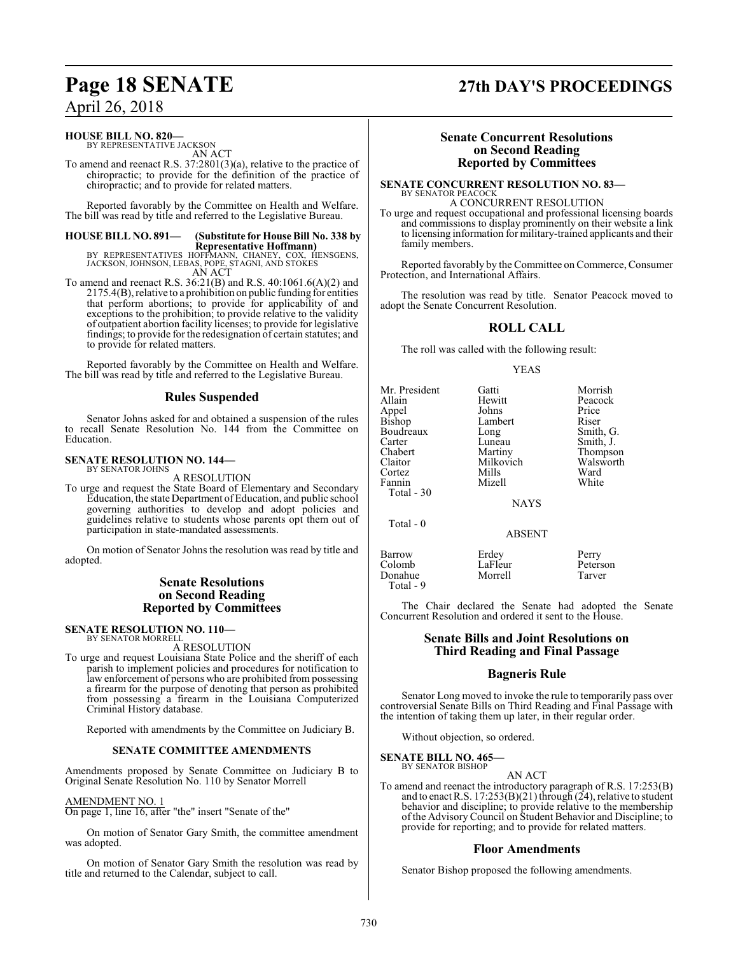### **HOUSE BILL NO. 820—**

BY REPRESENTATIVE JACKSON AN ACT

To amend and reenact R.S. 37:2801(3)(a), relative to the practice of chiropractic; to provide for the definition of the practice of chiropractic; and to provide for related matters.

Reported favorably by the Committee on Health and Welfare. The bill was read by title and referred to the Legislative Bureau.

### **HOUSE BILL NO. 891— (Substitute for House Bill No. 338 by**

**Representative Hoffmann)**<br>BY REPRESENTATIVES HOFFMANN, CHANEY, COX, HENSGENS,<br>JACKSON, JOHNSON, LEBAS, POPE, STAGNI, AND STOKES AN ACT

To amend and reenact R.S. 36:21(B) and R.S. 40:1061.6(A)(2) and 2175.4(B), relative to a prohibition on public funding for entities that perform abortions; to provide for applicability of and exceptions to the prohibition; to provide relative to the validity of outpatient abortion facility licenses; to provide for legislative findings; to provide for the redesignation of certain statutes; and to provide for related matters.

Reported favorably by the Committee on Health and Welfare. The bill was read by title and referred to the Legislative Bureau.

### **Rules Suspended**

Senator Johns asked for and obtained a suspension of the rules to recall Senate Resolution No. 144 from the Committee on Education.

#### **SENATE RESOLUTION NO. 144—** BY SENATOR JOHNS

### A RESOLUTION

To urge and request the State Board of Elementary and Secondary Education, the state Department of Education, and public school governing authorities to develop and adopt policies and guidelines relative to students whose parents opt them out of participation in state-mandated assessments.

On motion of Senator Johns the resolution was read by title and adopted.

### **Senate Resolutions on Second Reading Reported by Committees**

#### **SENATE RESOLUTION NO. 110—** BY SENATOR MORRELL

A RESOLUTION

To urge and request Louisiana State Police and the sheriff of each parish to implement policies and procedures for notification to law enforcement of persons who are prohibited from possessing a firearm for the purpose of denoting that person as prohibited from possessing a firearm in the Louisiana Computerized Criminal History database.

Reported with amendments by the Committee on Judiciary B.

### **SENATE COMMITTEE AMENDMENTS**

Amendments proposed by Senate Committee on Judiciary B to Original Senate Resolution No. 110 by Senator Morrell

### AMENDMENT NO. 1

On page 1, line 16, after "the" insert "Senate of the"

On motion of Senator Gary Smith, the committee amendment was adopted.

On motion of Senator Gary Smith the resolution was read by title and returned to the Calendar, subject to call.

### **Senate Concurrent Resolutions on Second Reading**

**Reported by Committees**

**SENATE CONCURRENT RESOLUTION NO. 83—** BY SENATOR PEACOCK A CONCURRENT RESOLUTION

To urge and request occupational and professional licensing boards and commissions to display prominently on their website a link to licensing information for military-trained applicants and their family members.

Reported favorably by the Committee on Commerce, Consumer Protection, and International Affairs.

The resolution was read by title. Senator Peacock moved to adopt the Senate Concurrent Resolution.

### **ROLL CALL**

The roll was called with the following result:

### YEAS

| Mr. President   | Gatti     | Morrish   |
|-----------------|-----------|-----------|
| Allain          | Hewitt    | Peacock   |
| Appel<br>Bishop | Johns     | Price     |
|                 | Lambert   | Riser     |
| Boudreaux       | Long      | Smith, G. |
| Carter          | Luneau    | Smith, J. |
| Chabert         | Martiny   | Thompson  |
| Claitor         | Milkovich | Walswort  |
| Cortez          | Mills     | Ward      |
| Fannin          | Mizell    | White     |
| Total - 30      |           |           |

Martiny Thompson<br>Milkovich Walsworth Walsworth<br>Ward

NAYS

ABSENT

Total - 0

Barrow Erdey Perry Colomb LaFleur Peterson Donahue Total - 9

The Chair declared the Senate had adopted the Senate Concurrent Resolution and ordered it sent to the House.

### **Senate Bills and Joint Resolutions on Third Reading and Final Passage**

### **Bagneris Rule**

Senator Long moved to invoke the rule to temporarily pass over controversial Senate Bills on Third Reading and Final Passage with the intention of taking them up later, in their regular order.

Without objection, so ordered.

**SENATE BILL NO. 465—** BY SENATOR BISHOP

AN ACT

To amend and reenact the introductory paragraph of R.S. 17:253(B) and to enact R.S. 17:253(B)(21) through (24), relative to student behavior and discipline; to provide relative to the membership of the Advisory Council on Student Behavior and Discipline; to provide for reporting; and to provide for related matters.

### **Floor Amendments**

Senator Bishop proposed the following amendments.

**Page 18 SENATE 27th DAY'S PROCEEDINGS**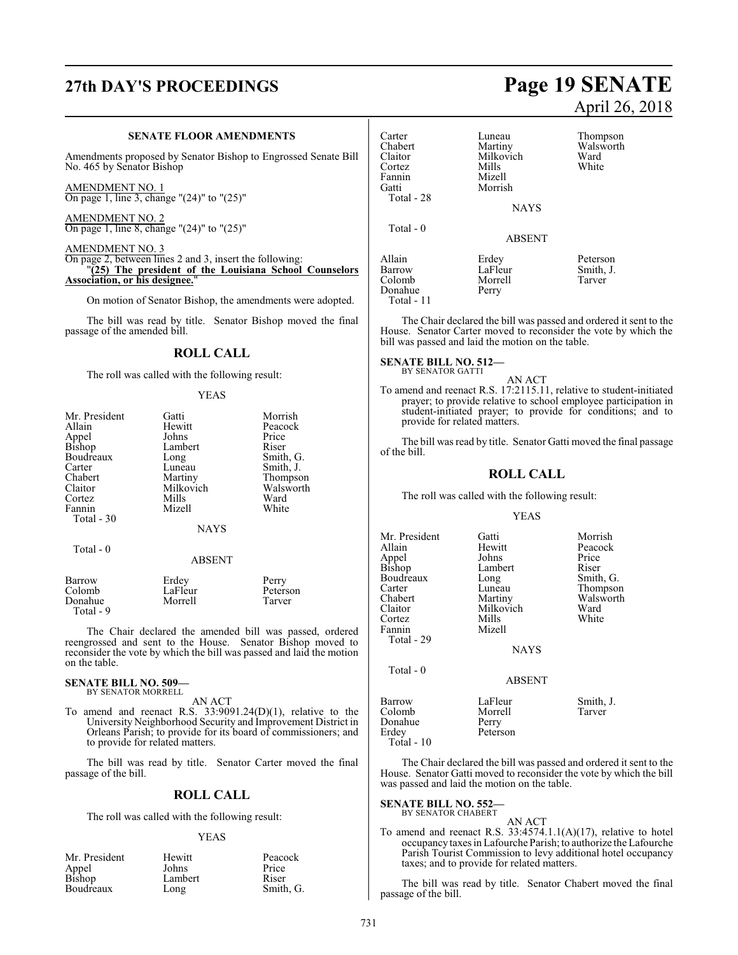### **SENATE FLOOR AMENDMENTS**

Amendments proposed by Senator Bishop to Engrossed Senate Bill No. 465 by Senator Bishop

AMENDMENT NO. 1 On page 1, line 3, change "(24)" to "(25)"

AMENDMENT NO. 2 On page 1, line 8, change "(24)" to "(25)"

### AMENDMENT NO. 3 On page 2, between lines 2 and 3, insert the following: "**(25) The president of the Louisiana School Counselors Association, or his designee.**"

On motion of Senator Bishop, the amendments were adopted.

The bill was read by title. Senator Bishop moved the final passage of the amended bill.

### **ROLL CALL**

The roll was called with the following result:

### YEAS

| Mr. President | Gatti       | Morrish   |
|---------------|-------------|-----------|
| Allain        | Hewitt      | Peacock   |
| Appel         | Johns       | Price     |
| Bishop        | Lambert     | Riser     |
| Boudreaux     | Long        | Smith, G. |
| Carter        | Luneau      | Smith, J. |
| Chabert       | Martiny     | Thompson  |
| Claitor       | Milkovich   | Walsworth |
| Cortez        | Mills       | Ward      |
| Fannin        | Mizell      | White     |
| Total - 30    |             |           |
|               | <b>NAYS</b> |           |
| Total - 0     |             |           |
|               | ABSENT      |           |

| Barrow    | Erdey   | Perry    |
|-----------|---------|----------|
| Colomb    | LaFleur | Peterson |
| Donahue   | Morrell | Tarver   |
| Total - 9 |         |          |

The Chair declared the amended bill was passed, ordered reengrossed and sent to the House. Senator Bishop moved to reconsider the vote by which the bill was passed and laid the motion on the table.

### **SENATE BILL NO. 509—** BY SENATOR MORRELL

AN ACT

To amend and reenact R.S. 33:9091.24(D)(1), relative to the University Neighborhood Security and Improvement District in Orleans Parish; to provide for its board of commissioners; and to provide for related matters.

The bill was read by title. Senator Carter moved the final passage of the bill.

### **ROLL CALL**

The roll was called with the following result:

### YEAS

| Mr. President   | Hewitt  | Peacock   |
|-----------------|---------|-----------|
| Appel<br>Bishop | Johns   | Price     |
|                 | Lambert | Riser     |
| Boudreaux       | Long    | Smith, G. |

## **27th DAY'S PROCEEDINGS Page 19 SENATE** April 26, 2018

| Carter<br>Chabert<br>Claitor<br>Cortez<br>Fannin<br>Gatti<br>Total - 28 | Luneau<br>Martiny<br>Milkovich<br>Mills<br>Mizell<br>Morrish<br><b>NAYS</b> | Thompson<br>Walsworth<br>Ward<br>White |
|-------------------------------------------------------------------------|-----------------------------------------------------------------------------|----------------------------------------|
| Total $-0$                                                              | <b>ABSENT</b>                                                               |                                        |
| Allain<br>Barrow<br>Colomb<br>Donahue<br>Total - 11                     | Erdey<br>LaFleur<br>Morrell<br>Perry                                        | Peterson<br>Smith, J.<br>Tarver        |

The Chair declared the bill was passed and ordered it sent to the House. Senator Carter moved to reconsider the vote by which the bill was passed and laid the motion on the table.

#### **SENATE BILL NO. 512—** BY SENATOR GATTI

AN ACT

To amend and reenact R.S. 17:2115.11, relative to student-initiated prayer; to provide relative to school employee participation in student-initiated prayer; to provide for conditions; and to provide for related matters.

The bill was read by title. Senator Gatti moved the final passage of the bill.

### **ROLL CALL**

The roll was called with the following result:

### YEAS

| Mr. President<br>Allain<br>Appel<br><b>Bishop</b><br>Boudreaux<br>Carter<br>Chabert<br>Claitor<br>Cortez<br>Fannin<br>Total - 29 | Gatti<br>Hewitt<br>Johns<br>Lambert<br>Long<br>Luneau<br>Martiny<br>Milkovich<br>Mills<br>Mizell<br><b>NAYS</b> | Morrish<br>Peacock<br>Price<br>Riser<br>Smith, G.<br>Thompson<br>Walsworth<br>Ward<br>White |
|----------------------------------------------------------------------------------------------------------------------------------|-----------------------------------------------------------------------------------------------------------------|---------------------------------------------------------------------------------------------|
| Total - 0                                                                                                                        | <b>ABSENT</b>                                                                                                   |                                                                                             |
| Barrow<br>Colomb<br>Donahue<br>Erdev                                                                                             | LaFleur<br>Morrell<br>Perry<br>Peterson                                                                         | Smith, J.<br>Tarver                                                                         |

The Chair declared the bill was passed and ordered it sent to the House. Senator Gatti moved to reconsider the vote by which the bill was passed and laid the motion on the table.

### **SENATE BILL NO. 552—** BY SENATOR CHABERT

Total - 10

AN ACT To amend and reenact R.S.  $33:4574.1.1(A)(17)$ , relative to hotel occupancy taxes in Lafourche Parish; to authorize the Lafourche Parish Tourist Commission to levy additional hotel occupancy taxes; and to provide for related matters.

The bill was read by title. Senator Chabert moved the final passage of the bill.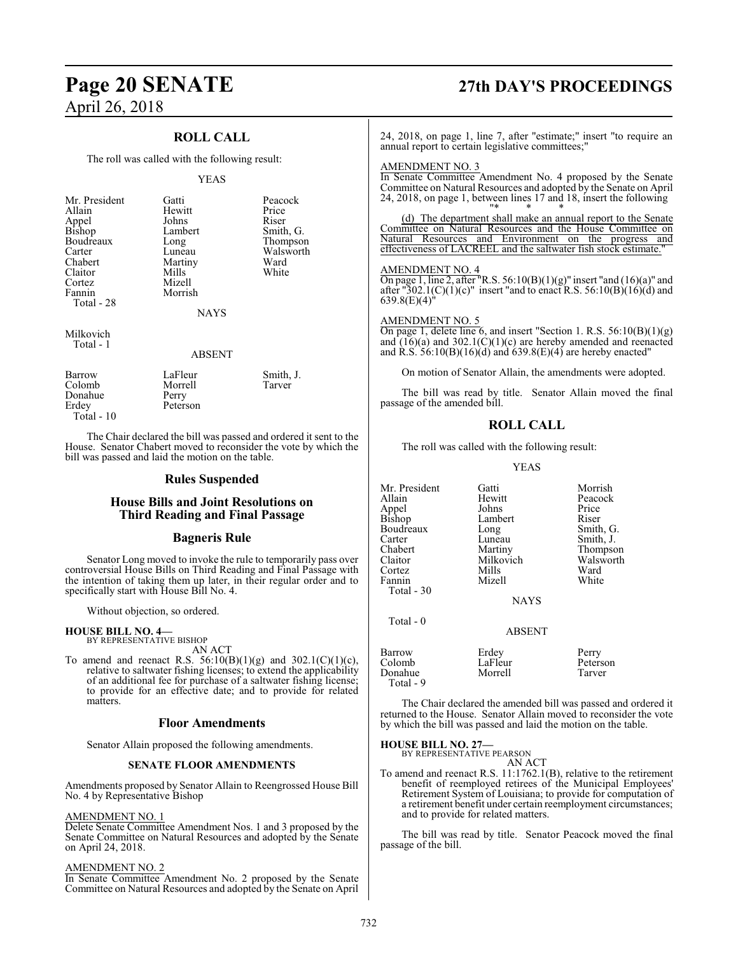### **ROLL CALL**

The roll was called with the following result:

### YEAS

| Mr. President   | Gatti          | Peaco |
|-----------------|----------------|-------|
| Allain          | Hewitt         | Price |
|                 | Johns          | Riser |
| Appel<br>Bishop | Lambert        | Smith |
| Boudreaux       | Long           | Thom  |
| Carter          | Luneau         | Walsy |
| Chabert         | Martiny        | Ward  |
| Claitor         | Mills          | White |
| Cortez          | Mizell         |       |
| Fannin          | Morrish        |       |
| Total - 28      |                |       |
|                 | <b>ATA TTC</b> |       |

nt Gatti Peacock<br>Hewitt Price Johns Riser<br>Lambert Smith Lambert Smith, G.<br>
Long Thompson Long Thompson<br>Luneau Walsworth Martiny Ward<br>
Mills White

Walsworth<br>Ward

**NAYS** 

Milkovich Total - 1

### ABSENT

| Barrow<br>Colomb | LaFleur<br>Morrell | Smith, J.<br>Tarver |
|------------------|--------------------|---------------------|
| Donahue          | Perry              |                     |
| Erdey            | Peterson           |                     |
| Total - 10       |                    |                     |

The Chair declared the bill was passed and ordered it sent to the House. Senator Chabert moved to reconsider the vote by which the bill was passed and laid the motion on the table.

### **Rules Suspended**

### **House Bills and Joint Resolutions on Third Reading and Final Passage**

### **Bagneris Rule**

Senator Long moved to invoke the rule to temporarily pass over controversial House Bills on Third Reading and Final Passage with the intention of taking them up later, in their regular order and to specifically start with House Bill No. 4.

Without objection, so ordered.

### **HOUSE BILL NO. 4—**

BY REPRESENTATIVE BISHOP AN ACT

To amend and reenact R.S.  $56:10(B)(1)(g)$  and  $302.1(C)(1)(c)$ , relative to saltwater fishing licenses; to extend the applicability of an additional fee for purchase of a saltwater fishing license; to provide for an effective date; and to provide for related matters.

### **Floor Amendments**

Senator Allain proposed the following amendments.

### **SENATE FLOOR AMENDMENTS**

Amendments proposed by Senator Allain to Reengrossed House Bill No. 4 by Representative Bishop

### AMENDMENT NO. 1

Delete Senate Committee Amendment Nos. 1 and 3 proposed by the Senate Committee on Natural Resources and adopted by the Senate on April 24, 2018.

### AMENDMENT NO. 2

In Senate Committee Amendment No. 2 proposed by the Senate Committee on Natural Resources and adopted by the Senate on April

## **Page 20 SENATE 27th DAY'S PROCEEDINGS**

24, 2018, on page 1, line 7, after "estimate;" insert "to require an annual report to certain legislative committees;"

### AMENDMENT NO. 3

In Senate Committee Amendment No. 4 proposed by the Senate Committee on Natural Resources and adopted by the Senate on April 24, 2018, on page 1, between lines 17 and 18, insert the following "\* \* \*

(d) The department shall make an annual report to the Senate Committee on Natural Resources and the House Committee on Natural Resources and Environment on the progress and effectiveness of LACREEL and the saltwater fish stock estimate."

### AMENDMENT NO. 4

On page 1, line 2, after "R.S.  $56:10(B)(1)(g)$ " insert "and  $(16)(a)$ " and after "302.1(C)(1)(c)" insert "and to enact R.S. 56:10(B)(16)(d) and  $639.8(E)(4)$ 

### AMENDMENT NO. 5

On page 1, delete line 6, and insert "Section 1. R.S.  $56:10(B)(1)(g)$ and  $(16)(a)$  and  $302.1(\dot{C})(1)(c)$  are hereby amended and reenacted and R.S. 56:10(B)(16)(d) and 639.8(E)(4) are hereby enacted"

On motion of Senator Allain, the amendments were adopted.

The bill was read by title. Senator Allain moved the final passage of the amended bill.

### **ROLL CALL**

The roll was called with the following result:

YEAS

| Mr. President<br>Allain<br>Appel<br>Bishop<br>Boudreaux<br>Carter<br>Chabert<br>Claitor<br>Cortez<br>Fannin | Gatti<br>Hewitt<br>Johns<br>Lambert<br>Long<br>Luneau<br>Martiny<br>Milkovich<br>Mills<br>Mizell | Morrish<br>Peacock<br>Price<br>Riser<br>Smith, G.<br>Smith, J.<br>Thompson<br>Walsworth<br>Ward<br>White |
|-------------------------------------------------------------------------------------------------------------|--------------------------------------------------------------------------------------------------|----------------------------------------------------------------------------------------------------------|
| Total - 30<br>Total - 0                                                                                     | <b>NAYS</b><br><b>ABSENT</b>                                                                     |                                                                                                          |
| Barrow<br>Colomb<br>Donahue<br>Total - 9                                                                    | Erdey<br>LaFleur<br>Morrell                                                                      | Perry<br>Peterson<br>Tarver                                                                              |

The Chair declared the amended bill was passed and ordered it returned to the House. Senator Allain moved to reconsider the vote by which the bill was passed and laid the motion on the table.

**HOUSE BILL NO. 27—** BY REPRESENTATIVE PEARSON

 $\mathbb{C} \mathrm{T}$ To amend and reenact R.S. 11:1762.1(B), relative to the retirement benefit of reemployed retirees of the Municipal Employees' Retirement System of Louisiana; to provide for computation of a retirement benefit under certain reemployment circumstances; and to provide for related matters.

The bill was read by title. Senator Peacock moved the final passage of the bill.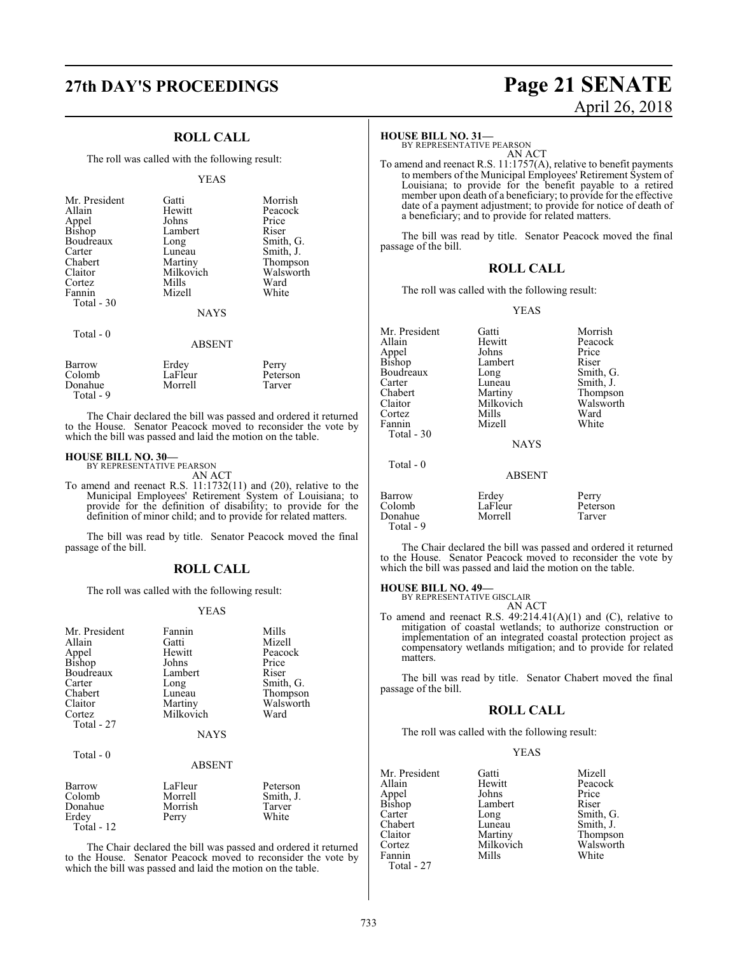## **27th DAY'S PROCEEDINGS Page 21 SENATE**

### **ROLL CALL**

The roll was called with the following result:

#### YEAS

| Mr. President | Gatti         | Morrish   |
|---------------|---------------|-----------|
| Allain        | Hewitt        | Peacock   |
| Appel         | Johns         | Price     |
| <b>Bishop</b> | Lambert       | Riser     |
| Boudreaux     |               | Smith, G. |
|               | Long          |           |
| Carter        | Luneau        | Smith, J. |
| Chabert       | Martiny       | Thompson  |
| Claitor       | Milkovich     | Walsworth |
| Cortez        | Mills         | Ward      |
| Fannin        | Mizell        | White     |
| Total $-30$   |               |           |
|               | <b>NAYS</b>   |           |
| Total $-0$    |               |           |
|               | <b>ABSENT</b> |           |
| Barrow        | Erdey         | Perry     |
| Colomb        | LaFleur       | Peterson  |
| Donahue       | Morrell       | Tarver    |

The Chair declared the bill was passed and ordered it returned to the House. Senator Peacock moved to reconsider the vote by which the bill was passed and laid the motion on the table.

### **HOUSE BILL NO. 30—**

Donahue Total - 9

> BY REPRESENTATIVE PEARSON AN ACT

To amend and reenact R.S. 11:1732(11) and (20), relative to the Municipal Employees' Retirement System of Louisiana; to provide for the definition of disability; to provide for the definition of minor child; and to provide for related matters.

The bill was read by title. Senator Peacock moved the final passage of the bill.

### **ROLL CALL**

The roll was called with the following result:

### YEAS

| Mr. President<br>Allain<br>Appel<br>Bishop<br>Boudreaux<br>Carter<br>Chabert<br>Claitor<br>Cortez<br>Total - 27 | Fannin<br>Gatti<br>Hewitt<br>Johns<br>Lambert<br>Long<br>Luneau<br>Martiny<br>Milkovich<br><b>NAYS</b> | Mills<br>Mizell<br>Peacock<br>Price<br>Riser<br>Smith, G.<br>Thompson<br>Walsworth<br>Ward |
|-----------------------------------------------------------------------------------------------------------------|--------------------------------------------------------------------------------------------------------|--------------------------------------------------------------------------------------------|
| Total - 0                                                                                                       | <b>ABSENT</b>                                                                                          |                                                                                            |
| Barrow<br>Colomb<br>Donahue<br>Erdey<br>Total - 12                                                              | LaFleur<br>Morrell<br>Morrish<br>Perry                                                                 | Peterson<br>Smith, J.<br>Tarver<br>White                                                   |

The Chair declared the bill was passed and ordered it returned to the House. Senator Peacock moved to reconsider the vote by which the bill was passed and laid the motion on the table.

# April 26, 2018

### **HOUSE BILL NO. 31—**

BY REPRESENTATIVE PEARSON AN ACT

To amend and reenact R.S. 11:1757(A), relative to benefit payments to members of the Municipal Employees' Retirement System of Louisiana; to provide for the benefit payable to a retired member upon death of a beneficiary; to provide for the effective date of a payment adjustment; to provide for notice of death of a beneficiary; and to provide for related matters.

The bill was read by title. Senator Peacock moved the final passage of the bill.

### **ROLL CALL**

The roll was called with the following result:

YEAS

| Mr. President<br>Allain<br>Appel<br>Bishop<br>Boudreaux<br>Carter<br>Chabert<br>Claitor<br>Cortez<br>Fannin<br>Total - 30<br>Total - 0 | Gatti<br>Hewitt<br>Johns<br>Lambert<br>Long<br>Luneau<br>Martiny<br>Milkovich<br>Mills<br>Mizell<br><b>NAYS</b><br><b>ABSENT</b> | Morrish<br>Peacock<br>Price<br>Riser<br>Smith, G.<br>Smith, J.<br>Thompson<br>Walsworth<br>Ward<br>White |
|----------------------------------------------------------------------------------------------------------------------------------------|----------------------------------------------------------------------------------------------------------------------------------|----------------------------------------------------------------------------------------------------------|
| Barrow                                                                                                                                 | Erdey                                                                                                                            | Perry                                                                                                    |
| Colomb                                                                                                                                 | LaFleur                                                                                                                          | Peterson                                                                                                 |
| Donahue                                                                                                                                | Morrell                                                                                                                          | Tarver                                                                                                   |

The Chair declared the bill was passed and ordered it returned to the House. Senator Peacock moved to reconsider the vote by which the bill was passed and laid the motion on the table.

### **HOUSE BILL NO. 49—**

Total - 9

BY REPRESENTATIVE GISCLAIR AN ACT

To amend and reenact R.S.  $49:214.41(A)(1)$  and (C), relative to mitigation of coastal wetlands; to authorize construction or implementation of an integrated coastal protection project as compensatory wetlands mitigation; and to provide for related matters.

The bill was read by title. Senator Chabert moved the final passage of the bill.

### **ROLL CALL**

The roll was called with the following result:

### YEAS

| Mr. President   | Gatti     | Mizell    |
|-----------------|-----------|-----------|
| Allain          | Hewitt    | Peacock   |
|                 | Johns     | Price     |
| Appel<br>Bishop | Lambert   | Riser     |
| Carter          | Long      | Smith, G. |
| Chabert         | Luneau    | Smith, J. |
| Claitor         | Martiny   | Thompson  |
| Cortez          | Milkovich | Walsworth |
| Fannin          | Mills     | White     |
| Total - 27      |           |           |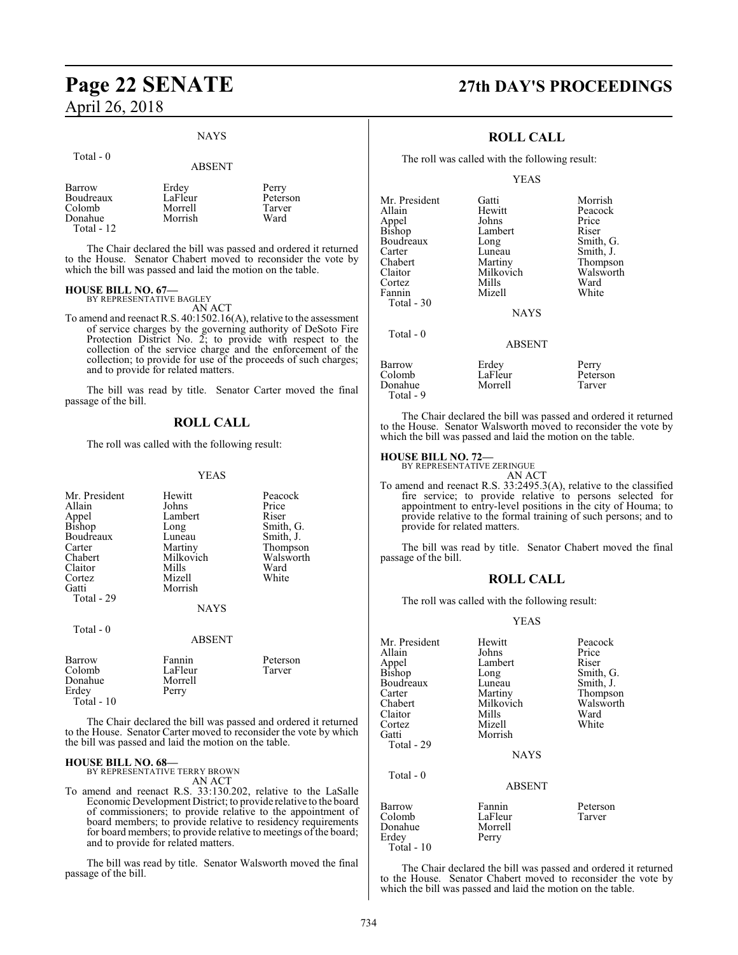## **Page 22 SENATE 27th DAY'S PROCEEDINGS** April 26, 2018

### NAYS

#### Total - 0

### ABSENT

The Chair declared the bill was passed and ordered it returned to the House. Senator Chabert moved to reconsider the vote by which the bill was passed and laid the motion on the table.

### **HOUSE BILL NO. 67—** BY REPRESENTATIVE BAGLEY

AN ACT

To amend and reenact R.S. 40:1502.16(A), relative to the assessment of service charges by the governing authority of DeSoto Fire Protection District No. 2; to provide with respect to the collection of the service charge and the enforcement of the collection; to provide for use of the proceeds of such charges; and to provide for related matters.

The bill was read by title. Senator Carter moved the final passage of the bill.

### **ROLL CALL**

The roll was called with the following result:

### YEAS

| Mr. President<br>Allain<br>Appel<br>Bishop<br>Boudreaux<br>Carter<br>Chabert<br>Claitor<br>Cortez<br>Gatti<br>Total - 29 | Hewitt<br>Johns<br>Lambert<br>Long<br>Luneau<br>Martiny<br>Milkovich<br>Mills<br>Mizell<br>Morrish<br><b>NAYS</b> | Peacock<br>Price<br>Riser<br>Smith, G.<br>Smith, J.<br>Thompson<br>Walsworth<br>Ward<br>White |
|--------------------------------------------------------------------------------------------------------------------------|-------------------------------------------------------------------------------------------------------------------|-----------------------------------------------------------------------------------------------|
| Total - 0                                                                                                                | <b>ABSENT</b>                                                                                                     |                                                                                               |
| Barrow<br>Colomb<br>Donahue<br>Erdey<br>Total - 10                                                                       | Fannin<br>LaFleur<br>Morrell<br>Perry                                                                             | Peterson<br>Tarver                                                                            |

The Chair declared the bill was passed and ordered it returned to the House. Senator Carter moved to reconsider the vote by which the bill was passed and laid the motion on the table.

### **HOUSE BILL NO. 68—** BY REPRESENTATIVE TERRY BROWN

AN ACT

To amend and reenact R.S. 33:130.202, relative to the LaSalle Economic Development District; to provide relative to the board of commissioners; to provide relative to the appointment of board members; to provide relative to residency requirements for board members; to provide relative to meetings of the board; and to provide for related matters.

The bill was read by title. Senator Walsworth moved the final passage of the bill.

### **ROLL CALL**

The roll was called with the following result:

YEAS

| Mr. President | Gatti         | Morrish   |
|---------------|---------------|-----------|
| Allain        | Hewitt        | Peacock   |
| Appel         | Johns         | Price     |
| Bishop        | Lambert       | Riser     |
| Boudreaux     | Long          | Smith, G. |
| Carter        | Luneau        | Smith, J. |
| Chabert       | Martiny       | Thompson  |
| Claitor       | Milkovich     | Walsworth |
| Cortez        | Mills         | Ward      |
| Fannin        | Mizell        | White     |
| Total - 30    |               |           |
|               | <b>NAYS</b>   |           |
| Total $-0$    |               |           |
|               | <b>ABSENT</b> |           |
| Barrow        | Erdey         | Perry     |
| Colomb        | LaFleur       | Peterson  |
| Donahue       | Morrell       | Tarver    |

The Chair declared the bill was passed and ordered it returned to the House. Senator Walsworth moved to reconsider the vote by which the bill was passed and laid the motion on the table.

### **HOUSE BILL NO. 72—**

Total - 9

BY REPRESENTATIVE ZERINGUE

AN ACT

To amend and reenact R.S. 33:2495.3(A), relative to the classified fire service; to provide relative to persons selected for appointment to entry-level positions in the city of Houma; to provide relative to the formal training of such persons; and to provide for related matters.

The bill was read by title. Senator Chabert moved the final passage of the bill.

### **ROLL CALL**

The roll was called with the following result:

### YEAS

| Mr. President<br>Allain<br>Appel<br>Bishop         | Hewitt<br>Johns<br>Lambert<br>Long    | Peacock<br>Price<br>Riser<br>Smith, G. |
|----------------------------------------------------|---------------------------------------|----------------------------------------|
| Boudreaux<br>Carter                                | Luneau<br>Martiny                     | Smith, J.<br>Thompson                  |
| Chabert<br>Claitor                                 | Milkovich<br>Mills                    | Walsworth<br>Ward                      |
| Cortez<br>Gatti                                    | Mizell<br>Morrish                     | White                                  |
| Total - 29                                         | <b>NAYS</b>                           |                                        |
| Total - 0                                          | <b>ABSENT</b>                         |                                        |
| Barrow<br>Colomb<br>Donahue<br>Erdev<br>Total - 10 | Fannin<br>LaFleur<br>Morrell<br>Perry | Peterson<br>Tarver                     |

The Chair declared the bill was passed and ordered it returned to the House. Senator Chabert moved to reconsider the vote by which the bill was passed and laid the motion on the table.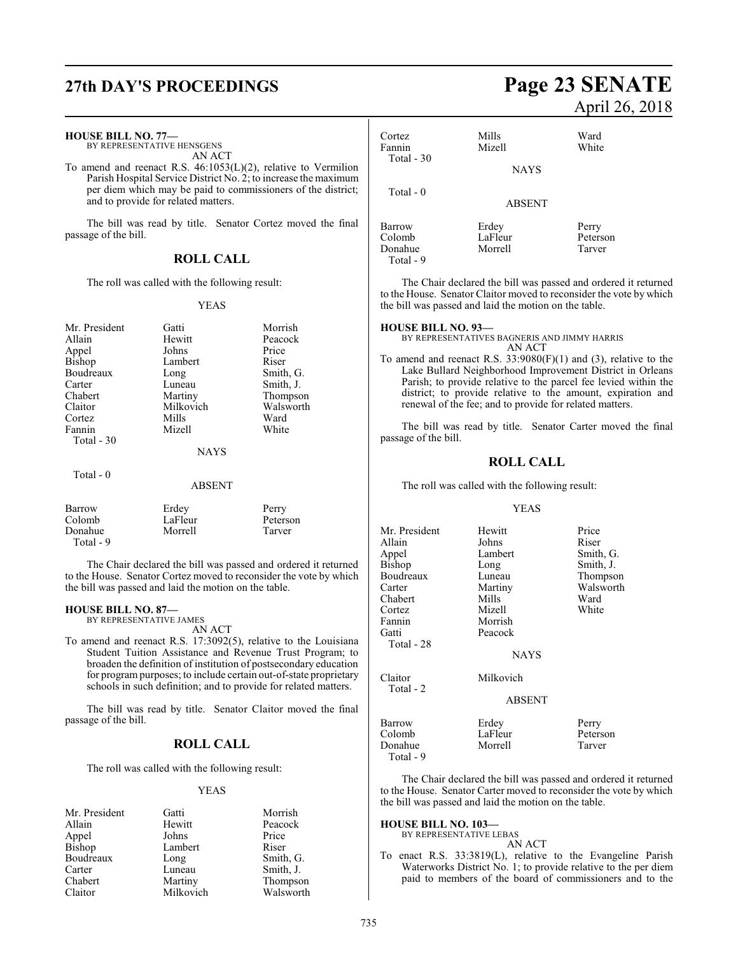| <b>HOUSE BILL NO. 77-</b><br>BY REPRESENTATIVE HENSGENS<br>AN ACT<br>To amend and reenact R.S. $46:1053(L)(2)$ , relative to Vermilion<br>Parish Hospital Service District No. 2; to increase the maximum<br>per diem which may be paid to commissioners of the district; |                                                                                                  | Cortez<br>Fannin<br>Total $-30$<br>Total - $0$                                                                                                                           | Mills<br>Mizell<br><b>NAYS</b>                    | Ward<br>White                                                                                                                                                                                                                                                                                                                                                                                |                             |
|---------------------------------------------------------------------------------------------------------------------------------------------------------------------------------------------------------------------------------------------------------------------------|--------------------------------------------------------------------------------------------------|--------------------------------------------------------------------------------------------------------------------------------------------------------------------------|---------------------------------------------------|----------------------------------------------------------------------------------------------------------------------------------------------------------------------------------------------------------------------------------------------------------------------------------------------------------------------------------------------------------------------------------------------|-----------------------------|
| and to provide for related matters.<br>The bill was read by title. Senator Cortez moved the final<br>passage of the bill.<br><b>ROLL CALL</b>                                                                                                                             |                                                                                                  | Barrow<br>Colomb<br>Donahue<br>Total - 9                                                                                                                                 | <b>ABSENT</b><br>Erdey<br>LaFleur<br>Morrell      | Perry<br>Peterson<br>Tarver                                                                                                                                                                                                                                                                                                                                                                  |                             |
| The roll was called with the following result:<br><b>YEAS</b>                                                                                                                                                                                                             |                                                                                                  | The Chair declared the bill was passed and ordered<br>to the House. Senator Claitor moved to reconsider the vot<br>the bill was passed and laid the motion on the table. |                                                   |                                                                                                                                                                                                                                                                                                                                                                                              |                             |
| Mr. President<br>Allain<br>Appel<br>Bishop<br>Boudreaux<br>Carter<br>Chabert<br>Claitor<br>Cortez<br>Fannin<br>Total - 30                                                                                                                                                 | Gatti<br>Hewitt<br>Johns<br>Lambert<br>Long<br>Luneau<br>Martiny<br>Milkovich<br>Mills<br>Mizell | Morrish<br>Peacock<br>Price<br>Riser<br>Smith, G.<br>Smith, J.<br>Thompson<br>Walsworth<br>Ward<br>White                                                                 | <b>HOUSE BILL NO. 93-</b><br>passage of the bill. | BY REPRESENTATIVES BAGNERIS AND JIMMY HARRIS<br>AN ACT<br>To amend and reenact R.S. $33:9080(F)(1)$ and (3), rela<br>Lake Bullard Neighborhood Improvement District<br>Parish; to provide relative to the parcel fee levied<br>district; to provide relative to the amount, expi<br>renewal of the fee; and to provide for related matter<br>The bill was read by title. Senator Carter move |                             |
| Total - 0                                                                                                                                                                                                                                                                 | <b>NAYS</b>                                                                                      |                                                                                                                                                                          |                                                   | <b>ROLL CALL</b>                                                                                                                                                                                                                                                                                                                                                                             |                             |
| <b>ABSENT</b>                                                                                                                                                                                                                                                             |                                                                                                  |                                                                                                                                                                          | The roll was called with the following result:    |                                                                                                                                                                                                                                                                                                                                                                                              |                             |
| Barrow<br>Colomb<br>Donahue<br>Total - 9                                                                                                                                                                                                                                  | Erdey<br>LaFleur<br>Morrell                                                                      | Perry<br>Peterson<br>Tarver                                                                                                                                              | Mr. President<br>Allain<br>Appel                  | <b>YEAS</b><br>Hewitt<br>Johns<br>Lambert                                                                                                                                                                                                                                                                                                                                                    | Price<br>Riser<br>Smith, G. |

The Chair declared the bill was passed and ordered it returned to the House. Senator Cortez moved to reconsider the vote by which the bill was passed and laid the motion on the table.

### **HOUSE BILL NO. 87—**

BY REPRESENTATIVE JAMES AN ACT

To amend and reenact R.S. 17:3092(5), relative to the Louisiana Student Tuition Assistance and Revenue Trust Program; to broaden the definition of institution of postsecondary education for program purposes; to include certain out-of-state proprietary schools in such definition; and to provide for related matters.

The bill was read by title. Senator Claitor moved the final passage of the bill.

### **ROLL CALL**

The roll was called with the following result:

### YEAS

| Mr. President | Gatti     | Morrish   |
|---------------|-----------|-----------|
| Allain        | Hewitt    | Peacock   |
| Appel         | Johns     | Price     |
| Bishop        | Lambert   | Riser     |
| Boudreaux     | Long      | Smith, G. |
| Carter        | Luneau    | Smith, J. |
| Chabert       | Martiny   | Thompson  |
| Claitor       | Milkovich | Walsworth |

## **27th DAY'S PROCEEDINGS Page 23 SENATE** April 26, 2018

| Cortez     | Mills                 | Ward                                 |
|------------|-----------------------|--------------------------------------|
| Fannin     | Mizell                | White                                |
| Total - 30 | <b>NAYS</b>           |                                      |
| Total $-0$ | <b>ABSENT</b>         |                                      |
| Barrow     | Erdey                 | Perry                                |
| Colomb     | LaFleur               | Peterson                             |
| Donobuo    | $M_{\alpha}$ and $11$ | $T_{\alpha\alpha\gamma\alpha\gamma}$ |

it returned te by which

itive to the in Orleans within the ration and renewal of the fee; and to provide for related matters.

d the final

| Mr. President        | Hewitt        | Price     |
|----------------------|---------------|-----------|
| Allain               | Johns         | Riser     |
| Appel                | Lambert       | Smith, G. |
| Bishop               | Long          | Smith, J. |
| Boudreaux            | Luneau        | Thompson  |
| Carter               | Martiny       | Walsworth |
| Chabert              | Mills         | Ward      |
| Cortez               | Mizell        | White     |
| Fannin               | Morrish       |           |
| Gatti                | Peacock       |           |
| Total - 28           |               |           |
|                      | <b>NAYS</b>   |           |
| Claitor<br>Total - 2 | Milkovich     |           |
|                      | <b>ABSENT</b> |           |
| Barrow               | Erdey         | Perry     |
| Colomb               | LaFleur       | Peterson  |
| Donahue<br>Total - 9 | Morrell       | Tarver    |

The Chair declared the bill was passed and ordered it returned to the House. Senator Carter moved to reconsider the vote by which the bill was passed and laid the motion on the table.

### **HOUSE BILL NO. 103—**

BY REPRESENTATIVE LEBAS AN ACT

To enact R.S. 33:3819(L), relative to the Evangeline Parish Waterworks District No. 1; to provide relative to the per diem paid to members of the board of commissioners and to the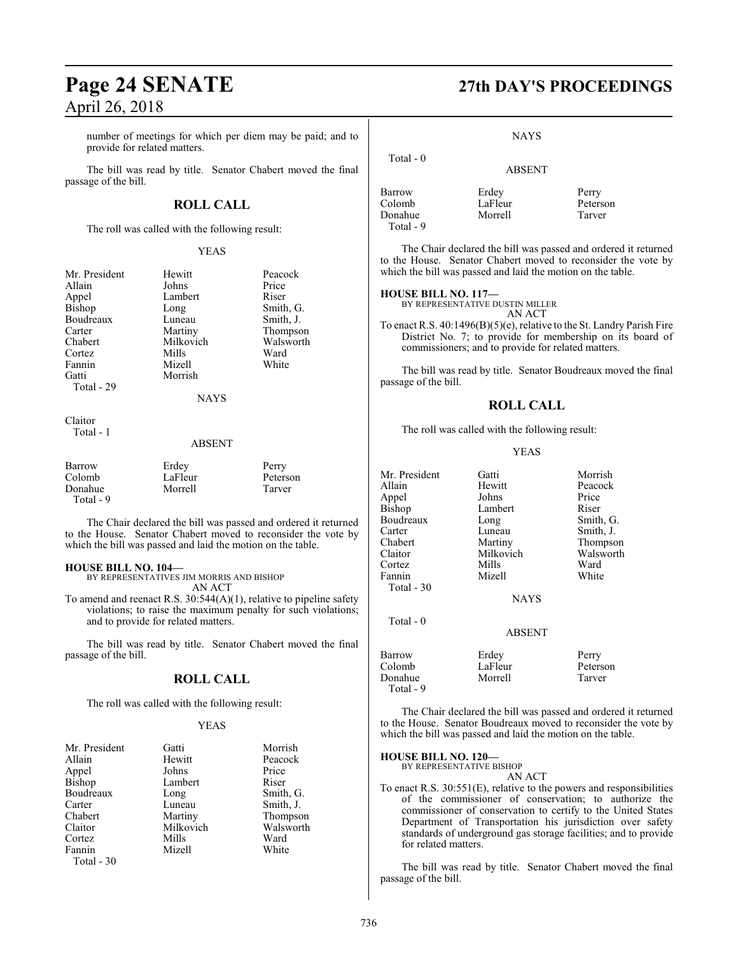number of meetings for which per diem may be paid; and to provide for related matters.

The bill was read by title. Senator Chabert moved the final passage of the bill.

### **ROLL CALL**

The roll was called with the following result:

### YEAS

| Mr. President | Hewitt      | Peacock   |
|---------------|-------------|-----------|
| Allain        | Johns       | Price     |
| Appel         | Lambert     | Riser     |
| Bishop        | Long        | Smith, G. |
| Boudreaux     | Luneau      | Smith, J. |
| Carter        | Martiny     | Thompson  |
| Chabert       | Milkovich   | Walsworth |
| Cortez        | Mills       | Ward      |
| Fannin        | Mizell      | White     |
| Gatti         | Morrish     |           |
| Total - 29    |             |           |
|               | <b>NAYS</b> |           |
| Claitor       |             |           |
| Total - 1     |             |           |

### ABSENT

| Barrow    | Erdey   | Perry    |
|-----------|---------|----------|
| Colomb    | LaFleur | Peterson |
| Donahue   | Morrell | Tarver   |
| Total - 9 |         |          |

The Chair declared the bill was passed and ordered it returned to the House. Senator Chabert moved to reconsider the vote by which the bill was passed and laid the motion on the table.

### **HOUSE BILL NO. 104—**

BY REPRESENTATIVES JIM MORRIS AND BISHOP AN ACT

To amend and reenact R.S. 30:544(A)(1), relative to pipeline safety violations; to raise the maximum penalty for such violations; and to provide for related matters.

The bill was read by title. Senator Chabert moved the final passage of the bill.

### **ROLL CALL**

The roll was called with the following result:

### YEAS

| Mr. President | Gatti     | Morrish   |
|---------------|-----------|-----------|
| Allain        | Hewitt    | Peacock   |
| Appel         | Johns     | Price     |
| Bishop        | Lambert   | Riser     |
| Boudreaux     | Long      | Smith, G. |
| Carter        | Luneau    | Smith, J. |
| Chabert       | Martiny   | Thompson  |
| Claitor       | Milkovich | Walsworth |
| Cortez        | Mills     | Ward      |
| Fannin        | Mizell    | White     |
| Total - 30    |           |           |

### **Page 24 SENATE 27th DAY'S PROCEEDINGS**

**NAYS** 

ABSENT

 Total - 0 Barrow Erdey Perry Donahue

Total - 9

LaFleur Peterson<br>Morrell Tarver

The Chair declared the bill was passed and ordered it returned to the House. Senator Chabert moved to reconsider the vote by which the bill was passed and laid the motion on the table.

### **HOUSE BILL NO. 117—**

BY REPRESENTATIVE DUSTIN MILLER AN ACT

To enact R.S. 40:1496(B)(5)(e), relative to the St. Landry Parish Fire District No. 7; to provide for membership on its board of commissioners; and to provide for related matters.

The bill was read by title. Senator Boudreaux moved the final passage of the bill.

### **ROLL CALL**

The roll was called with the following result:

### YEAS

| Mr. President<br>Allain<br>Appel<br>Bishop<br>Boudreaux<br>Carter<br>Chabert | Gatti<br>Hewitt<br>Johns<br>Lambert<br>Long<br>Luneau<br>Martiny | Morrish<br>Peacock<br>Price<br>Riser<br>Smith, G.<br>Smith, J.<br>Thompson |
|------------------------------------------------------------------------------|------------------------------------------------------------------|----------------------------------------------------------------------------|
| Claitor                                                                      | Milkovich                                                        | Walsworth                                                                  |
| Cortez                                                                       | Mills                                                            | Ward                                                                       |
| Fannin                                                                       | Mizell                                                           | White                                                                      |
| Total - 30                                                                   |                                                                  |                                                                            |
|                                                                              | NAYS                                                             |                                                                            |
| Total $-0$                                                                   |                                                                  |                                                                            |
|                                                                              | <b>ABSENT</b>                                                    |                                                                            |
| Barrow<br>Colomb<br>Donahue<br>Total - 9                                     | Erdey<br>LaFleur<br>Morrell                                      | Perry<br>Peterson<br>Tarver                                                |

The Chair declared the bill was passed and ordered it returned to the House. Senator Boudreaux moved to reconsider the vote by which the bill was passed and laid the motion on the table.

### **HOUSE BILL NO. 120—**

BY REPRESENTATIVE BISHOP

AN ACT

To enact R.S. 30:551(E), relative to the powers and responsibilities of the commissioner of conservation; to authorize the commissioner of conservation to certify to the United States Department of Transportation his jurisdiction over safety standards of underground gas storage facilities; and to provide for related matters.

The bill was read by title. Senator Chabert moved the final passage of the bill.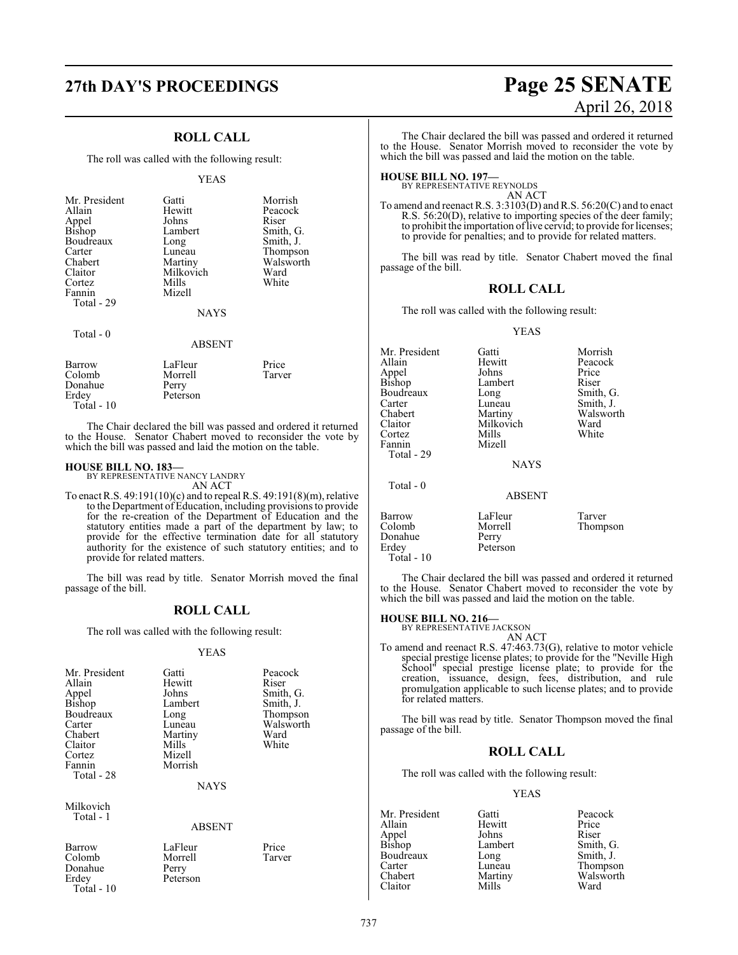### **ROLL CALL**

The roll was called with the following result:

#### YEAS

| Mr. President<br>Allain<br>Appel<br>Bishop<br>Boudreaux<br>Carter<br>Chabert<br>Claitor<br>Cortez | Gatti<br>Hewitt<br>Johns<br>Lambert<br>Long<br>Luneau<br>Martiny<br>Milkovich<br>Mills | Morrish<br>Peacock<br>Riser<br>Smith, G.<br>Smith, J.<br>Thompson<br>Walsworth<br>Ward<br>White |
|---------------------------------------------------------------------------------------------------|----------------------------------------------------------------------------------------|-------------------------------------------------------------------------------------------------|
| Fannin                                                                                            | Mizell                                                                                 |                                                                                                 |
| Total - 29                                                                                        | <b>NAYS</b>                                                                            |                                                                                                 |
| Total $-0$                                                                                        | <b>ABSENT</b>                                                                          |                                                                                                 |

| Barrow       | LaFleur  | Price  |
|--------------|----------|--------|
| Colomb       | Morrell  | Tarver |
| Donahue      | Perry    |        |
| Erdey        | Peterson |        |
| Total - $10$ |          |        |

The Chair declared the bill was passed and ordered it returned to the House. Senator Chabert moved to reconsider the vote by which the bill was passed and laid the motion on the table.

### **HOUSE BILL NO. 183—**

BY REPRESENTATIVE NANCY LANDRY AN ACT

To enact R.S. 49:191(10)(c) and to repeal R.S. 49:191(8)(m), relative to the Department ofEducation, including provisions to provide for the re-creation of the Department of Education and the statutory entities made a part of the department by law; to provide for the effective termination date for all statutory authority for the existence of such statutory entities; and to provide for related matters.

The bill was read by title. Senator Morrish moved the final passage of the bill.

### **ROLL CALL**

The roll was called with the following result:

### YEAS

| Mr. President | Gatti       | Peacock   |
|---------------|-------------|-----------|
| Allain        | Hewitt      | Riser     |
| Appel         | Johns       | Smith, G. |
| Bishop        | Lambert     | Smith, J. |
| Boudreaux     | Long        | Thompson  |
| Carter        | Luneau      | Walsworth |
| Chabert       | Martiny     | Ward      |
| Claitor       | Mills       | White     |
| Cortez        | Mizell      |           |
| Fannin        | Morrish     |           |
| Total - 28    |             |           |
|               | <b>NAYS</b> |           |
| Milkovich     |             |           |
| Total - 1     |             |           |
|               | ABSENT      |           |
|               |             |           |

Donahue<br>Erdey Total - 10

Barrow LaFleur Price<br>
Colomb Morrell Tarver Morrell<br>Perry Peterson

## **27th DAY'S PROCEEDINGS Page 25 SENATE** April 26, 2018

The Chair declared the bill was passed and ordered it returned to the House. Senator Morrish moved to reconsider the vote by which the bill was passed and laid the motion on the table.

**HOUSE BILL NO. 197—** BY REPRESENTATIVE REYNOLDS AN ACT

To amend and reenact R.S.  $3:3103(D)$  and R.S.  $56:20(C)$  and to enact R.S. 56:20(D), relative to importing species of the deer family; to prohibit the importation of live cervid; to provide for licenses; to provide for penalties; and to provide for related matters.

The bill was read by title. Senator Chabert moved the final passage of the bill.

### **ROLL CALL**

The roll was called with the following result:

### YEAS

| Mr. President<br>Allain | Gatti<br>Hewitt  | Morrish<br>Peacock |
|-------------------------|------------------|--------------------|
|                         |                  |                    |
| Appel                   | Johns            | Price              |
| Bishop                  | Lambert          | Riser              |
| Boudreaux               | Long             | Smith, G.          |
| Carter                  | Luneau           | Smith, J.          |
| Chabert                 | Martiny          | Walsworth          |
| Claitor                 | Milkovich        | Ward               |
| Cortez                  | Mills            | White              |
| Fannin                  | Mizell           |                    |
| Total - 29              |                  |                    |
|                         | <b>NAYS</b>      |                    |
| Total $-0$              |                  |                    |
|                         | <b>ABSENT</b>    |                    |
| Barrow                  | LaFleur          | Tarver             |
|                         |                  |                    |
| Donahue                 |                  |                    |
| Colomb                  | Morrell<br>Perry | Thompson           |

Donahue<br>Erdey Peterson Total - 10 The Chair declared the bill was passed and ordered it returned to the House. Senator Chabert moved to reconsider the vote by

**HOUSE BILL NO. 216—** BY REPRESENTATIVE JACKSON AN ACT

which the bill was passed and laid the motion on the table.

To amend and reenact R.S. 47:463.73(G), relative to motor vehicle special prestige license plates; to provide for the "Neville High School" special prestige license plate; to provide for the creation, issuance, design, fees, distribution, and rule promulgation applicable to such license plates; and to provide for related matters.

The bill was read by title. Senator Thompson moved the final passage of the bill.

### **ROLL CALL**

The roll was called with the following result:

YEAS

Mr. President Gatti Peacock<br>Allain Hewitt Price Hewitt Price<br> **Allahus** Price<br>
Riser Appel Johns Riser<br>Bishop Lambert Smith, G. Lambert Smith, G.<br>
Long Smith, J. Boudreaux Long<br>Carter Luneau Carter Luneau Thompson<br>Chabert Martiny Walsworth Martiny Walsworth<br>
Mills Ward Claitor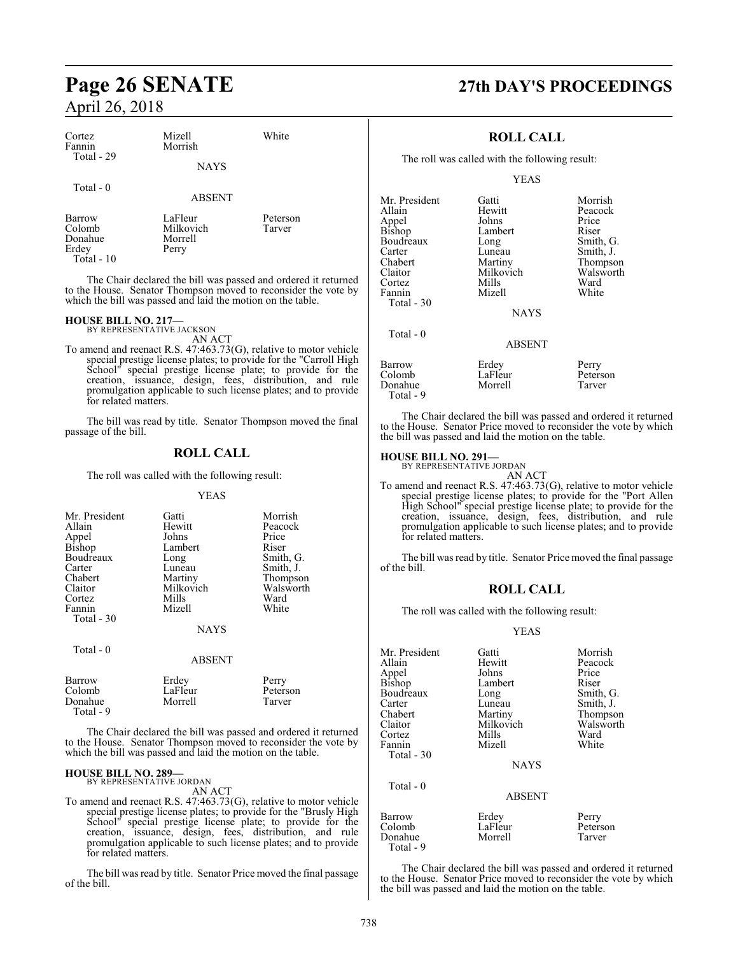| Cortez<br>Fannin<br>Total - 29       | Mizell<br>Morrish<br><b>NAYS</b>         | White              | The roll was calle                                      |
|--------------------------------------|------------------------------------------|--------------------|---------------------------------------------------------|
| Total - 0<br>ABSENT                  |                                          | Mr. President      |                                                         |
| Barrow<br>Colomb<br>Donahue<br>Erdey | LaFleur<br>Milkovich<br>Morrell<br>Perry | Peterson<br>Tarver | Allain<br>Appel<br><b>Bishop</b><br>Boudreaux<br>Carter |

Total - 10

The Chair declared the bill was passed and ordered it returned to the House. Senator Thompson moved to reconsider the vote by which the bill was passed and laid the motion on the table.

### **HOUSE BILL NO. 217—**

BY REPRESENTATIVE JACKSON

AN ACT To amend and reenact R.S. 47:463.73(G), relative to motor vehicle special prestige license plates; to provide for the "Carroll High School" special prestige license plate; to provide for the creation, issuance, design, fees, distribution, and rule promulgation applicable to such license plates; and to provide for related matters.

The bill was read by title. Senator Thompson moved the final passage of the bill.

### **ROLL CALL**

The roll was called with the following result:

### YEAS

| Mr. President | Gatti         | Morrish   |
|---------------|---------------|-----------|
| Allain        | Hewitt        | Peacock   |
| Appel         | Johns         | Price     |
| <b>Bishop</b> | Lambert       | Riser     |
| Boudreaux     | Long          | Smith, G. |
| Carter        | Luneau        | Smith, J. |
| Chabert       | Martiny       | Thompson  |
| Claitor       | Milkovich     | Walsworth |
| Cortez        | Mills         | Ward      |
| Fannin        | Mizell        | White     |
| Total - 30    |               |           |
|               | <b>NAYS</b>   |           |
| Total - 0     |               |           |
|               | <b>ABSENT</b> |           |
| Barrow        | Erdey         | Perry     |
| Colomb        | LaFleur       | Peterson  |
| Donahue       | Morrell       | Tarver    |

 Total - 9 The Chair declared the bill was passed and ordered it returned to the House. Senator Thompson moved to reconsider the vote by which the bill was passed and laid the motion on the table.

### **HOUSE BILL NO. 289—**

BY REPRESENTATIVE JORDAN AN ACT

To amend and reenact R.S. 47:463.73(G), relative to motor vehicle special prestige license plates; to provide for the "Brusly High School" special prestige license plate; to provide for the creation, issuance, design, fees, distribution, and rule promulgation applicable to such license plates; and to provide for related matters.

The bill was read by title. Senator Price moved the final passage of the bill.

## **Page 26 SENATE 27th DAY'S PROCEEDINGS**

### **ROLL CALL**

ed with the following result:

YEAS

| Mr. President<br>Allain<br>Appel<br>Bishop<br>Boudreaux<br>Carter<br>Chabert<br>Claitor<br>Cortez<br>Fannin<br>Total - 30<br>Total $-0$ | Gatti<br>Hewitt<br>Johns<br>Lambert<br>Long<br>Luneau<br>Martiny<br>Milkovich<br>Mills<br>Mizell<br><b>NAYS</b><br><b>ABSENT</b> | Morrish<br>Peacock<br>Price<br>Riser<br>Smith, G.<br>Smith, J.<br>Thompson<br>Walsworth<br>Ward<br>White |
|-----------------------------------------------------------------------------------------------------------------------------------------|----------------------------------------------------------------------------------------------------------------------------------|----------------------------------------------------------------------------------------------------------|
| <b>Barrow</b>                                                                                                                           | Erdey                                                                                                                            | Perry                                                                                                    |
| Colomb                                                                                                                                  | LaFleur                                                                                                                          | Peterson                                                                                                 |
| Donahue                                                                                                                                 | Morrell                                                                                                                          | Tarver                                                                                                   |

The Chair declared the bill was passed and ordered it returned to the House. Senator Price moved to reconsider the vote by which the bill was passed and laid the motion on the table.

Total - 9

**HOUSE BILL NO. 291—** BY REPRESENTATIVE JORDAN AN ACT

To amend and reenact R.S. 47:463.73(G), relative to motor vehicle special prestige license plates; to provide for the "Port Allen High School" special prestige license plate; to provide for the creation, issuance, design, fees, distribution, and rule promulgation applicable to such license plates; and to provide for related matters.

The bill was read by title. Senator Price moved the final passage of the bill.

### **ROLL CALL**

The roll was called with the following result:

### YEAS

| Mr. President<br>Allain<br>Appel<br><b>Bishop</b><br>Boudreaux<br>Carter<br>Chabert<br>Claitor<br>Cortez<br>Fannin<br>Total $-30$<br>Total $-0$ | Gatti<br>Hewitt<br>Johns<br>Lambert<br>Long<br>Luneau<br>Martiny<br>Milkovich<br>Mills<br>Mizell<br><b>NAYS</b> | Morrish<br>Peacock<br>Price<br>Riser<br>Smith, G.<br>Smith, J.<br>Thompson<br>Walsworth<br>Ward<br>White |
|-------------------------------------------------------------------------------------------------------------------------------------------------|-----------------------------------------------------------------------------------------------------------------|----------------------------------------------------------------------------------------------------------|
|                                                                                                                                                 | <b>ABSENT</b>                                                                                                   |                                                                                                          |
| Barrow<br>Colomb<br>Donahue                                                                                                                     | Erdey<br>LaFleur<br>Morrell                                                                                     | Perry<br>Peterson<br>Tarver                                                                              |

The Chair declared the bill was passed and ordered it returned to the House. Senator Price moved to reconsider the vote by which the bill was passed and laid the motion on the table.

Total - 9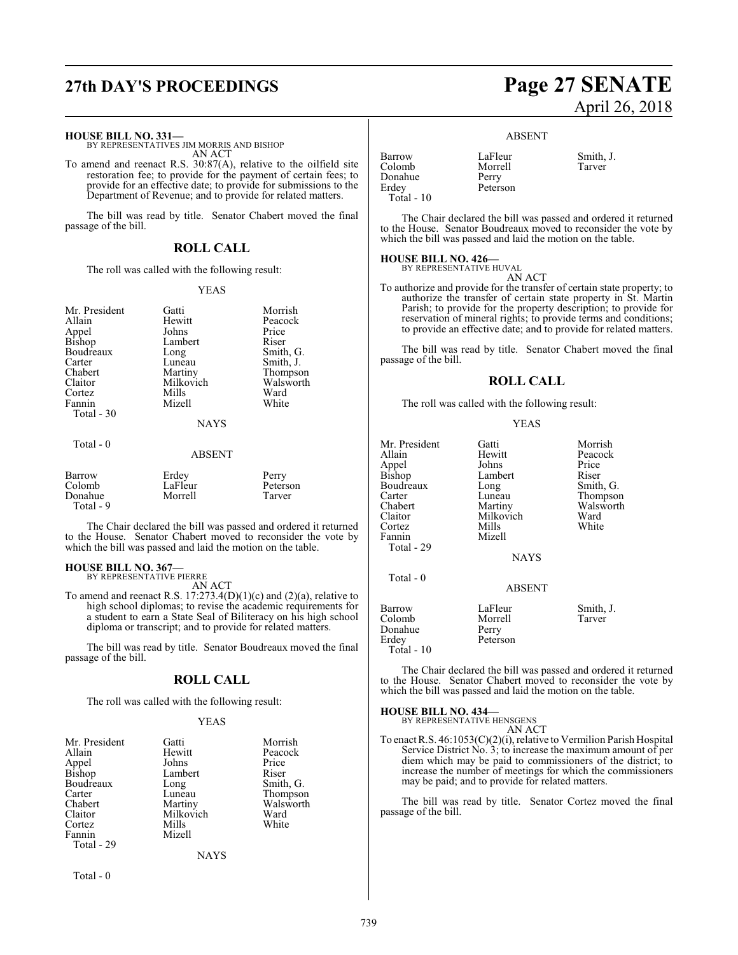## **27th DAY'S PROCEEDINGS Page 27 SENATE**

#### **HOUSE BILL NO. 331—**

BY REPRESENTATIVES JIM MORRIS AND BISHOP AN ACT

To amend and reenact R.S. 30:87(A), relative to the oilfield site restoration fee; to provide for the payment of certain fees; to provide for an effective date; to provide for submissions to the Department of Revenue; and to provide for related matters.

The bill was read by title. Senator Chabert moved the final passage of the bill.

### **ROLL CALL**

The roll was called with the following result:

### YEAS

| Mr. President | Gatti         | Morrish   |
|---------------|---------------|-----------|
| Allain        | Hewitt        | Peacock   |
| Appel         | Johns         | Price     |
| Bishop        | Lambert       | Riser     |
| Boudreaux     | Long          | Smith, G. |
| Carter        | Luneau        | Smith, J. |
| Chabert       | Martiny       | Thompson  |
| Claitor       | Milkovich     | Walsworth |
| Cortez        | Mills         | Ward      |
| Fannin        | Mizell        | White     |
| Total - 30    |               |           |
|               | <b>NAYS</b>   |           |
| Total $-0$    |               |           |
|               | <b>ABSENT</b> |           |
| Barrow        | Erdey         | Perry     |
| Colomb        | LaFleur       | Peterson  |
| Donahue       | Morrell       | Tarver    |

The Chair declared the bill was passed and ordered it returned to the House. Senator Chabert moved to reconsider the vote by which the bill was passed and laid the motion on the table.

### **HOUSE BILL NO. 367—** BY REPRESENTATIVE PIERRE

Total - 9

AN ACT

To amend and reenact R.S.  $17:273.4(D)(1)(c)$  and  $(2)(a)$ , relative to high school diplomas; to revise the academic requirements for a student to earn a State Seal of Biliteracy on his high school diploma or transcript; and to provide for related matters.

The bill was read by title. Senator Boudreaux moved the final passage of the bill.

### **ROLL CALL**

The roll was called with the following result:

### YEAS

| Mr. President   | Gatti       | Morrish   |
|-----------------|-------------|-----------|
| Allain          | Hewitt      | Peacock   |
| Appel<br>Bishop | Johns       | Price     |
|                 | Lambert     | Riser     |
| Boudreaux       | Long        | Smith, G. |
| Carter          | Luneau      | Thompson  |
| Chabert         | Martiny     | Walsworth |
| Claitor         | Milkovich   | Ward      |
| Cortez          | Mills       | White     |
| Fannin          | Mizell      |           |
| Total - 29      |             |           |
|                 | <b>NAYS</b> |           |

Total - 0

# April 26, 2018

### ABSENT

| Barrow      | LaFleur  | Smith, |
|-------------|----------|--------|
| Colomb      | Morrell  | Tarver |
| Donahue     | Perry    |        |
| Erdey       | Peterson |        |
| Total $-10$ |          |        |

LaFleur Smith, J.<br>Morrell Tarver

The Chair declared the bill was passed and ordered it returned to the House. Senator Boudreaux moved to reconsider the vote by which the bill was passed and laid the motion on the table.

### **HOUSE BILL NO. 426—** BY REPRESENTATIVE HUVAL

AN ACT

To authorize and provide for the transfer of certain state property; to authorize the transfer of certain state property in St. Martin Parish; to provide for the property description; to provide for reservation of mineral rights; to provide terms and conditions; to provide an effective date; and to provide for related matters.

The bill was read by title. Senator Chabert moved the final passage of the bill.

### **ROLL CALL**

The roll was called with the following result:

### YEAS

| Mr. President<br>Allain<br>Appel<br>Bishop<br>Boudreaux<br>Carter<br>Chabert<br>Claitor<br>Cortez<br>Fannin<br>Total - 29 | Gatti<br>Hewitt<br>Johns<br>Lambert<br>Long<br>Luneau<br>Martiny<br>Milkovich<br>Mills<br>Mizell | Morrish<br>Peacock<br>Price<br>Riser<br>Smith, G.<br>Thompson<br>Walsworth<br>Ward<br>White |
|---------------------------------------------------------------------------------------------------------------------------|--------------------------------------------------------------------------------------------------|---------------------------------------------------------------------------------------------|
|                                                                                                                           | <b>NAYS</b>                                                                                      |                                                                                             |
| Total - 0                                                                                                                 | <b>ABSENT</b>                                                                                    |                                                                                             |
| Barrow<br>Colomb<br>Donahue<br>Erdev<br>Total - 10                                                                        | LaFleur<br>Morrell<br>Perry<br>Peterson                                                          | Smith, J.<br>Tarver                                                                         |

The Chair declared the bill was passed and ordered it returned to the House. Senator Chabert moved to reconsider the vote by which the bill was passed and laid the motion on the table.

### **HOUSE BILL NO. 434—** BY REPRESENTATIVE HENSGENS

AN ACT

To enact R.S. 46:1053(C)(2)(i), relative to Vermilion Parish Hospital Service District No. 3; to increase the maximum amount of per diem which may be paid to commissioners of the district; to increase the number of meetings for which the commissioners may be paid; and to provide for related matters.

The bill was read by title. Senator Cortez moved the final passage of the bill.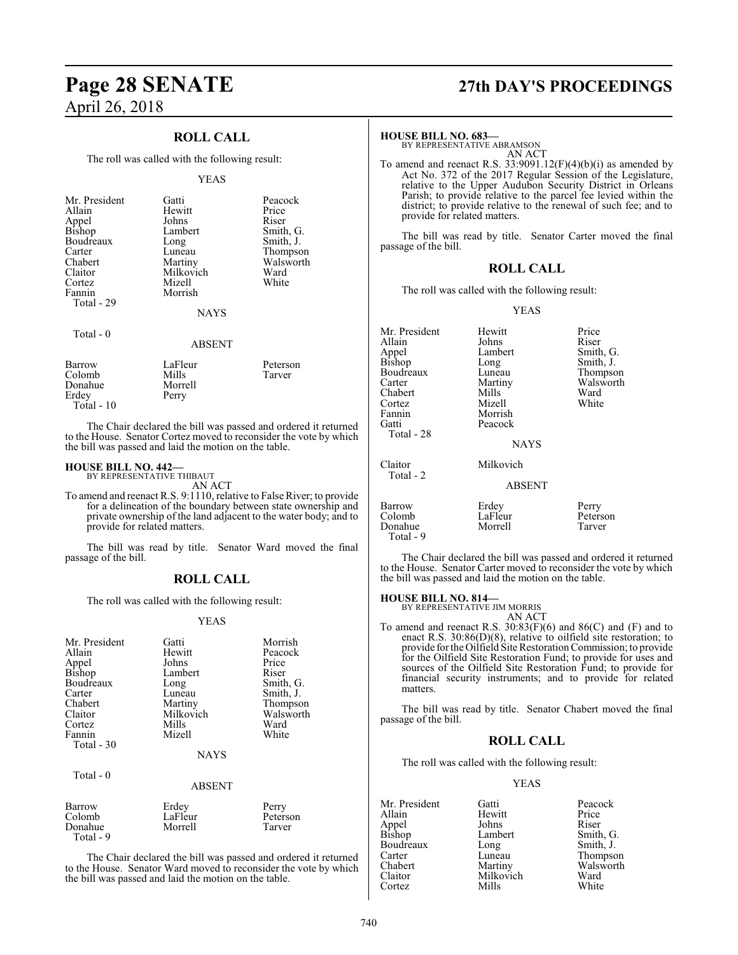### **ROLL CALL**

The roll was called with the following result:

#### YEAS

| Mr. President | Gatti         | Peacock   |
|---------------|---------------|-----------|
| Allain        | Hewitt        | Price     |
| Appel         | Johns         | Riser     |
| <b>Bishop</b> | Lambert       | Smith, G. |
| Boudreaux     | Long          | Smith, J. |
| Carter        | Luneau        | Thompson  |
| Chabert       | Martiny       | Walsworth |
| Claitor       | Milkovich     | Ward      |
| Cortez        | Mizell        | White     |
| Fannin        | Morrish       |           |
|               |               |           |
| Total - 29    |               |           |
|               | <b>NAYS</b>   |           |
|               |               |           |
| Total - 0     |               |           |
|               | <b>ABSENT</b> |           |
| Barrow        | LaFleur       | Peterson  |
| Colomb        | Mills         | Tarver    |
| Donahue       | Morrell       |           |
| Erdev         | Perry         |           |
|               |               |           |

The Chair declared the bill was passed and ordered it returned to the House. Senator Cortez moved to reconsider the vote by which the bill was passed and laid the motion on the table.

### **HOUSE BILL NO. 442—** BY REPRESENTATIVE THIBAUT

Erdey Total - 10

AN ACT

To amend and reenact R.S. 9:1110, relative to False River; to provide for a delineation of the boundary between state ownership and private ownership of the land adjacent to the water body; and to provide for related matters.

The bill was read by title. Senator Ward moved the final passage of the bill.

### **ROLL CALL**

The roll was called with the following result:

### YEAS

| Mr. President<br>Allain<br>Appel<br><b>Bishop</b><br>Boudreaux<br>Carter<br>Chabert<br>Claitor<br>Cortez<br>Fannin<br>Total $-30$ | Gatti<br>Hewitt<br>Johns<br>Lambert<br>Long<br>Luneau<br>Martiny<br>Milkovich<br>Mills<br>Mizell<br><b>NAYS</b> | Morrish<br>Peacock<br>Price<br>Riser<br>Smith, G.<br>Smith, J.<br>Thompson<br>Walsworth<br>Ward<br>White |
|-----------------------------------------------------------------------------------------------------------------------------------|-----------------------------------------------------------------------------------------------------------------|----------------------------------------------------------------------------------------------------------|
| Total $-0$                                                                                                                        | <b>ABSENT</b>                                                                                                   |                                                                                                          |
| Barrow<br>Colomb                                                                                                                  | Erdey<br>LaFleur                                                                                                | Perry<br>Peterson                                                                                        |

Donahue Morrell Tarver

Total - 9

The Chair declared the bill was passed and ordered it returned to the House. Senator Ward moved to reconsider the vote by which the bill was passed and laid the motion on the table.

## **Page 28 SENATE 27th DAY'S PROCEEDINGS**

### **HOUSE BILL NO. 683—**

BY REPRESENTATIVE ABRAMSON AN ACT

To amend and reenact R.S. 33:9091.12(F)(4)(b)(i) as amended by Act No. 372 of the 2017 Regular Session of the Legislature, relative to the Upper Audubon Security District in Orleans Parish; to provide relative to the parcel fee levied within the district; to provide relative to the renewal of such fee; and to provide for related matters.

The bill was read by title. Senator Carter moved the final passage of the bill.

### **ROLL CALL**

The roll was called with the following result:

#### YEAS

| Mr. President<br>Allain<br>Appel<br>Bishop<br>Boudreaux<br>Carter<br>Chabert<br>Cortez<br>Fannin<br>Gatti<br>Total - 28 | Hewitt<br>Johns<br>Lambert<br>Long<br>Luneau<br>Martiny<br>Mills<br>Mizell<br>Morrish<br>Peacock<br><b>NAYS</b> | Price<br>Riser<br>Smith, G.<br>Smith, J.<br>Thompson<br>Walsworth<br>Ward<br>White |
|-------------------------------------------------------------------------------------------------------------------------|-----------------------------------------------------------------------------------------------------------------|------------------------------------------------------------------------------------|
| Claitor<br>Total - 2                                                                                                    | Milkovich<br><b>ABSENT</b>                                                                                      |                                                                                    |
|                                                                                                                         |                                                                                                                 |                                                                                    |
| Barrow<br>Colomb<br>Donahue<br>Total - 9                                                                                | Erdey<br>LaFleur<br>Morrell                                                                                     | Perry<br>Peterson<br>Tarver                                                        |

The Chair declared the bill was passed and ordered it returned to the House. Senator Carter moved to reconsider the vote by which the bill was passed and laid the motion on the table.

### **HOUSE BILL NO. 814—**

BY REPRESENTATIVE JIM MORRIS AN ACT

To amend and reenact R.S.  $30:83(F)(6)$  and  $86(C)$  and  $(F)$  and to enact R.S. 30:86(D)(8), relative to oilfield site restoration; to provide for the Oilfield Site Restoration Commission; to provide for the Oilfield Site Restoration Fund; to provide for uses and sources of the Oilfield Site Restoration Fund; to provide for financial security instruments; and to provide for related matters.

The bill was read by title. Senator Chabert moved the final passage of the bill.

### **ROLL CALL**

The roll was called with the following result:

### YEAS

Mr. President Gatti Peacock<br>Allain Hewitt Price Hewitt Price<br>
Johns Riser Appel Johns<br>Bishop Lambert Smith, G.<br>Smith, J. Boudreaux Long<br>Carter Luneau Carter Luneau Thompson<br>
Chabert Martiny Walsworth Chabert Martiny Walsworth<br>Claitor Milkovich Ward Milkovich Ward<br>
Mills White Cortez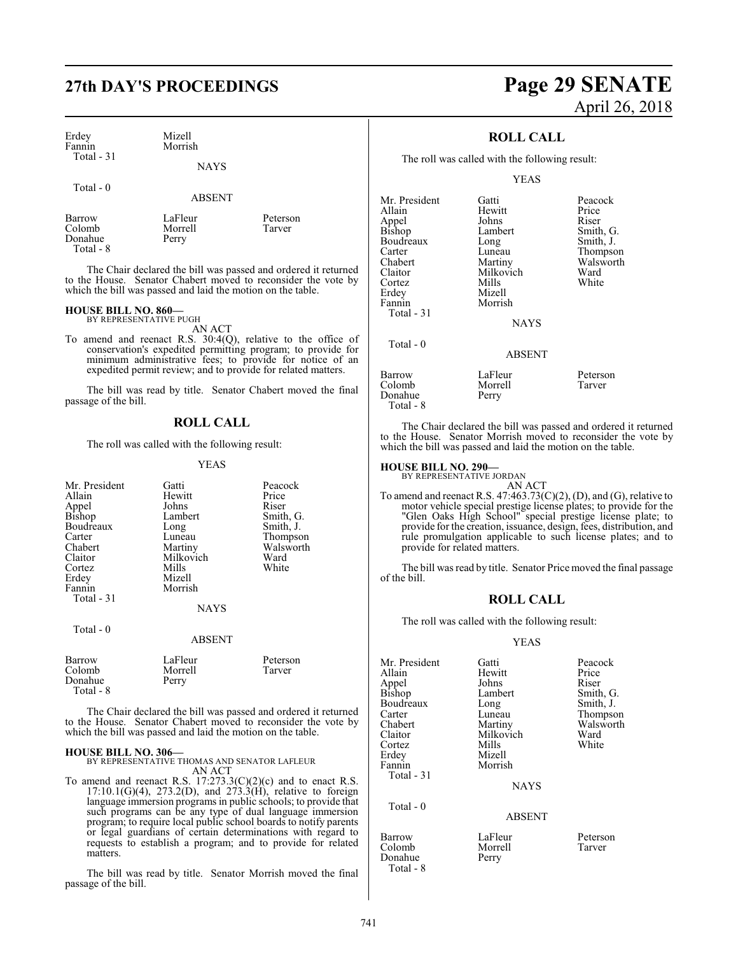## **27th DAY'S PROCEEDINGS Page 29 SENATE**

| Erdey        | Mizell  |
|--------------|---------|
| Fannin       | Morrish |
| $Total - 31$ |         |

### **NAYS**

Total - 0

ABSENT

Barrow LaFleur Peterson<br>Colomb Morrell Tarver Colomb Morre<br>Donahue Perry Donahue Total - 8

The Chair declared the bill was passed and ordered it returned to the House. Senator Chabert moved to reconsider the vote by which the bill was passed and laid the motion on the table.

### **HOUSE BILL NO. 860—** BY REPRESENTATIVE PUGH

AN ACT To amend and reenact R.S. 30:4(Q), relative to the office of conservation's expedited permitting program; to provide for minimum administrative fees; to provide for notice of an expedited permit review; and to provide for related matters.

The bill was read by title. Senator Chabert moved the final passage of the bill.

### **ROLL CALL**

The roll was called with the following result:

### YEAS

| Mr. President<br>Allain<br>Appel<br>Bishop<br>Boudreaux<br>Carter<br>Chabert<br>Claitor<br>Cortez<br>Erdey<br>Fannin<br>Total $-31$ | Gatti<br>Hewitt<br>Johns<br>Lambert<br>Long<br>Luneau<br>Martiny<br>Milkovich<br>Mills<br>Mizell<br>Morrish<br>NAYS | Peacock<br>Price<br>Riser<br>Smith, G.<br>Smith, J.<br>Thompson<br>Walsworth<br>Ward<br>White |
|-------------------------------------------------------------------------------------------------------------------------------------|---------------------------------------------------------------------------------------------------------------------|-----------------------------------------------------------------------------------------------|
| Total - 0                                                                                                                           | <b>ABSENT</b>                                                                                                       |                                                                                               |
| Barrow<br>Colomb<br>Donahue<br>Total - 8                                                                                            | LaFleur<br>Morrell<br>Perry                                                                                         | Peterson<br>Tarver                                                                            |

The Chair declared the bill was passed and ordered it returned to the House. Senator Chabert moved to reconsider the vote by which the bill was passed and laid the motion on the table.

**HOUSE BILL NO. 306—** BY REPRESENTATIVE THOMAS AND SENATOR LAFLEUR AN ACT

To amend and reenact R.S.  $17:273.3(C)(2)(c)$  and to enact R.S. 17:10.1(G)(4), 273.2(D), and 273.3(H), relative to foreign language immersion programs in public schools; to provide that such programs can be any type of dual language immersion program; to require local public school boards to notify parents or legal guardians of certain determinations with regard to requests to establish a program; and to provide for related matters.

The bill was read by title. Senator Morrish moved the final passage of the bill.

# April 26, 2018

### **ROLL CALL**

The roll was called with the following result:

### YEAS

| Mr. President | Gatti                | Peacock       |  |
|---------------|----------------------|---------------|--|
| Allain        | Hewitt               | Price         |  |
| Appel         | Johns                | Riser         |  |
| <b>Bishop</b> | Lambert<br>Smith, G. |               |  |
| Boudreaux     | Smith, J.<br>Long    |               |  |
| Carter        | Luneau               | Thompson      |  |
| Chabert       | Martiny              | Walsworth     |  |
| Claitor       | Milkovich            | Ward          |  |
| Cortez        | Mills                | White         |  |
| Erdey         | Mizell               |               |  |
| Fannin        | Morrish              |               |  |
| Total - 31    |                      |               |  |
|               | <b>NAYS</b>          |               |  |
| Total $-0$    |                      |               |  |
|               |                      | <b>ABSENT</b> |  |
| Barrow        | LaFleur              | Peterson      |  |
| Colomb        | Morrell              | Tarver        |  |
| Donahue       | Perry                |               |  |

The Chair declared the bill was passed and ordered it returned to the House. Senator Morrish moved to reconsider the vote by which the bill was passed and laid the motion on the table.

### **HOUSE BILL NO. 290—**

Total - 8

BY REPRESENTATIVE JORDAN AN ACT

To amend and reenact R.S.  $47:463.73(C)(2)$ , (D), and (G), relative to motor vehicle special prestige license plates; to provide for the "Glen Oaks High School" special prestige license plate; to provide for the creation, issuance, design, fees, distribution, and rule promulgation applicable to such license plates; and to provide for related matters.

The bill was read by title. Senator Price moved the final passage of the bill.

### **ROLL CALL**

The roll was called with the following result:

### YEAS

| Mr. President   | Gatti         | Peacock   |
|-----------------|---------------|-----------|
| Allain          | Hewitt        | Price     |
|                 | Johns         | Riser     |
| Appel<br>Bishop | Lambert       | Smith, G. |
| Boudreaux       | Long          | Smith, J. |
| Carter          | Luneau        | Thompson  |
| Chabert         | Martiny       | Walsworth |
| Claitor         | Milkovich     | Ward      |
| Cortez          | Mills         | White     |
| Erdey           | Mizell        |           |
| Fannin          | Morrish       |           |
| Total - 31      |               |           |
|                 | <b>NAYS</b>   |           |
|                 |               |           |
| Total - 0       | <b>ABSENT</b> |           |
|                 |               |           |

Barrow LaFleur Peterson Morrell<br>Perry Donahue Total - 8